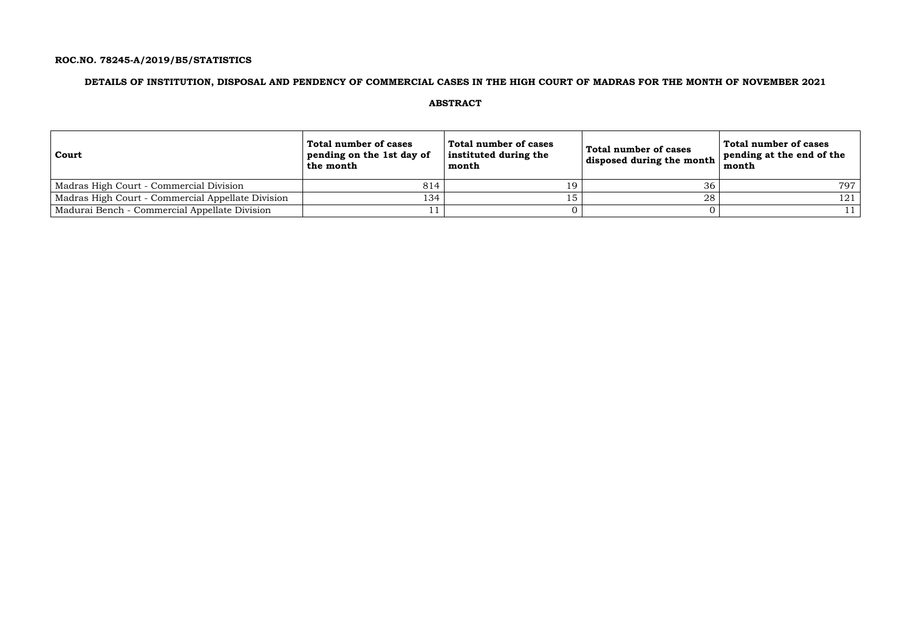## **ROC.NO. 78245-A/2019/B5/STATISTICS**

## **DETAILS OF INSTITUTION, DISPOSAL AND PENDENCY OF COMMERCIAL CASES IN THE HIGH COURT OF MADRAS FOR THE MONTH OF NOVEMBER 2021**

### **ABSTRACT**

| Court                                             | Total number of cases<br>pending on the 1st day of<br>the month | Total number of cases<br>instituted during the<br>month | Total number of cases<br>disposed during the month $ $ | Total number of cases<br>pending at the end of the<br>month |
|---------------------------------------------------|-----------------------------------------------------------------|---------------------------------------------------------|--------------------------------------------------------|-------------------------------------------------------------|
| Madras High Court - Commercial Division           | 814                                                             | 19                                                      | 36                                                     | 797                                                         |
| Madras High Court - Commercial Appellate Division | 134                                                             | 15                                                      | 28                                                     | 121                                                         |
| Madurai Bench - Commercial Appellate Division     |                                                                 |                                                         |                                                        |                                                             |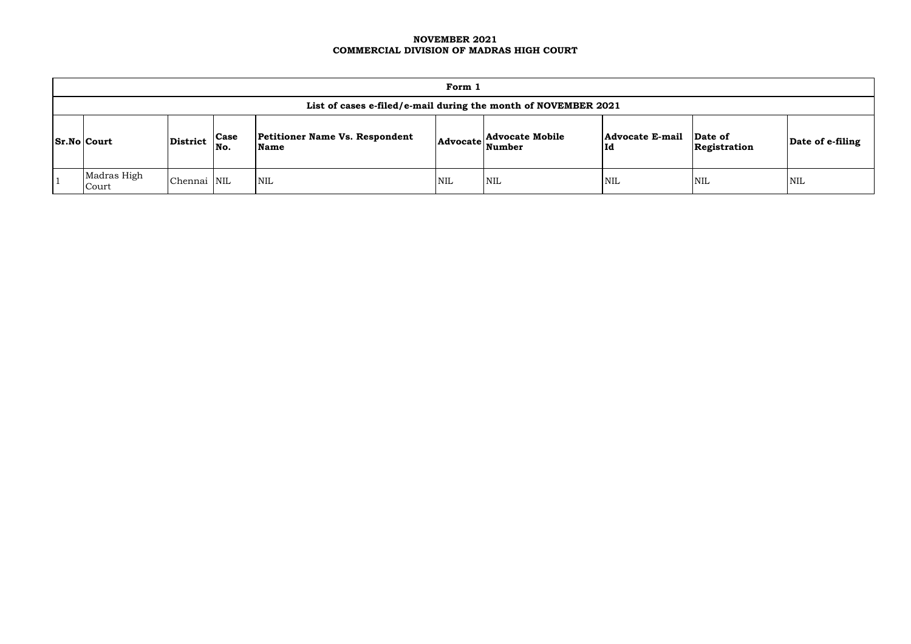### **NOVEMBER 2021 COMMERCIAL DIVISION OF MADRAS HIGH COURT**

| Form 1                                                         |             |                    |                                               |            |                                                        |                              |                         |                  |  |  |
|----------------------------------------------------------------|-------------|--------------------|-----------------------------------------------|------------|--------------------------------------------------------|------------------------------|-------------------------|------------------|--|--|
| List of cases e-filed/e-mail during the month of NOVEMBER 2021 |             |                    |                                               |            |                                                        |                              |                         |                  |  |  |
| $ Sr.No $ Court                                                | District    | <b>Case</b><br>No. | <b>Petitioner Name Vs. Respondent</b><br>Name |            | <b>Advocate Mobile</b><br> Advocate  <sub>Number</sub> | <b>Advocate E-mail</b><br>Id | Date of<br>Registration | Date of e-filing |  |  |
| Madras High<br>Court                                           | Chennai NIL |                    | <b>NIL</b>                                    | <b>NIL</b> | <b>NIL</b>                                             | <b>NIL</b>                   | <b>NIL</b>              | <b>NIL</b>       |  |  |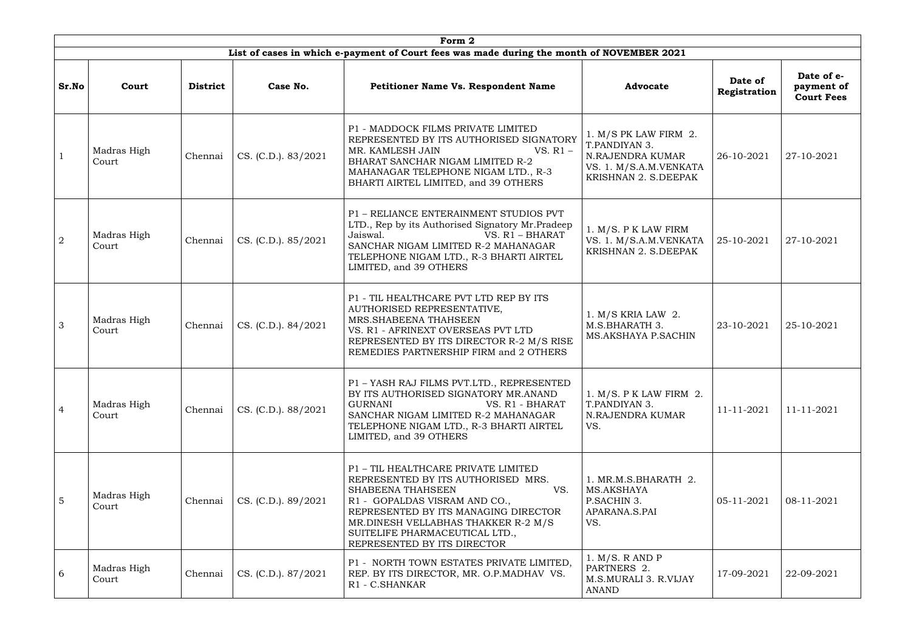|                | Form 2                                                                                    |                 |                     |                                                                                                                                                                                                                                                                                        |                                                                                                                |                         |                                               |  |  |  |  |  |
|----------------|-------------------------------------------------------------------------------------------|-----------------|---------------------|----------------------------------------------------------------------------------------------------------------------------------------------------------------------------------------------------------------------------------------------------------------------------------------|----------------------------------------------------------------------------------------------------------------|-------------------------|-----------------------------------------------|--|--|--|--|--|
|                | List of cases in which e-payment of Court fees was made during the month of NOVEMBER 2021 |                 |                     |                                                                                                                                                                                                                                                                                        |                                                                                                                |                         |                                               |  |  |  |  |  |
| Sr.No          | Court                                                                                     | <b>District</b> | Case No.            | <b>Petitioner Name Vs. Respondent Name</b>                                                                                                                                                                                                                                             | <b>Advocate</b>                                                                                                | Date of<br>Registration | Date of e-<br>payment of<br><b>Court Fees</b> |  |  |  |  |  |
|                | Madras High<br>Court                                                                      | Chennai         | CS. (C.D.). 83/2021 | P1 - MADDOCK FILMS PRIVATE LIMITED<br>REPRESENTED BY ITS AUTHORISED SIGNATORY<br>MR. KAMLESH JAIN<br>$VS. R1 -$<br>BHARAT SANCHAR NIGAM LIMITED R-2<br>MAHANAGAR TELEPHONE NIGAM LTD., R-3<br>BHARTI AIRTEL LIMITED, and 39 OTHERS                                                     | 1. $M/S$ PK LAW FIRM 2.<br>T.PANDIYAN 3.<br>N.RAJENDRA KUMAR<br>VS. 1. M/S.A.M.VENKATA<br>KRISHNAN 2. S.DEEPAK | 26-10-2021              | 27-10-2021                                    |  |  |  |  |  |
| 2              | Madras High<br>Court                                                                      | Chennai         | CS. (C.D.). 85/2021 | P1 - RELIANCE ENTERAINMENT STUDIOS PVT<br>LTD., Rep by its Authorised Signatory Mr.Pradeep<br>VS. $R1 - BHARAT$<br>Jaiswal.<br>SANCHAR NIGAM LIMITED R-2 MAHANAGAR<br>TELEPHONE NIGAM LTD., R-3 BHARTI AIRTEL<br>LIMITED, and 39 OTHERS                                                | 1. M/S. P K LAW FIRM<br>VS. 1. M/S.A.M.VENKATA<br>KRISHNAN 2. S.DEEPAK                                         | 25-10-2021              | 27-10-2021                                    |  |  |  |  |  |
| 3              | Madras High<br>Court                                                                      | Chennai         | CS. (C.D.). 84/2021 | P1 - TIL HEALTHCARE PVT LTD REP BY ITS<br>AUTHORISED REPRESENTATIVE,<br>MRS.SHABEENA THAHSEEN<br>VS. R1 - AFRINEXT OVERSEAS PVT LTD<br>REPRESENTED BY ITS DIRECTOR R-2 M/S RISE<br>REMEDIES PARTNERSHIP FIRM and 2 OTHERS                                                              | $1. M/S$ KRIA LAW 2.<br>M.S.BHARATH 3.<br>MS.AKSHAYA P.SACHIN                                                  | 23-10-2021              | 25-10-2021                                    |  |  |  |  |  |
| $\overline{4}$ | Madras High<br>Court                                                                      | Chennai         | CS. (C.D.). 88/2021 | P1 - YASH RAJ FILMS PVT.LTD., REPRESENTED<br>BY ITS AUTHORISED SIGNATORY MR.ANAND<br><b>GURNANI</b><br>VS. R1 - BHARAT<br>SANCHAR NIGAM LIMITED R-2 MAHANAGAR<br>TELEPHONE NIGAM LTD., R-3 BHARTI AIRTEL<br>LIMITED, and 39 OTHERS                                                     | 1. M/S. P K LAW FIRM 2.<br>T.PANDIYAN 3.<br>N.RAJENDRA KUMAR<br>VS.                                            | 11-11-2021              | 11-11-2021                                    |  |  |  |  |  |
| $5\phantom{1}$ | Madras High<br>Court                                                                      | Chennai         | CS. (C.D.). 89/2021 | P1 - TIL HEALTHCARE PRIVATE LIMITED<br>REPRESENTED BY ITS AUTHORISED MRS.<br>SHABEENA THAHSEEN<br>VS.<br>R1 - GOPALDAS VISRAM AND CO.,<br>REPRESENTED BY ITS MANAGING DIRECTOR<br>MR.DINESH VELLABHAS THAKKER R-2 M/S<br>SUITELIFE PHARMACEUTICAL LTD.,<br>REPRESENTED BY ITS DIRECTOR | 1. MR.M.S.BHARATH 2.<br>MS.AKSHAYA<br>P.SACHIN 3.<br>APARANA.S.PAI<br>VS.                                      | 05-11-2021              | 08-11-2021                                    |  |  |  |  |  |
| 6              | Madras High<br>Court                                                                      | Chennai         | CS. (C.D.). 87/2021 | P1 - NORTH TOWN ESTATES PRIVATE LIMITED,<br>REP. BY ITS DIRECTOR, MR. O.P.MADHAV VS.<br>R1 - C.SHANKAR                                                                                                                                                                                 | 1. M/S. R AND P<br>PARTNERS 2.<br>M.S.MURALI 3. R.VIJAY<br>ANAND                                               | 17-09-2021              | 22-09-2021                                    |  |  |  |  |  |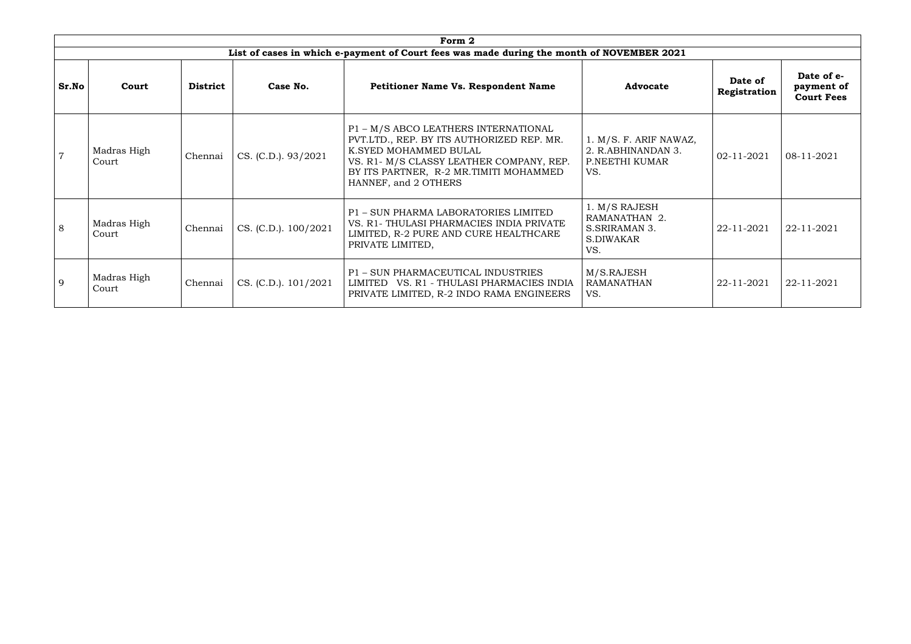|       |                      |                 |                      | Form 2                                                                                                                                                                                                                   |                                                                       |                         |                                               |
|-------|----------------------|-----------------|----------------------|--------------------------------------------------------------------------------------------------------------------------------------------------------------------------------------------------------------------------|-----------------------------------------------------------------------|-------------------------|-----------------------------------------------|
|       |                      |                 |                      | List of cases in which e-payment of Court fees was made during the month of NOVEMBER 2021                                                                                                                                |                                                                       |                         |                                               |
| Sr.No | Court                | <b>District</b> | Case No.             | <b>Petitioner Name Vs. Respondent Name</b>                                                                                                                                                                               | <b>Advocate</b>                                                       | Date of<br>Registration | Date of e-<br>payment of<br><b>Court Fees</b> |
|       | Madras High<br>Court | Chennai         | CS. (C.D.). 93/2021  | P1 - M/S ABCO LEATHERS INTERNATIONAL<br>PVT.LTD., REP. BY ITS AUTHORIZED REP. MR.<br>K.SYED MOHAMMED BULAL<br>VS. R1- M/S CLASSY LEATHER COMPANY, REP.<br>BY ITS PARTNER, R-2 MR.TIMITI MOHAMMED<br>HANNEF, and 2 OTHERS | 1. M/S. F. ARIF NAWAZ,<br>2. R.ABHINANDAN 3.<br>P.NEETHI KUMAR<br>VS. | 02-11-2021              | 08-11-2021                                    |
| 8     | Madras High<br>Court | Chennai         | CS. (C.D.). 100/2021 | P1 - SUN PHARMA LABORATORIES LIMITED<br>VS. R1- THULASI PHARMACIES INDIA PRIVATE<br>LIMITED, R-2 PURE AND CURE HEALTHCARE<br>PRIVATE LIMITED,                                                                            | 1. M/S RAJESH<br>RAMANATHAN 2.<br>S.SRIRAMAN 3.<br>S.DIWAKAR<br>VS.   | 22-11-2021              | 22-11-2021                                    |
| 9     | Madras High<br>Court | Chennai         | CS. (C.D.). 101/2021 | P1 - SUN PHARMACEUTICAL INDUSTRIES<br>LIMITED VS. R1 - THULASI PHARMACIES INDIA<br>PRIVATE LIMITED, R-2 INDO RAMA ENGINEERS                                                                                              | M/S.RAJESH<br><b>RAMANATHAN</b><br>VS.                                | 22-11-2021              | 22-11-2021                                    |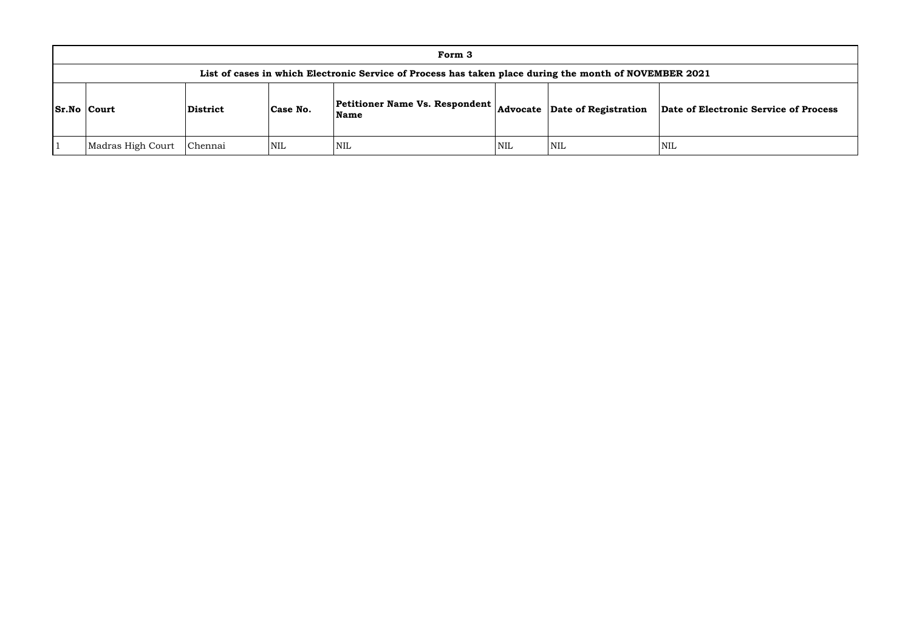|                    |                                                                                                        |                 |          | Form 3                                                                                     |            |            |             |  |  |
|--------------------|--------------------------------------------------------------------------------------------------------|-----------------|----------|--------------------------------------------------------------------------------------------|------------|------------|-------------|--|--|
|                    | List of cases in which Electronic Service of Process has taken place during the month of NOVEMBER 2021 |                 |          |                                                                                            |            |            |             |  |  |
| <b>Sr.No Court</b> |                                                                                                        | <b>District</b> | Case No. | Petitioner Name Vs. Respondent $\vert_{\text{Advocate}}\vert$ Date of Registration<br>Name |            |            | Date of Ele |  |  |
|                    | Madras High Court                                                                                      | Chennai         | NIL      | NIL                                                                                        | <b>NIL</b> | <b>NIL</b> | <b>NIL</b>  |  |  |

### **Name Advocate Date of Registration Date of Electronic Service of Process**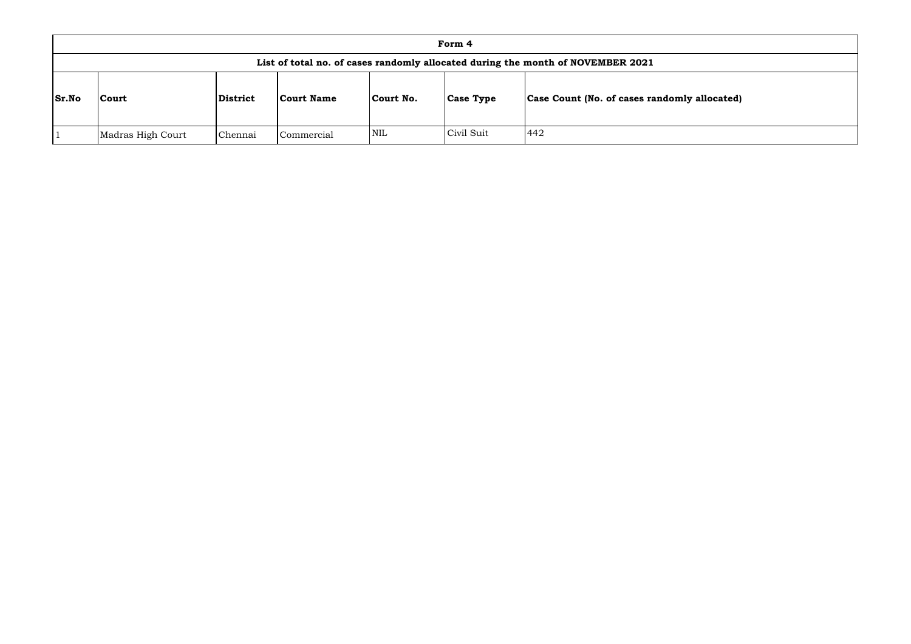| Form 4                                                                          |                   |          |                   |            |                  |                                                     |  |  |
|---------------------------------------------------------------------------------|-------------------|----------|-------------------|------------|------------------|-----------------------------------------------------|--|--|
| List of total no. of cases randomly allocated during the month of NOVEMBER 2021 |                   |          |                   |            |                  |                                                     |  |  |
| <b>Sr.No</b>                                                                    | <b>Court</b>      | District | <b>Court Name</b> | Court No.  | <b>Case Type</b> | <b>Case Count (No. of cases randomly allocated)</b> |  |  |
|                                                                                 | Madras High Court | Chennai  | Commercial        | <b>NIL</b> | Civil Suit       | 442                                                 |  |  |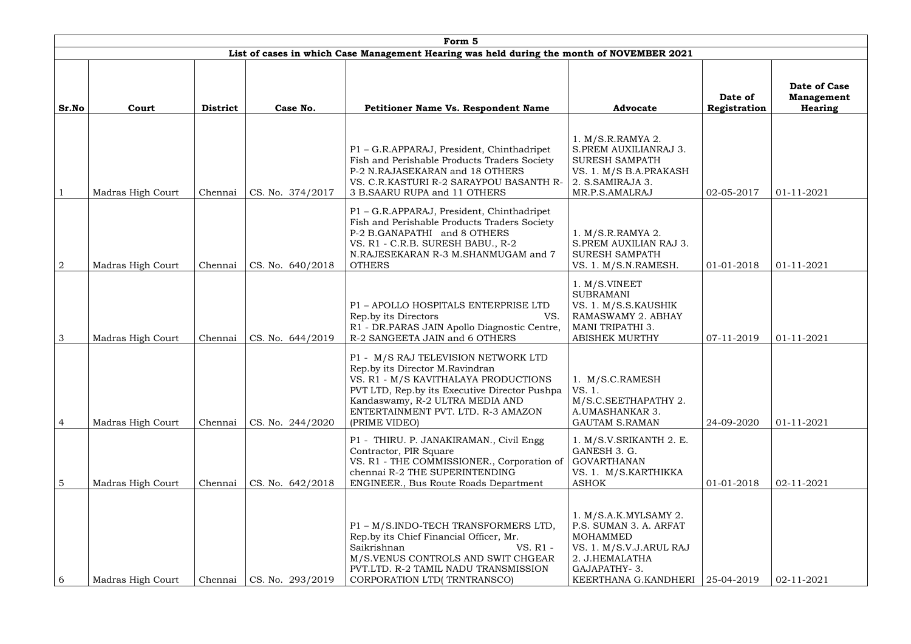|                 | Form 5            |                 |                  |                                                                                                                                                                                                                                                           |                                                                                                                                                               |                         |                                                     |  |  |  |  |
|-----------------|-------------------|-----------------|------------------|-----------------------------------------------------------------------------------------------------------------------------------------------------------------------------------------------------------------------------------------------------------|---------------------------------------------------------------------------------------------------------------------------------------------------------------|-------------------------|-----------------------------------------------------|--|--|--|--|
|                 |                   |                 |                  | List of cases in which Case Management Hearing was held during the month of NOVEMBER 2021                                                                                                                                                                 |                                                                                                                                                               |                         |                                                     |  |  |  |  |
| Sr.No           | Court             | <b>District</b> | Case No.         | <b>Petitioner Name Vs. Respondent Name</b>                                                                                                                                                                                                                | <b>Advocate</b>                                                                                                                                               | Date of<br>Registration | Date of Case<br><b>Management</b><br><b>Hearing</b> |  |  |  |  |
|                 | Madras High Court | Chennai         | CS. No. 374/2017 | P1 - G.R.APPARAJ, President, Chinthadripet<br>Fish and Perishable Products Traders Society<br>P-2 N.RAJASEKARAN and 18 OTHERS<br>VS. C.R.KASTURI R-2 SARAYPOU BASANTH R-<br>3 B.SAARU RUPA and 11 OTHERS                                                  | 1. M/S.R.RAMYA 2.<br>S.PREM AUXILIANRAJ 3.<br><b>SURESH SAMPATH</b><br>VS. 1. M/S B.A.PRAKASH<br>2. S.SAMIRAJA 3.<br>MR.P.S.AMALRAJ                           | 02-05-2017              | $01 - 11 - 2021$                                    |  |  |  |  |
| $\overline{2}$  | Madras High Court | Chennai         | CS. No. 640/2018 | P1 - G.R.APPARAJ, President, Chinthadripet<br>Fish and Perishable Products Traders Society<br>P-2 B.GANAPATHI and 8 OTHERS<br>VS. R1 - C.R.B. SURESH BABU., R-2<br>N.RAJESEKARAN R-3 M.SHANMUGAM and 7<br><b>OTHERS</b>                                   | 1. M/S.R.RAMYA 2.<br>S.PREM AUXILIAN RAJ 3.<br><b>SURESH SAMPATH</b><br>VS. 1. M/S.N.RAMESH.                                                                  | 01-01-2018              | $01 - 11 - 2021$                                    |  |  |  |  |
| 3               | Madras High Court | Chennai         | CS. No. 644/2019 | P1 - APOLLO HOSPITALS ENTERPRISE LTD<br>Rep.by its Directors<br>VS.<br>R1 - DR.PARAS JAIN Apollo Diagnostic Centre,<br>R-2 SANGEETA JAIN and 6 OTHERS                                                                                                     | 1. M/S.VINEET<br><b>SUBRAMANI</b><br>VS. 1. M/S.S.KAUSHIK<br>RAMASWAMY 2. ABHAY<br><b>MANI TRIPATHI 3.</b><br><b>ABISHEK MURTHY</b>                           | 07-11-2019              | $01 - 11 - 2021$                                    |  |  |  |  |
| $\overline{4}$  | Madras High Court | Chennai         | CS. No. 244/2020 | P1 - M/S RAJ TELEVISION NETWORK LTD<br>Rep.by its Director M.Ravindran<br>VS. R1 - M/S KAVITHALAYA PRODUCTIONS<br>PVT LTD, Rep.by its Executive Director Pushpa<br>Kandaswamy, R-2 ULTRA MEDIA AND<br>ENTERTAINMENT PVT. LTD. R-3 AMAZON<br>(PRIME VIDEO) | 1. M/S.C.RAMESH<br>VS. 1.<br>M/S.C.SEETHAPATHY 2.<br>A.UMASHANKAR 3.<br><b>GAUTAM S.RAMAN</b>                                                                 | 24-09-2020              | $01 - 11 - 2021$                                    |  |  |  |  |
| $5\phantom{.0}$ | Madras High Court | Chennai         | CS. No. 642/2018 | P1 - THIRU. P. JANAKIRAMAN., Civil Engg<br>Contractor, PIR Square<br>VS. R1 - THE COMMISSIONER., Corporation of<br>chennai R-2 THE SUPERINTENDING<br>ENGINEER., Bus Route Roads Department                                                                | 1. M/S.V.SRIKANTH 2. E.<br>GANESH 3. G.<br><b>GOVARTHANAN</b><br>VS. 1. M/S.KARTHIKKA<br><b>ASHOK</b>                                                         | 01-01-2018              | 02-11-2021                                          |  |  |  |  |
| 6               | Madras High Court | Chennai         | CS. No. 293/2019 | P1 - M/S.INDO-TECH TRANSFORMERS LTD,<br>Rep.by its Chief Financial Officer, Mr.<br>Saikrishnan<br>VS. R1 -<br>M/S.VENUS CONTROLS AND SWIT CHGEAR<br>PVT.LTD. R-2 TAMIL NADU TRANSMISSION<br>CORPORATION LTD(TRNTRANSCO)                                   | 1. M/S.A.K.MYLSAMY 2.<br>P.S. SUMAN 3. A. ARFAT<br>MOHAMMED<br>VS. 1. M/S.V.J.ARUL RAJ<br>2. J.HEMALATHA<br>GAJAPATHY-3.<br>KEERTHANA G.KANDHERI   25-04-2019 |                         | 02-11-2021                                          |  |  |  |  |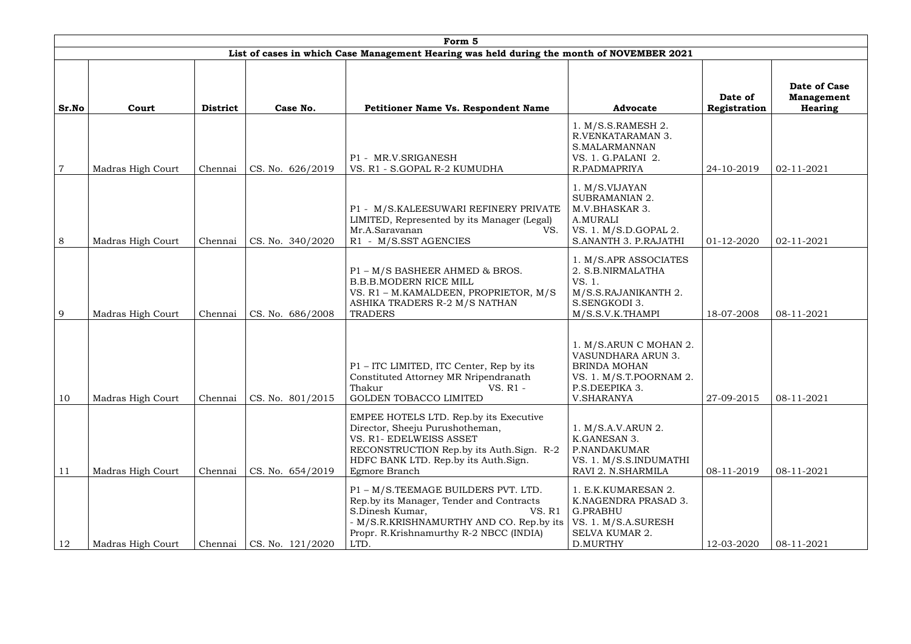|                | Form 5            |                 |                  |                                                                                                                                                                                                             |                                                                                                                                             |                         |                                                     |  |  |  |  |
|----------------|-------------------|-----------------|------------------|-------------------------------------------------------------------------------------------------------------------------------------------------------------------------------------------------------------|---------------------------------------------------------------------------------------------------------------------------------------------|-------------------------|-----------------------------------------------------|--|--|--|--|
|                |                   |                 |                  | List of cases in which Case Management Hearing was held during the month of NOVEMBER 2021                                                                                                                   |                                                                                                                                             |                         |                                                     |  |  |  |  |
| Sr.No          | Court             | <b>District</b> | Case No.         | <b>Petitioner Name Vs. Respondent Name</b>                                                                                                                                                                  | <b>Advocate</b>                                                                                                                             | Date of<br>Registration | Date of Case<br><b>Management</b><br><b>Hearing</b> |  |  |  |  |
| $\overline{7}$ | Madras High Court | Chennai         | CS. No. 626/2019 | P1 - MR.V.SRIGANESH<br>VS. R1 - S.GOPAL R-2 KUMUDHA                                                                                                                                                         | 1. M/S.S.RAMESH 2.<br>R.VENKATARAMAN 3.<br>S.MALARMANNAN<br>VS. 1. G.PALANI 2.<br>R.PADMAPRIYA                                              | 24-10-2019              | 02-11-2021                                          |  |  |  |  |
| 8              | Madras High Court | Chennai         | CS. No. 340/2020 | P1 - M/S.KALEESUWARI REFINERY PRIVATE<br>LIMITED, Represented by its Manager (Legal)<br>Mr.A.Saravanan<br>VS.<br>R1 - M/S.SST AGENCIES                                                                      | 1. M/S.VIJAYAN<br><b>SUBRAMANIAN 2.</b><br>M.V.BHASKAR 3.<br>A.MURALI<br>VS. 1. M/S.D.GOPAL 2.<br>S.ANANTH 3. P.RAJATHI                     | 01-12-2020              | 02-11-2021                                          |  |  |  |  |
| 9              | Madras High Court | Chennai         | CS. No. 686/2008 | P1 - M/S BASHEER AHMED & BROS.<br><b>B.B.B.MODERN RICE MILL</b><br>VS. R1 - M.KAMALDEEN, PROPRIETOR, M/S<br>ASHIKA TRADERS R-2 M/S NATHAN<br><b>TRADERS</b>                                                 | 1. M/S.APR ASSOCIATES<br>2. S.B.NIRMALATHA<br>VS. 1.<br>M/S.S.RAJANIKANTH 2.<br>S.SENGKODI 3.<br>M/S.S.V.K.THAMPI                           | 18-07-2008              | 08-11-2021                                          |  |  |  |  |
| 10             | Madras High Court | Chennai         | CS. No. 801/2015 | P1 - ITC LIMITED, ITC Center, Rep by its<br>Constituted Attorney MR Nripendranath<br>VS. R1 -<br>Thakur<br>GOLDEN TOBACCO LIMITED                                                                           | 1. M/S.ARUN C MOHAN 2.<br><b>VASUNDHARA ARUN 3</b><br><b>BRINDA MOHAN</b><br>VS. 1. M/S.T.POORNAM 2.<br>P.S.DEEPIKA 3.<br><b>V.SHARANYA</b> | 27-09-2015              | 08-11-2021                                          |  |  |  |  |
| 11             | Madras High Court | Chennai         | CS. No. 654/2019 | EMPEE HOTELS LTD. Rep.by its Executive<br>Director, Sheeju Purushotheman,<br>VS. R1- EDELWEISS ASSET<br>RECONSTRUCTION Rep.by its Auth.Sign. R-2<br>HDFC BANK LTD. Rep.by its Auth. Sign.<br>Egmore Branch  | 1. M/S.A.V.ARUN 2.<br>K.GANESAN 3.<br>P.NANDAKUMAR<br>VS. 1. M/S.S.INDUMATHI<br>RAVI 2. N.SHARMILA                                          | 08-11-2019              | 08-11-2021                                          |  |  |  |  |
| 12             | Madras High Court | Chennai         | CS. No. 121/2020 | P1 - M/S.TEEMAGE BUILDERS PVT. LTD.<br>Rep.by its Manager, Tender and Contracts<br>S.Dinesh Kumar,<br>VS. R1<br>- M/S.R.KRISHNAMURTHY AND CO. Rep.by its<br>Propr. R.Krishnamurthy R-2 NBCC (INDIA)<br>LTD. | 1. E.K.KUMARESAN 2.<br>K.NAGENDRA PRASAD 3.<br><b>G.PRABHU</b><br>VS. 1. M/S.A.SURESH<br><b>SELVA KUMAR 2.</b><br>D.MURTHY                  | 12-03-2020              | 08-11-2021                                          |  |  |  |  |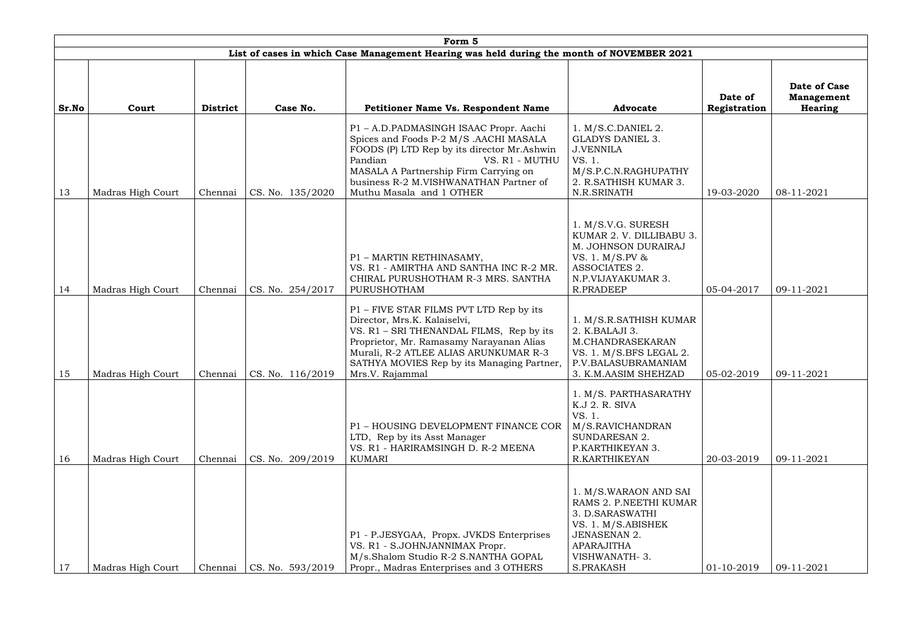|       | Form 5                                                                                    |                 |                            |                                                                                                                                                                                                                                                                             |                                                                                                                                                             |                         |                                                     |  |  |  |  |
|-------|-------------------------------------------------------------------------------------------|-----------------|----------------------------|-----------------------------------------------------------------------------------------------------------------------------------------------------------------------------------------------------------------------------------------------------------------------------|-------------------------------------------------------------------------------------------------------------------------------------------------------------|-------------------------|-----------------------------------------------------|--|--|--|--|
|       | List of cases in which Case Management Hearing was held during the month of NOVEMBER 2021 |                 |                            |                                                                                                                                                                                                                                                                             |                                                                                                                                                             |                         |                                                     |  |  |  |  |
| Sr.No | Court                                                                                     | <b>District</b> | Case No.                   | <b>Petitioner Name Vs. Respondent Name</b>                                                                                                                                                                                                                                  | <b>Advocate</b>                                                                                                                                             | Date of<br>Registration | Date of Case<br><b>Management</b><br><b>Hearing</b> |  |  |  |  |
| 13    | Madras High Court                                                                         | Chennai         | CS. No. 135/2020           | P1 - A.D.PADMASINGH ISAAC Propr. Aachi<br>Spices and Foods P-2 M/S .AACHI MASALA<br>FOODS (P) LTD Rep by its director Mr.Ashwin<br>Pandian<br>VS. R1 - MUTHU<br>MASALA A Partnership Firm Carrying on<br>business R-2 M.VISHWANATHAN Partner of<br>Muthu Masala and 1 OTHER | $1. M/S.C.DANIEL$ 2.<br><b>GLADYS DANIEL 3.</b><br><b>J.VENNILA</b><br>VS. 1.<br>M/S.P.C.N.RAGHUPATHY<br>2. R.SATHISH KUMAR 3.<br>N.R.SRINATH               | 19-03-2020              | 08-11-2021                                          |  |  |  |  |
| 14    | Madras High Court                                                                         | Chennai         | CS. No. 254/2017           | P1 - MARTIN RETHINASAMY,<br>VS. R1 - AMIRTHA AND SANTHA INC R-2 MR.<br>CHIRAL PURUSHOTHAM R-3 MRS. SANTHA<br>PURUSHOTHAM                                                                                                                                                    | 1. M/S.V.G. SURESH<br>KUMAR 2. V. DILLIBABU 3.<br>M. JOHNSON DURAIRAJ<br>VS. 1. M/S.PV &<br>ASSOCIATES 2.<br>N.P.VIJAYAKUMAR 3.<br><b>R.PRADEEP</b>         | 05-04-2017              | 09-11-2021                                          |  |  |  |  |
| 15    | Madras High Court                                                                         | Chennai         | $\text{CS. No. } 116/2019$ | P1 – FIVE STAR FILMS PVT LTD Rep by its<br>Director, Mrs.K. Kalaiselvi,<br>VS. R1 - SRI THENANDAL FILMS, Rep by its<br>Proprietor, Mr. Ramasamy Narayanan Alias<br>Murali, R-2 ATLEE ALIAS ARUNKUMAR R-3<br>SATHYA MOVIES Rep by its Managing Partner,<br>Mrs.V. Rajammal   | 1. M/S.R.SATHISH KUMAR<br>2. K.BALAJI 3.<br>M.CHANDRASEKARAN<br>VS. 1. M/S.BFS LEGAL 2.<br>P.V.BALASUBRAMANIAM<br>3. K.M.AASIM SHEHZAD                      | 05-02-2019              | 09-11-2021                                          |  |  |  |  |
| 16    | Madras High Court                                                                         | Chennai         | CS. No. 209/2019           | P1 - HOUSING DEVELOPMENT FINANCE COR<br>LTD, Rep by its Asst Manager<br>VS. R1 - HARIRAMSINGH D. R-2 MEENA<br><b>KUMARI</b>                                                                                                                                                 | 1. M/S. PARTHASARATHY<br>K.J 2. R. SIVA<br>VS. 1.<br>M/S.RAVICHANDRAN<br>SUNDARESAN 2.<br>P.KARTHIKEYAN 3.<br>R.KARTHIKEYAN                                 | 20-03-2019              | 09-11-2021                                          |  |  |  |  |
| 17    | Madras High Court                                                                         | Chennai         | CS. No. 593/2019           | P1 - P.JESYGAA, Propx. JVKDS Enterprises<br>VS. R1 - S.JOHNJANNIMAX Propr.<br>M/s.Shalom Studio R-2 S.NANTHA GOPAL<br>Propr., Madras Enterprises and 3 OTHERS                                                                                                               | 1. M/S.WARAON AND SAI<br>RAMS 2. P.NEETHI KUMAR<br>3. D.SARASWATHI<br>VS. 1. M/S.ABISHEK<br><b>JENASENAN 2.</b><br>APARAJITHA<br>VISHWANATH-3.<br>S.PRAKASH | $01-10-2019$            | 09-11-2021                                          |  |  |  |  |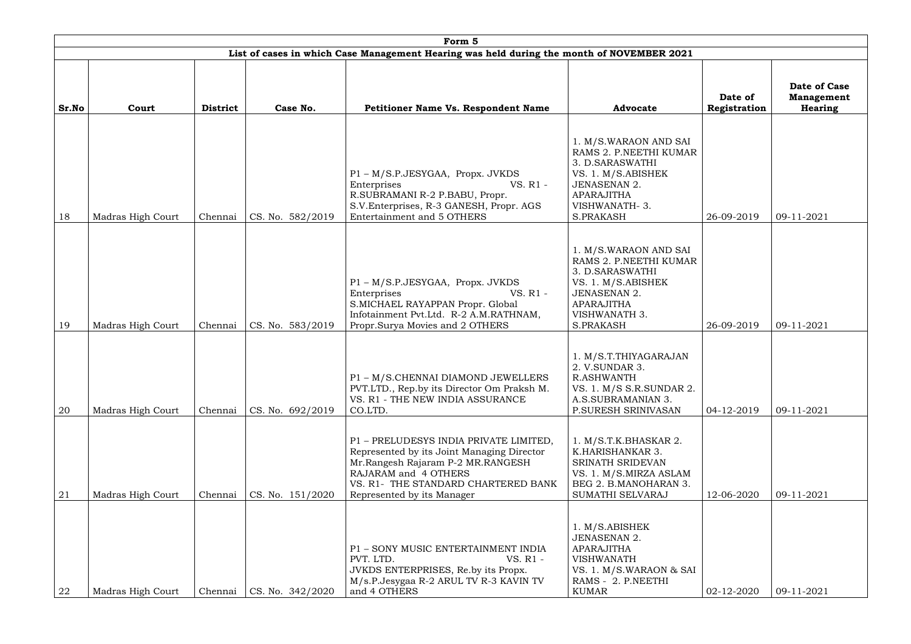|       | Form 5            |                 |                  |                                                                                                                                                                                                                        |                                                                                                                                                                           |                         |                                              |  |  |  |  |
|-------|-------------------|-----------------|------------------|------------------------------------------------------------------------------------------------------------------------------------------------------------------------------------------------------------------------|---------------------------------------------------------------------------------------------------------------------------------------------------------------------------|-------------------------|----------------------------------------------|--|--|--|--|
|       |                   |                 |                  | List of cases in which Case Management Hearing was held during the month of NOVEMBER 2021                                                                                                                              |                                                                                                                                                                           |                         |                                              |  |  |  |  |
| Sr.No | Court             | <b>District</b> | Case No.         | <b>Petitioner Name Vs. Respondent Name</b>                                                                                                                                                                             | <b>Advocate</b>                                                                                                                                                           | Date of<br>Registration | Date of Case<br><b>Management</b><br>Hearing |  |  |  |  |
| 18    | Madras High Court | Chennai         | CS. No. 582/2019 | P1 - M/S.P.JESYGAA, Propx. JVKDS<br>VS. R1 -<br>Enterprises<br>R.SUBRAMANI R-2 P.BABU, Propr.<br>S.V.Enterprises, R-3 GANESH, Propr. AGS<br>Entertainment and 5 OTHERS                                                 | 1. M/S.WARAON AND SAI<br>RAMS 2. P.NEETHI KUMAR<br>3. D.SARASWATHI<br>VS. 1. M/S.ABISHEK<br><b>JENASENAN 2.</b><br><b>APARAJITHA</b><br>VISHWANATH-3.<br><b>S.PRAKASH</b> | 26-09-2019              | 09-11-2021                                   |  |  |  |  |
| 19    | Madras High Court | Chennai         | CS. No. 583/2019 | P1 - M/S.P.JESYGAA, Propx. JVKDS<br>VS. R1 -<br>Enterprises<br>S.MICHAEL RAYAPPAN Propr. Global<br>Infotainment Pvt.Ltd. R-2 A.M.RATHNAM,<br>Propr.Surya Movies and 2 OTHERS                                           | 1. M/S.WARAON AND SAI<br>RAMS 2. P.NEETHI KUMAR<br>3. D.SARASWATHI<br>VS. 1. M/S.ABISHEK<br><b>JENASENAN 2.</b><br>APARAJITHA<br>VISHWANATH 3.<br>S.PRAKASH               | 26-09-2019              | 09-11-2021                                   |  |  |  |  |
| 20    | Madras High Court | Chennai         | CS. No. 692/2019 | P1 - M/S.CHENNAI DIAMOND JEWELLERS<br>PVT.LTD., Rep.by its Director Om Praksh M.<br>VS. R1 - THE NEW INDIA ASSURANCE<br>CO.LTD.                                                                                        | 1. M/S.T.THIYAGARAJAN<br>2. V.SUNDAR 3.<br>R.ASHWANTH<br>VS. 1. M/S S.R.SUNDAR 2.<br>A.S.SUBRAMANIAN 3.<br>P.SURESH SRINIVASAN                                            | 04-12-2019              | 09-11-2021                                   |  |  |  |  |
| 21    | Madras High Court | Chennai         | CS. No. 151/2020 | P1 - PRELUDESYS INDIA PRIVATE LIMITED,<br>Represented by its Joint Managing Director<br>Mr.Rangesh Rajaram P-2 MR.RANGESH<br>RAJARAM and 4 OTHERS<br>VS. R1- THE STANDARD CHARTERED BANK<br>Represented by its Manager | 1. M/S.T.K.BHASKAR 2.<br>K.HARISHANKAR 3.<br>SRINATH SRIDEVAN<br>VS. 1. M/S.MIRZA ASLAM<br>BEG 2. B.MANOHARAN 3.<br>SUMATHI SELVARAJ                                      | 12-06-2020              | 09-11-2021                                   |  |  |  |  |
| 22    | Madras High Court | Chennai         | CS. No. 342/2020 | P1 - SONY MUSIC ENTERTAINMENT INDIA<br>PVT. LTD.<br>VS. R1 -<br>JVKDS ENTERPRISES, Re.by its Propx.<br>M/s.P.Jesygaa R-2 ARUL TV R-3 KAVIN TV<br>and 4 OTHERS                                                          | 1. M/S.ABISHEK<br><b>JENASENAN 2.</b><br><b>APARAJITHA</b><br><b>VISHWANATH</b><br>VS. 1. M/S.WARAON & SAI<br>RAMS - 2. P.NEETHI<br><b>KUMAR</b>                          | 02-12-2020              | 09-11-2021                                   |  |  |  |  |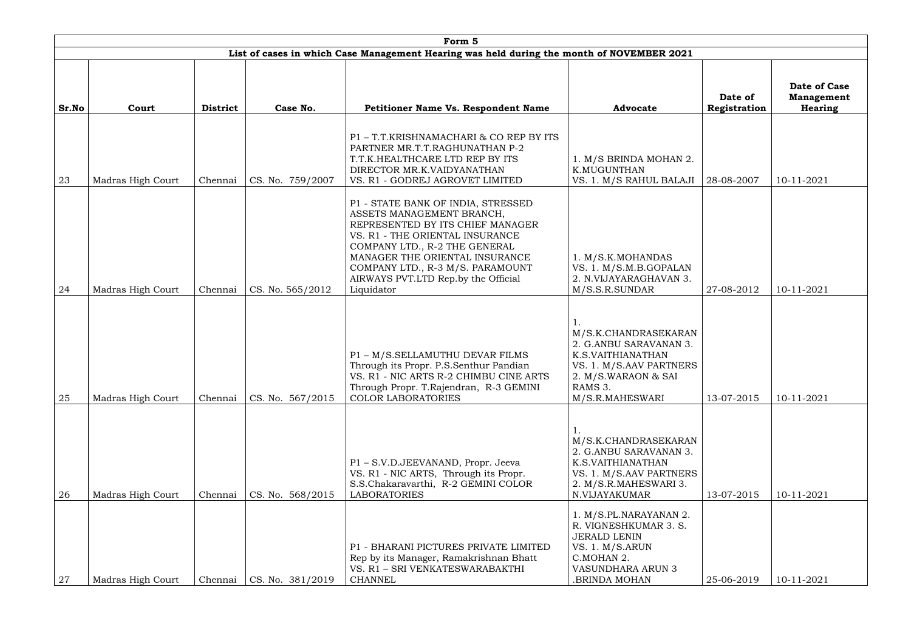|       | Form 5            |                 |                  |                                                                                                                                                                                                                                                                                                    |                                                                                                                                                            |                         |                                                     |  |  |  |  |
|-------|-------------------|-----------------|------------------|----------------------------------------------------------------------------------------------------------------------------------------------------------------------------------------------------------------------------------------------------------------------------------------------------|------------------------------------------------------------------------------------------------------------------------------------------------------------|-------------------------|-----------------------------------------------------|--|--|--|--|
|       |                   |                 |                  | List of cases in which Case Management Hearing was held during the month of NOVEMBER 2021                                                                                                                                                                                                          |                                                                                                                                                            |                         |                                                     |  |  |  |  |
| Sr.No | Court             | <b>District</b> | Case No.         | <b>Petitioner Name Vs. Respondent Name</b>                                                                                                                                                                                                                                                         | <b>Advocate</b>                                                                                                                                            | Date of<br>Registration | <b>Date of Case</b><br><b>Management</b><br>Hearing |  |  |  |  |
| 23    | Madras High Court | Chennai         | CS. No. 759/2007 | P1-T.T.KRISHNAMACHARI & CO REP BY ITS<br>PARTNER MR.T.T.RAGHUNATHAN P-2<br>T.T.K.HEALTHCARE LTD REP BY ITS<br>DIRECTOR MR.K.VAIDYANATHAN<br>VS. R1 - GODREJ AGROVET LIMITED                                                                                                                        | 1. M/S BRINDA MOHAN 2.<br>K.MUGUNTHAN<br>VS. 1. M/S RAHUL BALAJI                                                                                           | 28-08-2007              | 10-11-2021                                          |  |  |  |  |
| 24    | Madras High Court | Chennai         | CS. No. 565/2012 | P1 - STATE BANK OF INDIA, STRESSED<br>ASSETS MANAGEMENT BRANCH,<br>REPRESENTED BY ITS CHIEF MANAGER<br>VS. R1 - THE ORIENTAL INSURANCE<br>COMPANY LTD., R-2 THE GENERAL<br>MANAGER THE ORIENTAL INSURANCE<br>COMPANY LTD., R-3 M/S. PARAMOUNT<br>AIRWAYS PVT.LTD Rep.by the Official<br>Liquidator | 1. M/S.K.MOHANDAS<br>VS. 1. M/S.M.B.GOPALAN<br>2. N.VIJAYARAGHAVAN 3.<br>M/S.S.R.SUNDAR                                                                    | 27-08-2012              | 10-11-2021                                          |  |  |  |  |
| 25    | Madras High Court | Chennai         | CS. No. 567/2015 | P1 - M/S.SELLAMUTHU DEVAR FILMS<br>Through its Propr. P.S.Senthur Pandian<br>VS. R1 - NIC ARTS R-2 CHIMBU CINE ARTS<br>Through Propr. T.Rajendran, R-3 GEMINI<br><b>COLOR LABORATORIES</b>                                                                                                         | M/S.K.CHANDRASEKARAN<br>2. G.ANBU SARAVANAN 3.<br>K.S.VAITHIANATHAN<br>VS. 1. M/S.AAV PARTNERS<br>2. M/S.WARAON & SAI<br>RAMS 3.<br>M/S.R.MAHESWARI        | 13-07-2015              | 10-11-2021                                          |  |  |  |  |
| 26    | Madras High Court | Chennai         | CS. No. 568/2015 | P1 - S.V.D.JEEVANAND, Propr. Jeeva<br>VS. R1 - NIC ARTS, Through its Propr.<br>S.S.Chakaravarthi, R-2 GEMINI COLOR<br><b>LABORATORIES</b>                                                                                                                                                          | M/S.K.CHANDRASEKARAN<br>2. G.ANBU SARAVANAN 3.<br>K.S.VAITHIANATHAN<br>VS. 1. M/S.AAV PARTNERS<br>2. M/S.R.MAHESWARI 3.<br>N.VIJAYAKUMAR                   | 13-07-2015              | 10-11-2021                                          |  |  |  |  |
| 27    | Madras High Court | Chennai         | CS. No. 381/2019 | P1 - BHARANI PICTURES PRIVATE LIMITED<br>Rep by its Manager, Ramakrishnan Bhatt<br>VS. R1 - SRI VENKATESWARABAKTHI<br><b>CHANNEL</b>                                                                                                                                                               | 1. M/S.PL.NARAYANAN 2.<br>R. VIGNESHKUMAR 3. S.<br><b>JERALD LENIN</b><br>VS. 1. M/S.ARUN<br>C.MOHAN 2.<br><b>VASUNDHARA ARUN 3</b><br><b>BRINDA MOHAN</b> | 25-06-2019              | 10-11-2021                                          |  |  |  |  |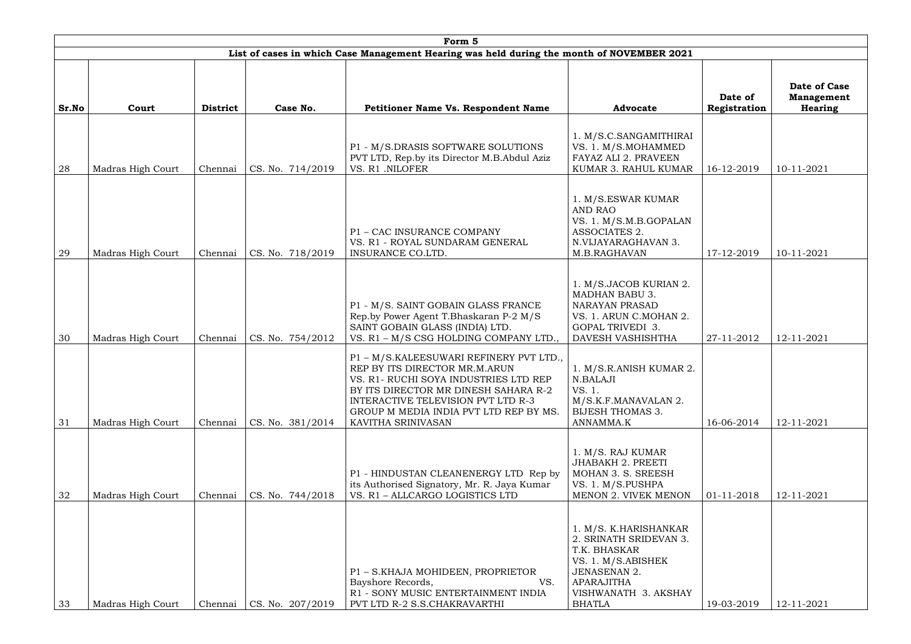|       | Form 5            |                 |                  |                                                                                                                                                                                                                                                                  |                                                                                                                                                                            |                         |                                                     |  |  |  |  |
|-------|-------------------|-----------------|------------------|------------------------------------------------------------------------------------------------------------------------------------------------------------------------------------------------------------------------------------------------------------------|----------------------------------------------------------------------------------------------------------------------------------------------------------------------------|-------------------------|-----------------------------------------------------|--|--|--|--|
|       |                   |                 |                  | List of cases in which Case Management Hearing was held during the month of NOVEMBER 2021                                                                                                                                                                        |                                                                                                                                                                            |                         |                                                     |  |  |  |  |
| Sr.No | Court             | <b>District</b> | Case No.         | <b>Petitioner Name Vs. Respondent Name</b>                                                                                                                                                                                                                       | <b>Advocate</b>                                                                                                                                                            | Date of<br>Registration | Date of Case<br><b>Management</b><br><b>Hearing</b> |  |  |  |  |
| 28    | Madras High Court | Chennai         | CS. No. 714/2019 | P1 - M/S.DRASIS SOFTWARE SOLUTIONS<br>PVT LTD, Rep.by its Director M.B.Abdul Aziz<br>VS. R1 .NILOFER                                                                                                                                                             | 1. M/S.C.SANGAMITHIRAI<br>VS. 1. M/S.MOHAMMED<br>FAYAZ ALI 2. PRAVEEN<br>KUMAR 3. RAHUL KUMAR                                                                              | 16-12-2019              | 10-11-2021                                          |  |  |  |  |
| 29    | Madras High Court | Chennai         | CS. No. 718/2019 | P1 - CAC INSURANCE COMPANY<br>VS. R1 - ROYAL SUNDARAM GENERAL<br>INSURANCE CO.LTD.                                                                                                                                                                               | 1. M/S.ESWAR KUMAR<br><b>AND RAO</b><br>VS. 1. M/S.M.B.GOPALAN<br>ASSOCIATES 2.<br>N.VIJAYARAGHAVAN 3.<br>M.B.RAGHAVAN                                                     | 17-12-2019              | 10-11-2021                                          |  |  |  |  |
| 30    | Madras High Court | Chennai         | CS. No. 754/2012 | P1 - M/S. SAINT GOBAIN GLASS FRANCE<br>Rep.by Power Agent T.Bhaskaran P-2 M/S<br>SAINT GOBAIN GLASS (INDIA) LTD.<br>VS. R1 - M/S CSG HOLDING COMPANY LTD.,                                                                                                       | 1. M/S.JACOB KURIAN 2.<br><b>MADHAN BABU 3.</b><br><b>NARAYAN PRASAD</b><br>VS. 1. ARUN C.MOHAN 2.<br><b>GOPAL TRIVEDI 3.</b><br>DAVESH VASHISHTHA                         | 27-11-2012              | 12-11-2021                                          |  |  |  |  |
| 31    | Madras High Court | Chennai         | CS. No. 381/2014 | P1 - M/S.KALEESUWARI REFINERY PVT LTD.,<br>REP BY ITS DIRECTOR MR.M.ARUN<br>VS. R1 - RUCHI SOYA INDUSTRIES LTD REP<br>BY ITS DIRECTOR MR DINESH SAHARA R-2<br>INTERACTIVE TELEVISION PVT LTD R-3<br>GROUP M MEDIA INDIA PVT LTD REP BY MS.<br>KAVITHA SRINIVASAN | 1. M/S.R.ANISH KUMAR 2.<br>N.BALAJI<br>VS. 1.<br>M/S.K.F.MANAVALAN 2.<br><b>BIJESH THOMAS 3.</b><br>ANNAMMA.K                                                              | 16-06-2014              | 12-11-2021                                          |  |  |  |  |
| 32    | Madras High Court | Chennai         | CS. No. 744/2018 | P1 - HINDUSTAN CLEANENERGY LTD Rep by<br>its Authorised Signatory, Mr. R. Jaya Kumar<br>VS. R1 - ALLCARGO LOGISTICS LTD                                                                                                                                          | 1. M/S. RAJ KUMAR<br><b>JHABAKH 2. PREETI</b><br>MOHAN 3. S. SREESH<br>VS. 1. M/S.PUSHPA<br>MENON 2. VIVEK MENON                                                           | 01-11-2018              | 12-11-2021                                          |  |  |  |  |
| 33    | Madras High Court | Chennai         | CS. No. 207/2019 | P1 - S.KHAJA MOHIDEEN, PROPRIETOR<br>Bayshore Records,<br>VS.<br>R1 - SONY MUSIC ENTERTAINMENT INDIA<br>PVT LTD R-2 S.S.CHAKRAVARTHI                                                                                                                             | 1. M/S. K.HARISHANKAR<br>2. SRINATH SRIDEVAN 3.<br>T.K. BHASKAR<br>VS. 1. M/S.ABISHEK<br><b>JENASENAN 2.</b><br><b>APARAJITHA</b><br>VISHWANATH 3. AKSHAY<br><b>BHATLA</b> | 19-03-2019              | 12-11-2021                                          |  |  |  |  |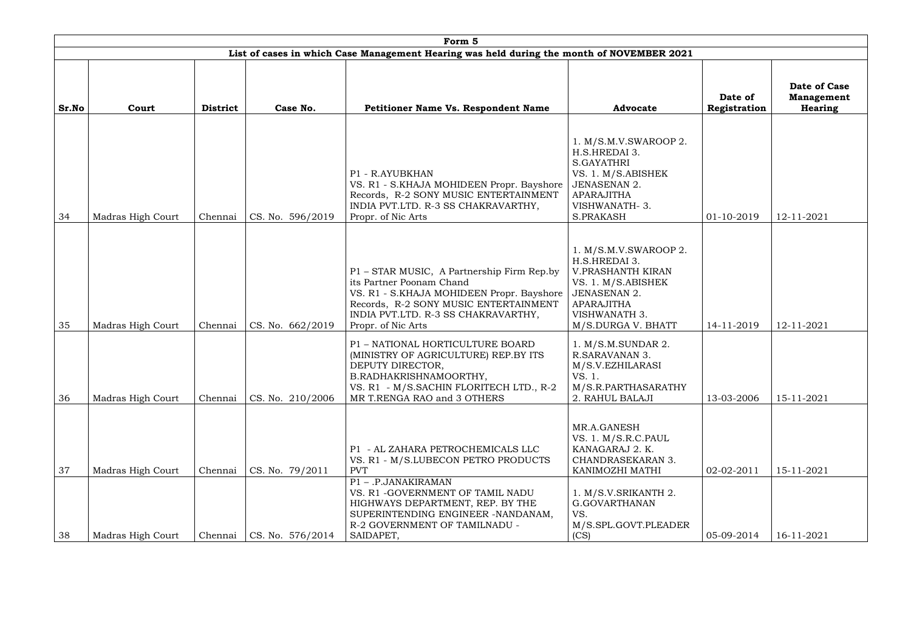|       |                   |                 |                  | Form 5                                                                                                                                                                                                                    |                                                                                                                                                                             |                         |                                                            |
|-------|-------------------|-----------------|------------------|---------------------------------------------------------------------------------------------------------------------------------------------------------------------------------------------------------------------------|-----------------------------------------------------------------------------------------------------------------------------------------------------------------------------|-------------------------|------------------------------------------------------------|
|       |                   |                 |                  | List of cases in which Case Management Hearing was held during the month of NOVEMBER 2021                                                                                                                                 |                                                                                                                                                                             |                         |                                                            |
| Sr.No | Court             | <b>District</b> | Case No.         | Petitioner Name Vs. Respondent Name                                                                                                                                                                                       | <b>Advocate</b>                                                                                                                                                             | Date of<br>Registration | <b>Date of Case</b><br><b>Management</b><br><b>Hearing</b> |
| 34    | Madras High Court | Chennai         | CS. No. 596/2019 | P1 - R.AYUBKHAN<br>VS. R1 - S.KHAJA MOHIDEEN Propr. Bayshore<br>Records, R-2 SONY MUSIC ENTERTAINMENT<br>INDIA PVT.LTD. R-3 SS CHAKRAVARTHY,<br>Propr. of Nic Arts                                                        | 1. M/S.M.V.SWAROOP 2.<br>H.S.HREDAI 3.<br>S.GAYATHRI<br>VS. 1. M/S.ABISHEK<br><b>JENASENAN 2.</b><br><b>APARAJITHA</b><br>VISHWANATH-3.<br><b>S.PRAKASH</b>                 | 01-10-2019              | 12-11-2021                                                 |
| 35    | Madras High Court | Chennai         | CS. No. 662/2019 | P1 - STAR MUSIC, A Partnership Firm Rep.by<br>its Partner Poonam Chand<br>VS. R1 - S.KHAJA MOHIDEEN Propr. Bayshore<br>Records, R-2 SONY MUSIC ENTERTAINMENT<br>INDIA PVT.LTD. R-3 SS CHAKRAVARTHY,<br>Propr. of Nic Arts | 1. M/S.M.V.SWAROOP 2.<br>H.S.HREDAI 3.<br>V.PRASHANTH KIRAN<br>VS. 1. M/S.ABISHEK<br><b>JENASENAN 2.</b><br><b>APARAJITHA</b><br><b>VISHWANATH 3.</b><br>M/S.DURGA V. BHATT | 14-11-2019              | 12-11-2021                                                 |
| 36    | Madras High Court | Chennai         | CS. No. 210/2006 | P1 - NATIONAL HORTICULTURE BOARD<br>(MINISTRY OF AGRICULTURE) REP.BY ITS<br>DEPUTY DIRECTOR,<br>B.RADHAKRISHNAMOORTHY,<br>VS. R1 - M/S.SACHIN FLORITECH LTD., R-2<br>MR T.RENGA RAO and 3 OTHERS                          | 1. M/S.M.SUNDAR 2.<br>R.SARAVANAN 3.<br>M/S.V.EZHILARASI<br>VS. 1.<br>M/S.R.PARTHASARATHY<br>2. RAHUL BALAJI                                                                | 13-03-2006              | 15-11-2021                                                 |
| 37    | Madras High Court | Chennai         | CS. No. 79/2011  | P1 - AL ZAHARA PETROCHEMICALS LLC<br>VS. R1 - M/S.LUBECON PETRO PRODUCTS<br><b>PVT</b><br>P1 - .P.JANAKIRAMAN                                                                                                             | MR.A.GANESH<br>VS. 1. M/S.R.C.PAUL<br>KANAGARAJ 2. K.<br>CHANDRASEKARAN 3.<br>KANIMOZHI MATHI                                                                               | 02-02-2011              | 15-11-2021                                                 |
| 38    | Madras High Court | Chennai         | CS. No. 576/2014 | VS. R1 - GOVERNMENT OF TAMIL NADU<br>HIGHWAYS DEPARTMENT, REP. BY THE<br>SUPERINTENDING ENGINEER - NANDANAM,<br>R-2 GOVERNMENT OF TAMILNADU -<br>SAIDAPET,                                                                | 1. M/S.V.SRIKANTH 2.<br>G.GOVARTHANAN<br>VS.<br>M/S.SPL.GOVT.PLEADER<br>(CS)                                                                                                | 05-09-2014              | 16-11-2021                                                 |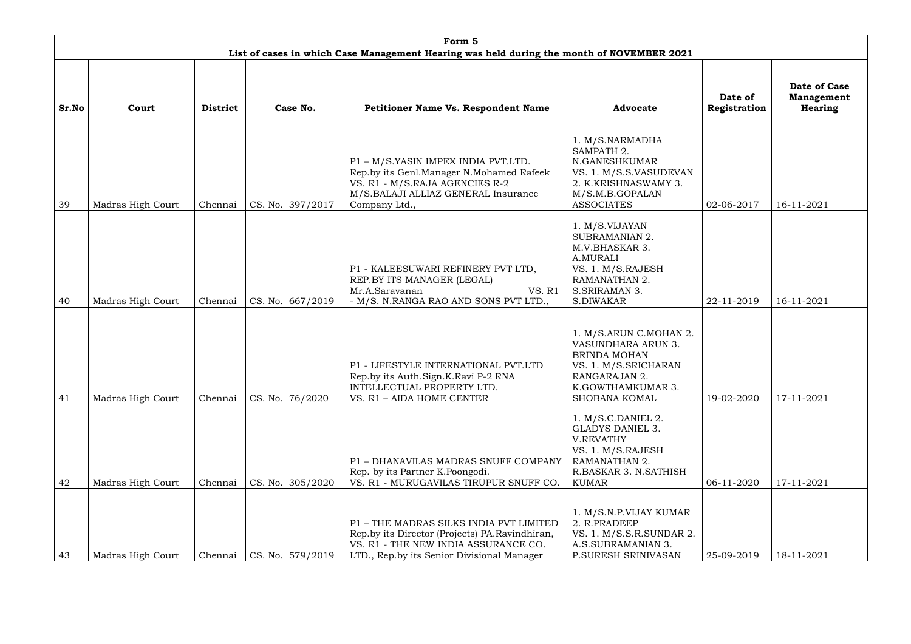|       |                   |                 |                  | Form 5                                                                                                                                                                          |                                                                                                                                                    |                         |                                                     |
|-------|-------------------|-----------------|------------------|---------------------------------------------------------------------------------------------------------------------------------------------------------------------------------|----------------------------------------------------------------------------------------------------------------------------------------------------|-------------------------|-----------------------------------------------------|
|       |                   |                 |                  | List of cases in which Case Management Hearing was held during the month of NOVEMBER 2021                                                                                       |                                                                                                                                                    |                         |                                                     |
| Sr.No | Court             | <b>District</b> | Case No.         | <b>Petitioner Name Vs. Respondent Name</b>                                                                                                                                      | <b>Advocate</b>                                                                                                                                    | Date of<br>Registration | Date of Case<br><b>Management</b><br><b>Hearing</b> |
| 39    | Madras High Court | Chennai         | CS. No. 397/2017 | P1 - M/S.YASIN IMPEX INDIA PVT.LTD.<br>Rep.by its Genl.Manager N.Mohamed Rafeek<br>VS. R1 - M/S.RAJA AGENCIES R-2<br>M/S.BALAJI ALLIAZ GENERAL Insurance<br>Company Ltd.,       | 1. M/S.NARMADHA<br>SAMPATH 2.<br>N.GANESHKUMAR<br>VS. 1. M/S.S.VASUDEVAN<br>2. K.KRISHNASWAMY 3.<br>M/S.M.B.GOPALAN<br><b>ASSOCIATES</b>           | 02-06-2017              | 16-11-2021                                          |
| 40    | Madras High Court | Chennai         | CS. No. 667/2019 | P1 - KALEESUWARI REFINERY PVT LTD,<br>REP.BY ITS MANAGER (LEGAL)<br>Mr.A.Saravanan<br>VS. R1<br>- M/S. N.RANGA RAO AND SONS PVT LTD.,                                           | 1. M/S.VIJAYAN<br><b>SUBRAMANIAN 2.</b><br>M.V.BHASKAR 3.<br>A.MURALI<br>VS. 1. M/S.RAJESH<br>RAMANATHAN 2.<br>S.SRIRAMAN 3.<br>S.DIWAKAR          | 22-11-2019              | 16-11-2021                                          |
| 41    | Madras High Court | Chennai         | CS. No. 76/2020  | P1 - LIFESTYLE INTERNATIONAL PVT.LTD<br>Rep.by its Auth.Sign.K.Ravi P-2 RNA<br>INTELLECTUAL PROPERTY LTD.<br>VS. R1 - AIDA HOME CENTER                                          | 1. M/S.ARUN C.MOHAN 2.<br>VASUNDHARA ARUN 3.<br><b>BRINDA MOHAN</b><br>VS. 1. M/S.SRICHARAN<br>RANGARAJAN 2.<br>K.GOWTHAMKUMAR 3.<br>SHOBANA KOMAL | 19-02-2020              | 17-11-2021                                          |
| 42    | Madras High Court | Chennai         | CS. No. 305/2020 | P1 - DHANAVILAS MADRAS SNUFF COMPANY<br>Rep. by its Partner K. Poongodi.<br>VS. R1 - MURUGAVILAS TIRUPUR SNUFF CO.                                                              | $1. M/S.C.DANIEL$ 2.<br><b>GLADYS DANIEL 3.</b><br>V.REVATHY<br>VS. 1. M/S.RAJESH<br>RAMANATHAN 2.<br>R.BASKAR 3. N.SATHISH<br><b>KUMAR</b>        | 06-11-2020              | 17-11-2021                                          |
| 43    | Madras High Court | Chennai         | CS. No. 579/2019 | P1 - THE MADRAS SILKS INDIA PVT LIMITED<br>Rep.by its Director (Projects) PA.Ravindhiran,<br>VS. R1 - THE NEW INDIA ASSURANCE CO.<br>LTD., Rep.by its Senior Divisional Manager | 1. M/S.N.P.VIJAY KUMAR<br>2. R.PRADEEP<br>VS. 1. M/S.S.R.SUNDAR 2.<br>A.S.SUBRAMANIAN 3.<br>P.SURESH SRINIVASAN                                    | 25-09-2019              | 18-11-2021                                          |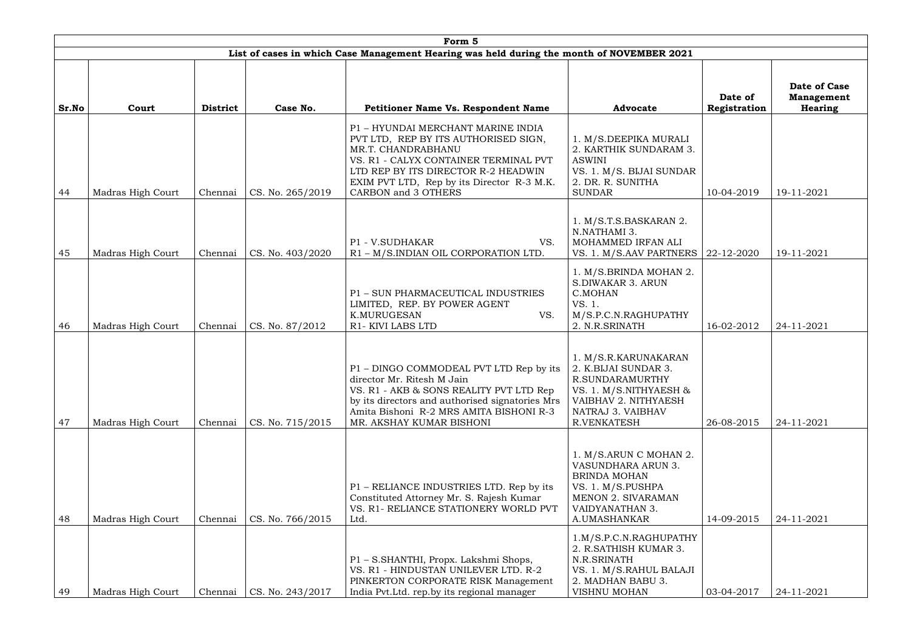|       |                   |                 |                  | Form 5                                                                                                                                                                                                                                                |                                                                                                                                                                 |                         |                                                     |
|-------|-------------------|-----------------|------------------|-------------------------------------------------------------------------------------------------------------------------------------------------------------------------------------------------------------------------------------------------------|-----------------------------------------------------------------------------------------------------------------------------------------------------------------|-------------------------|-----------------------------------------------------|
|       |                   |                 |                  | List of cases in which Case Management Hearing was held during the month of NOVEMBER 2021                                                                                                                                                             |                                                                                                                                                                 |                         |                                                     |
| Sr.No | Court             | <b>District</b> | Case No.         | <b>Petitioner Name Vs. Respondent Name</b>                                                                                                                                                                                                            | <b>Advocate</b>                                                                                                                                                 | Date of<br>Registration | Date of Case<br><b>Management</b><br><b>Hearing</b> |
| 44    | Madras High Court | Chennai         | CS. No. 265/2019 | P1 - HYUNDAI MERCHANT MARINE INDIA<br>PVT LTD, REP BY ITS AUTHORISED SIGN,<br>MR.T. CHANDRABHANU<br>VS. R1 - CALYX CONTAINER TERMINAL PVT<br>LTD REP BY ITS DIRECTOR R-2 HEADWIN<br>EXIM PVT LTD, Rep by its Director R-3 M.K.<br>CARBON and 3 OTHERS | 1. M/S.DEEPIKA MURALI<br>2. KARTHIK SUNDARAM 3.<br><b>ASWINI</b><br>VS. 1. M/S. BIJAI SUNDAR<br>2. DR. R. SUNITHA<br><b>SUNDAR</b>                              | 10-04-2019              | 19-11-2021                                          |
| 45    | Madras High Court | Chennai         | CS. No. 403/2020 | P1 - V.SUDHAKAR<br>VS.<br>R1 - M/S.INDIAN OIL CORPORATION LTD.                                                                                                                                                                                        | 1. M/S.T.S.BASKARAN 2.<br>N.NATHAMI 3.<br>MOHAMMED IRFAN ALI<br>VS. 1. M/S.AAV PARTNERS                                                                         | 22-12-2020              | 19-11-2021                                          |
| 46    | Madras High Court | Chennai         | CS. No. 87/2012  | P1 - SUN PHARMACEUTICAL INDUSTRIES<br>LIMITED, REP. BY POWER AGENT<br>K.MURUGESAN<br>VS.<br>R1-KIVI LABS LTD                                                                                                                                          | 1. M/S.BRINDA MOHAN 2.<br><b>S.DIWAKAR 3. ARUN</b><br>C.MOHAN<br>VS. 1.<br>M/S.P.C.N.RAGHUPATHY<br>2. N.R.SRINATH                                               | 16-02-2012              | 24-11-2021                                          |
| 47    | Madras High Court | Chennai         | CS. No. 715/2015 | P1 – DINGO COMMODEAL PVT LTD Rep by its<br>director Mr. Ritesh M Jain<br>VS. R1 - AKB & SONS REALITY PVT LTD Rep<br>by its directors and authorised signatories Mrs<br>Amita Bishoni R-2 MRS AMITA BISHONI R-3<br>MR. AKSHAY KUMAR BISHONI            | 1. M/S.R.KARUNAKARAN<br>2. K.BIJAI SUNDAR 3.<br>R.SUNDARAMURTHY<br>VS. 1. M/S.NITHYAESH &<br>VAIBHAV 2. NITHYAESH<br>NATRAJ 3. VAIBHAV<br><b>R.VENKATESH</b>    | 26-08-2015              | 24-11-2021                                          |
| 48    | Madras High Court | Chennai         | CS. No. 766/2015 | P1 – RELIANCE INDUSTRIES LTD. Rep by its<br>Constituted Attorney Mr. S. Rajesh Kumar<br>VS. R1- RELIANCE STATIONERY WORLD PVT<br>Ltd.                                                                                                                 | 1. M/S.ARUN C MOHAN 2.<br><b>VASUNDHARA ARUN 3.</b><br><b>BRINDA MOHAN</b><br>VS. 1. M/S.PUSHPA<br><b>MENON 2. SIVARAMAN</b><br>VAIDYANATHAN 3.<br>A.UMASHANKAR | 14-09-2015              | 24-11-2021                                          |
| 49    | Madras High Court | Chennai         | CS. No. 243/2017 | P1 - S.SHANTHI, Propx. Lakshmi Shops,<br>VS. R1 - HINDUSTAN UNILEVER LTD. R-2<br>PINKERTON CORPORATE RISK Management<br>India Pvt.Ltd. rep.by its regional manager                                                                                    | 1.M/S.P.C.N.RAGHUPATHY<br>2. R.SATHISH KUMAR 3.<br>N.R.SRINATH<br>VS. 1. M/S.RAHUL BALAJI<br>2. MADHAN BABU 3.<br><b>VISHNU MOHAN</b>                           | 03-04-2017              | 24-11-2021                                          |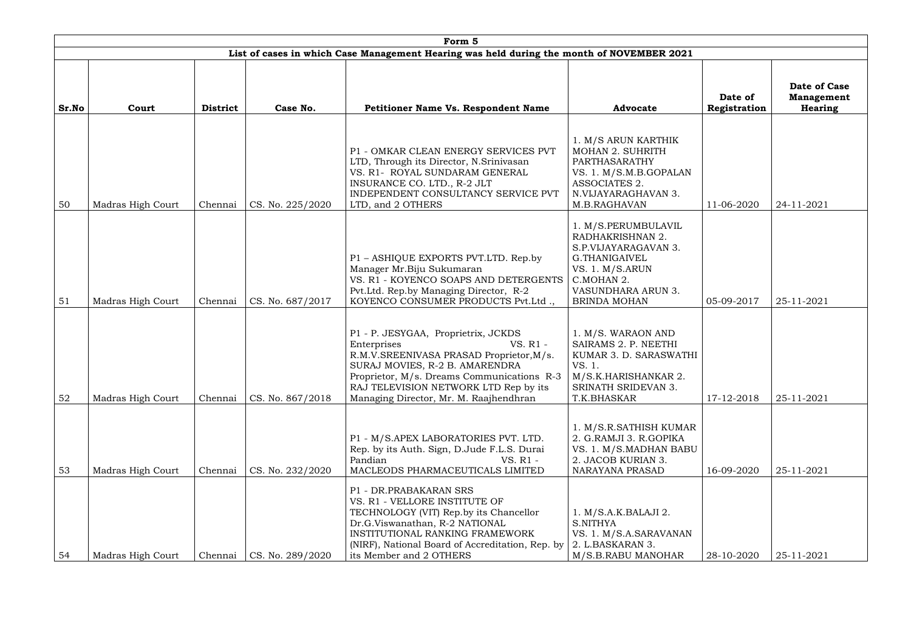|       | Form 5                                                                                    |                 |                  |                                                                                                                                                                                                                                                                               |                                                                                                                                                                |                         |                                              |  |  |  |  |  |
|-------|-------------------------------------------------------------------------------------------|-----------------|------------------|-------------------------------------------------------------------------------------------------------------------------------------------------------------------------------------------------------------------------------------------------------------------------------|----------------------------------------------------------------------------------------------------------------------------------------------------------------|-------------------------|----------------------------------------------|--|--|--|--|--|
|       | List of cases in which Case Management Hearing was held during the month of NOVEMBER 2021 |                 |                  |                                                                                                                                                                                                                                                                               |                                                                                                                                                                |                         |                                              |  |  |  |  |  |
| Sr.No | Court                                                                                     | <b>District</b> | Case No.         | <b>Petitioner Name Vs. Respondent Name</b>                                                                                                                                                                                                                                    | <b>Advocate</b>                                                                                                                                                | Date of<br>Registration | Date of Case<br><b>Management</b><br>Hearing |  |  |  |  |  |
| 50    | Madras High Court                                                                         | Chennai         | CS. No. 225/2020 | P1 - OMKAR CLEAN ENERGY SERVICES PVT<br>LTD, Through its Director, N.Srinivasan<br>VS. R1- ROYAL SUNDARAM GENERAL<br>INSURANCE CO. LTD., R-2 JLT<br>INDEPENDENT CONSULTANCY SERVICE PVT<br>LTD, and 2 OTHERS                                                                  | 1. M/S ARUN KARTHIK<br><b>MOHAN 2. SUHRITH</b><br>PARTHASARATHY<br>VS. 1. M/S.M.B.GOPALAN<br>ASSOCIATES 2.<br>N.VIJAYARAGHAVAN 3.<br>M.B.RAGHAVAN              | 11-06-2020              | 24-11-2021                                   |  |  |  |  |  |
| 51    | Madras High Court                                                                         | Chennai         | CS. No. 687/2017 | P1 - ASHIQUE EXPORTS PVT.LTD. Rep.by<br>Manager Mr.Biju Sukumaran<br>VS. R1 - KOYENCO SOAPS AND DETERGENTS<br>Pvt.Ltd. Rep.by Managing Director, R-2<br>KOYENCO CONSUMER PRODUCTS Pvt.Ltd.,                                                                                   | 1. M/S.PERUMBULAVIL<br>RADHAKRISHNAN 2.<br>S.P.VIJAYARAGAVAN 3.<br>G.THANIGAIVEL<br>VS. 1. M/S.ARUN<br>C.MOHAN 2.<br>VASUNDHARA ARUN 3.<br><b>BRINDA MOHAN</b> | 05-09-2017              | 25-11-2021                                   |  |  |  |  |  |
| 52    | Madras High Court                                                                         | Chennai         | CS. No. 867/2018 | P1 - P. JESYGAA, Proprietrix, JCKDS<br>VS. R1 -<br>Enterprises<br>R.M.V.SREENIVASA PRASAD Proprietor, M/s.<br>SURAJ MOVIES, R-2 B. AMARENDRA<br>Proprietor, M/s. Dreams Communications R-3<br>RAJ TELEVISION NETWORK LTD Rep by its<br>Managing Director, Mr. M. Raajhendhran | 1. M/S. WARAON AND<br>SAIRAMS 2. P. NEETHI<br>KUMAR 3. D. SARASWATHI<br>VS. 1.<br>M/S.K.HARISHANKAR 2.<br>SRINATH SRIDEVAN 3.<br>T.K.BHASKAR                   | 17-12-2018              | 25-11-2021                                   |  |  |  |  |  |
| 53    | Madras High Court                                                                         | Chennai         | CS. No. 232/2020 | P1 - M/S.APEX LABORATORIES PVT. LTD.<br>Rep. by its Auth. Sign, D.Jude F.L.S. Durai<br>Pandian<br>VS. R1 -<br>MACLEODS PHARMACEUTICALS LIMITED                                                                                                                                | 1. M/S.R.SATHISH KUMAR<br>2. G.RAMJI 3. R.GOPIKA<br>VS. 1. M/S.MADHAN BABU<br>2. JACOB KURIAN 3.<br><b>NARAYANA PRASAD</b>                                     | 16-09-2020              | 25-11-2021                                   |  |  |  |  |  |
| 54    | Madras High Court                                                                         | Chennai         | CS. No. 289/2020 | P1 - DR.PRABAKARAN SRS<br>VS. R1 - VELLORE INSTITUTE OF<br>TECHNOLOGY (VIT) Rep.by its Chancellor<br>Dr.G.Viswanathan, R-2 NATIONAL<br>INSTITUTIONAL RANKING FRAMEWORK<br>(NIRF), National Board of Accreditation, Rep. by<br>its Member and 2 OTHERS                         | 1. M/S.A.K.BALAJI 2.<br><b>S.NITHYA</b><br>VS. 1. M/S.A.SARAVANAN<br>2. L.BASKARAN 3.<br>M/S.B.RABU MANOHAR                                                    | 28-10-2020              | 25-11-2021                                   |  |  |  |  |  |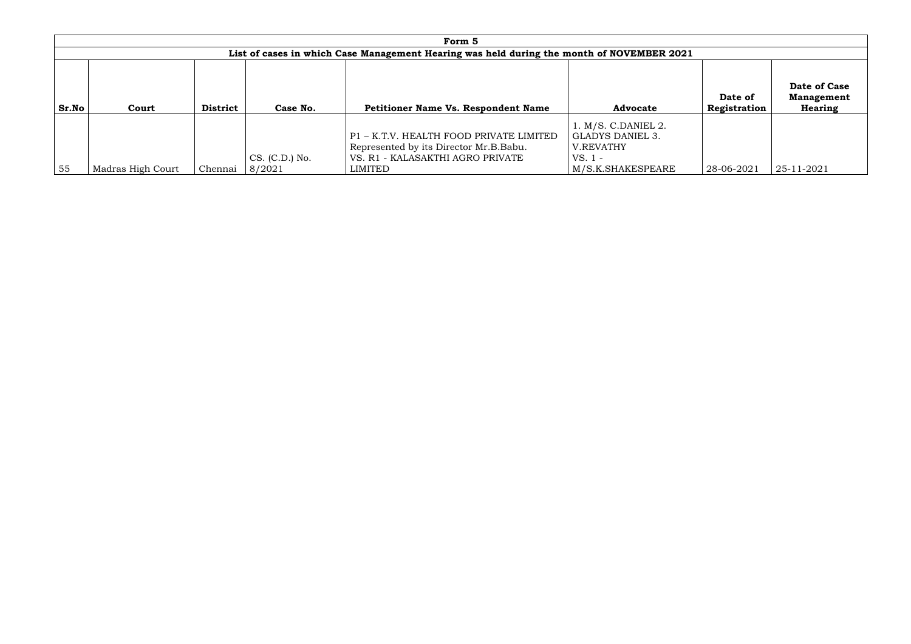|       | Form 5                                                                                    |                 |                            |                                                                                                                                  |                                                                                       |                         |                                              |  |  |  |  |  |
|-------|-------------------------------------------------------------------------------------------|-----------------|----------------------------|----------------------------------------------------------------------------------------------------------------------------------|---------------------------------------------------------------------------------------|-------------------------|----------------------------------------------|--|--|--|--|--|
|       | List of cases in which Case Management Hearing was held during the month of NOVEMBER 2021 |                 |                            |                                                                                                                                  |                                                                                       |                         |                                              |  |  |  |  |  |
| Sr.No | Court                                                                                     | <b>District</b> | Case No.                   | <b>Petitioner Name Vs. Respondent Name</b>                                                                                       | <b>Advocate</b>                                                                       | Date of<br>Registration | Date of Case<br><b>Management</b><br>Hearing |  |  |  |  |  |
| 55    | Madras High Court                                                                         | Chennai         | $CS. (C.D.)$ No.<br>8/2021 | P1 - K.T.V. HEALTH FOOD PRIVATE LIMITED<br>Represented by its Director Mr.B.Babu.<br>VS. R1 - KALASAKTHI AGRO PRIVATE<br>LIMITED | 1. M/S. C.DANIEL 2.<br>GLADYS DANIEL 3.<br>V.REVATHY<br>$VS.1 -$<br>M/S.K.SHAKESPEARE | 28-06-2021              | 25-11-2021                                   |  |  |  |  |  |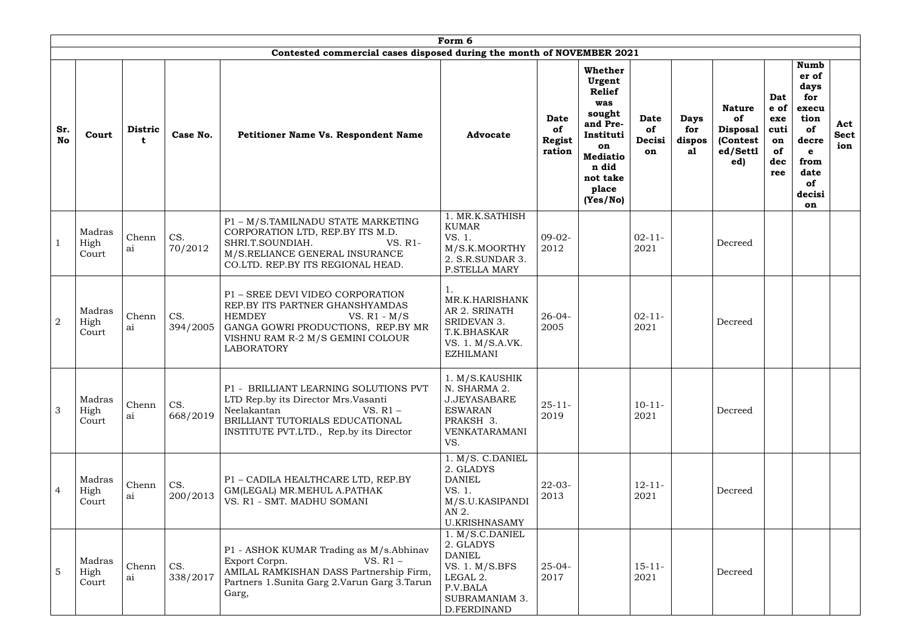|                  | Form 6                  |                     |                 |                                                                                                                                                                                                       |                                                                                                                                   |                                       |                                                                                                                                                        |                                   |                                    |                                                                        |                                                      |                                                                                                                |                           |
|------------------|-------------------------|---------------------|-----------------|-------------------------------------------------------------------------------------------------------------------------------------------------------------------------------------------------------|-----------------------------------------------------------------------------------------------------------------------------------|---------------------------------------|--------------------------------------------------------------------------------------------------------------------------------------------------------|-----------------------------------|------------------------------------|------------------------------------------------------------------------|------------------------------------------------------|----------------------------------------------------------------------------------------------------------------|---------------------------|
|                  |                         |                     |                 | Contested commercial cases disposed during the month of NOVEMBER 2021                                                                                                                                 |                                                                                                                                   |                                       |                                                                                                                                                        |                                   |                                    |                                                                        |                                                      |                                                                                                                |                           |
| Sr.<br><b>No</b> | Court                   | <b>Distric</b><br>t | Case No.        | Petitioner Name Vs. Respondent Name                                                                                                                                                                   | <b>Advocate</b>                                                                                                                   | <b>Date</b><br>of<br>Regist<br>ration | <b>Whether</b><br>Urgent<br><b>Relief</b><br>was<br>sought<br>and Pre-<br>Instituti<br>on<br><b>Mediatio</b><br>n did<br>not take<br>place<br>(Yes/No) | <b>Date</b><br>of<br>Decisi<br>on | <b>Days</b><br>for<br>dispos<br>al | <b>Nature</b><br>of<br><b>Disposal</b><br>(Contest)<br>ed/Settl<br>ed) | Dat<br>e of<br>exe<br>cuti<br>on<br>of<br>dec<br>ree | <b>Numb</b><br>er of<br>days<br>for<br>execu<br>tion<br>of<br>decre<br>e<br>from<br>date<br>of<br>decisi<br>on | Act<br><b>Sect</b><br>ion |
|                  | Madras<br>High<br>Court | Chenn<br>ai         | CS.<br>70/2012  | P1 - M/S.TAMILNADU STATE MARKETING<br>CORPORATION LTD, REP.BY ITS M.D.<br>SHRI.T.SOUNDIAH.<br>VS. R1-<br>M/S.RELIANCE GENERAL INSURANCE<br>CO.LTD. REP.BY ITS REGIONAL HEAD.                          | 1. MR.K.SATHISH<br><b>KUMAR</b><br>VS. 1.<br>M/S.K.MOORTHY<br>2. S.R.SUNDAR 3.<br><b>P.STELLA MARY</b>                            | $09-02-$<br>2012                      |                                                                                                                                                        | $02 - 11 -$<br>2021               |                                    | Decreed                                                                |                                                      |                                                                                                                |                           |
| $\overline{2}$   | Madras<br>High<br>Court | Chenn<br>ai         | CS.<br>394/2005 | P1 - SREE DEVI VIDEO CORPORATION<br>REP.BY ITS PARTNER GHANSHYAMDAS<br><b>HEMDEY</b><br>VS. $R1 - M/S$<br>GANGA GOWRI PRODUCTIONS, REP.BY MR<br>VISHNU RAM R-2 M/S GEMINI COLOUR<br><b>LABORATORY</b> | MR.K.HARISHANK<br>AR 2. SRINATH<br>SRIDEVAN 3.<br>T.K.BHASKAR<br>VS. 1. M/S.A.VK.<br><b>EZHILMANI</b>                             | $26 - 04 -$<br>2005                   |                                                                                                                                                        | $02 - 11 -$<br>2021               |                                    | Decreed                                                                |                                                      |                                                                                                                |                           |
| 3                | Madras<br>High<br>Court | Chenn<br>ai         | CS.<br>668/2019 | P1 - BRILLIANT LEARNING SOLUTIONS PVT<br>LTD Rep.by its Director Mrs.Vasanti<br>Neelakantan<br>VS. $R1 -$<br>BRILLIANT TUTORIALS EDUCATIONAL<br>INSTITUTE PVT.LTD., Rep.by its Director               | 1. M/S.KAUSHIK<br>N. SHARMA 2.<br><b>J.JEYASABARE</b><br><b>ESWARAN</b><br>PRAKSH 3.<br>VENKATARAMANI<br>VS.                      | $25 - 11$<br>2019                     |                                                                                                                                                        | $10-11-$<br>2021                  |                                    | Decreed                                                                |                                                      |                                                                                                                |                           |
| $\overline{4}$   | Madras<br>High<br>Court | Chenn<br>ai         | CS.<br>200/2013 | P1 - CADILA HEALTHCARE LTD, REP.BY<br>GM(LEGAL) MR.MEHUL A.PATHAK<br>VS. R1 - SMT. MADHU SOMANI                                                                                                       | 1. M/S. C.DANIEL<br>2. GLADYS<br><b>DANIEL</b><br>VS. 1.<br>M/S.U.KASIPANDI<br>AN 2.<br><b>U.KRISHNASAMY</b>                      | $22 - 03 -$<br>2013                   |                                                                                                                                                        | $12 - 11 -$<br>2021               |                                    | Decreed                                                                |                                                      |                                                                                                                |                           |
| 5                | Madras<br>High<br>Court | Chenn<br>ai         | CS.<br>338/2017 | P1 - ASHOK KUMAR Trading as M/s.Abhinav<br>VS. $R1 -$<br>Export Corpn.<br>AMILAL RAMKISHAN DASS Partnership Firm,<br>Partners 1. Sunita Garg 2. Varun Garg 3. Tarun<br>Garg,                          | 1. M/S.C.DANIEL<br>2. GLADYS<br><b>DANIEL</b><br>VS. 1. $M/S.BFS$<br>LEGAL 2.<br>P.V.BALA<br><b>SUBRAMANIAM 3.</b><br>D.FERDINAND | $25 - 04 -$<br>2017                   |                                                                                                                                                        | $15 - 11 -$<br>2021               |                                    | Decreed                                                                |                                                      |                                                                                                                |                           |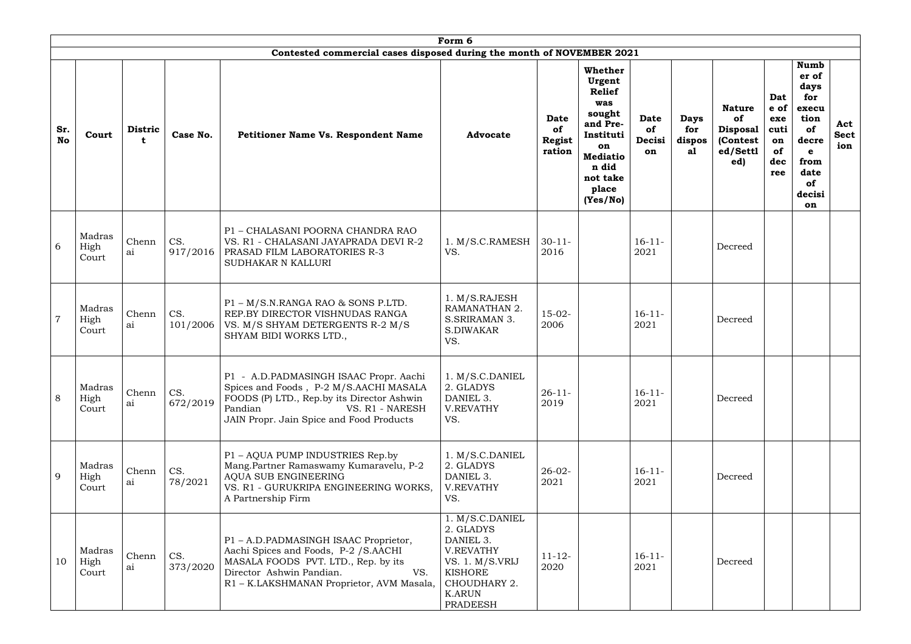|                  | Form 6                       |             |                 |                                                                                                                                                                                                                            |                                                                                                                                                 |                                              |                                                                                                                                                 |                                   |                                    |                                                                       |                                                      |                                                                                                                          |                           |
|------------------|------------------------------|-------------|-----------------|----------------------------------------------------------------------------------------------------------------------------------------------------------------------------------------------------------------------------|-------------------------------------------------------------------------------------------------------------------------------------------------|----------------------------------------------|-------------------------------------------------------------------------------------------------------------------------------------------------|-----------------------------------|------------------------------------|-----------------------------------------------------------------------|------------------------------------------------------|--------------------------------------------------------------------------------------------------------------------------|---------------------------|
|                  |                              |             |                 | Contested commercial cases disposed during the month of NOVEMBER 2021                                                                                                                                                      |                                                                                                                                                 |                                              |                                                                                                                                                 |                                   |                                    |                                                                       |                                                      |                                                                                                                          |                           |
| Sr.<br><b>No</b> | <b>Distric</b><br>Court<br>t |             | Case No.        | Petitioner Name Vs. Respondent Name                                                                                                                                                                                        | <b>Advocate</b>                                                                                                                                 | <b>Date</b><br>of<br><b>Regist</b><br>ration | Whether<br>Urgent<br><b>Relief</b><br>was<br>sought<br>and Pre-<br>Instituti<br>on<br><b>Mediatio</b><br>n did<br>not take<br>place<br>(Yes/No) | <b>Date</b><br>of<br>Decisi<br>on | <b>Days</b><br>for<br>dispos<br>al | <b>Nature</b><br>of<br><b>Disposal</b><br>(Contest<br>ed/Settl<br>ed) | Dat<br>e of<br>exe<br>cuti<br>on<br>of<br>dec<br>ree | <b>Numb</b><br>er of<br>days<br>for<br>execu<br>tion<br>of<br>decre<br>$\mathbf e$<br>from<br>date<br>of<br>decisi<br>on | Act<br><b>Sect</b><br>ion |
| 6                | Madras<br>High<br>Court      | Chenn<br>ai | CS.<br>917/2016 | P1 - CHALASANI POORNA CHANDRA RAO<br>VS. R1 - CHALASANI JAYAPRADA DEVI R-2<br><b>PRASAD FILM LABORATORIES R-3</b><br><b>SUDHAKAR N KALLURI</b>                                                                             | 1. M/S.C.RAMESH<br>VS.                                                                                                                          | $30 - 11$<br>2016                            |                                                                                                                                                 | $16 - 11 -$<br>2021               |                                    | Decreed                                                               |                                                      |                                                                                                                          |                           |
| $\overline{7}$   | Madras<br>High<br>Court      | Chenn<br>ai | CS.<br>101/2006 | P1 - M/S.N.RANGA RAO & SONS P.LTD.<br>REP.BY DIRECTOR VISHNUDAS RANGA<br>VS. M/S SHYAM DETERGENTS R-2 M/S<br>SHYAM BIDI WORKS LTD.,                                                                                        | 1. M/S.RAJESH<br>RAMANATHAN 2.<br>S.SRIRAMAN 3.<br>S.DIWAKAR<br>VS.                                                                             | $15-02-$<br>2006                             |                                                                                                                                                 | $16-11-$<br>2021                  |                                    | Decreed                                                               |                                                      |                                                                                                                          |                           |
| 8                | Madras<br>High<br>Court      | Chenn<br>ai | CS.<br>672/2019 | P1 - A.D.PADMASINGH ISAAC Propr. Aachi   1. M/S.C.DANIEL<br>Spices and Foods, P-2 M/S.AACHI MASALA<br>FOODS (P) LTD., Rep.by its Director Ashwin<br>Pandian<br>VS. R1 - NARESH<br>JAIN Propr. Jain Spice and Food Products | 2. GLADYS<br>DANIEL 3.<br><b>V.REVATHY</b><br>VS.                                                                                               | $26 - 11$<br>2019                            |                                                                                                                                                 | $16 - 11 -$<br>2021               |                                    | Decreed                                                               |                                                      |                                                                                                                          |                           |
| 9                | Madras<br>High<br>Court      | Chenn<br>ai | CS.<br>78/2021  | P1 - AQUA PUMP INDUSTRIES Rep.by<br>Mang.Partner Ramaswamy Kumaravelu, P-2<br>AQUA SUB ENGINEERING<br>VS. R1 - GURUKRIPA ENGINEERING WORKS,<br>A Partnership Firm                                                          | 1. M/S.C.DANIEL<br>2. GLADYS<br>DANIEL 3.<br><b>V.REVATHY</b><br>VS.                                                                            | $26 - 02 -$<br>2021                          |                                                                                                                                                 | $16 - 11 -$<br>2021               |                                    | Decreed                                                               |                                                      |                                                                                                                          |                           |
| 10               | Madras<br>High<br>Court      | Chenn<br>ai | CS.<br>373/2020 | P1 - A.D.PADMASINGH ISAAC Proprietor,<br>Aachi Spices and Foods, P-2 / S.AACHI<br>MASALA FOODS PVT. LTD., Rep. by its<br>Director Ashwin Pandian.<br>VS.<br>R1 - K.LAKSHMANAN Proprietor, AVM Masala,                      | 1. M/S.C.DANIEL<br>2. GLADYS<br>DANIEL 3.<br>V.REVATHY<br>VS. 1. M/S.VRIJ<br><b>KISHORE</b><br>CHOUDHARY 2.<br><b>K.ARUN</b><br><b>PRADEESH</b> | $11 - 12 -$<br>2020                          |                                                                                                                                                 | $16 - 11 -$<br>2021               |                                    | Decreed                                                               |                                                      |                                                                                                                          |                           |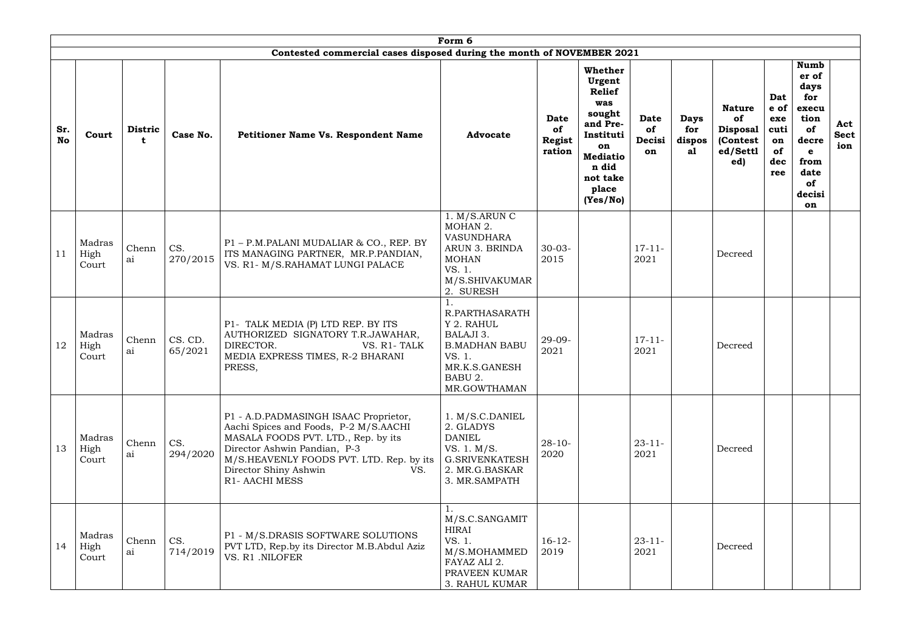|                  | Form 6<br>Contested commercial cases disposed during the month of NOVEMBER 2021 |                     |                    |                                                                                                                                                                                                                                                     |                                                                                                                          |                                       |                                                                                                                                                        |                                   |                                    |                                                                       |                                                      |                                                                                                                          |                           |
|------------------|---------------------------------------------------------------------------------|---------------------|--------------------|-----------------------------------------------------------------------------------------------------------------------------------------------------------------------------------------------------------------------------------------------------|--------------------------------------------------------------------------------------------------------------------------|---------------------------------------|--------------------------------------------------------------------------------------------------------------------------------------------------------|-----------------------------------|------------------------------------|-----------------------------------------------------------------------|------------------------------------------------------|--------------------------------------------------------------------------------------------------------------------------|---------------------------|
| Sr.<br><b>No</b> | Court                                                                           | <b>Distric</b><br>t | Case No.           | <b>Petitioner Name Vs. Respondent Name</b>                                                                                                                                                                                                          | <b>Advocate</b>                                                                                                          | <b>Date</b><br>of<br>Regist<br>ration | <b>Whether</b><br>Urgent<br><b>Relief</b><br>was<br>sought<br>and Pre-<br>Instituti<br>on<br><b>Mediatio</b><br>n did<br>not take<br>place<br>(Yes/No) | <b>Date</b><br>of<br>Decisi<br>on | <b>Days</b><br>for<br>dispos<br>al | <b>Nature</b><br>of<br><b>Disposal</b><br>(Contest<br>ed/Settl<br>ed) | Dat<br>e of<br>exe<br>cuti<br>on<br>of<br>dec<br>ree | <b>Numb</b><br>er of<br>days<br>for<br>execu<br>tion<br>of<br>decre<br>$\mathbf e$<br>from<br>date<br>of<br>decisi<br>on | Act<br><b>Sect</b><br>ion |
| 11               | Madras<br>High<br>Court                                                         | Chenn<br>ai         | CS.<br>270/2015    | P1 - P.M.PALANI MUDALIAR & CO., REP. BY<br>ITS MANAGING PARTNER, MR.P.PANDIAN,<br>VS. R1- M/S.RAHAMAT LUNGI PALACE                                                                                                                                  | 1. M/S.ARUNC<br>MOHAN 2.<br><b>VASUNDHARA</b><br>ARUN 3. BRINDA<br><b>MOHAN</b><br>VS. 1.<br>M/S.SHIVAKUMAR<br>2. SURESH | $30 - 03 -$<br>2015                   |                                                                                                                                                        | $17 - 11 -$<br>2021               |                                    | Decreed                                                               |                                                      |                                                                                                                          |                           |
| 12               | Madras<br>High<br>Court                                                         | Chenn<br>ai         | CS. CD.<br>65/2021 | P1- TALK MEDIA (P) LTD REP. BY ITS<br>AUTHORIZED SIGNATORY T.R.JAWAHAR,<br>DIRECTOR.<br>VS. R1-TALK<br>MEDIA EXPRESS TIMES, R-2 BHARANI<br>PRESS,                                                                                                   | R.PARTHASARATH<br>Y 2. RAHUL<br>BALAJI 3.<br><b>B.MADHAN BABU</b><br>VS. 1.<br>MR.K.S.GANESH<br>BABU 2.<br>MR.GOWTHAMAN  | 29-09-<br>2021                        |                                                                                                                                                        | $17 - 11 -$<br>2021               |                                    | Decreed                                                               |                                                      |                                                                                                                          |                           |
| 13               | Madras<br>High<br>Court                                                         | Chenn<br>ai         | CS.<br>294/2020    | P1 - A.D.PADMASINGH ISAAC Proprietor,<br>Aachi Spices and Foods, P-2 M/S.AACHI<br>MASALA FOODS PVT. LTD., Rep. by its<br>Director Ashwin Pandian, P-3<br>M/S.HEAVENLY FOODS PVT. LTD. Rep. by its<br>Director Shiny Ashwin<br>VS.<br>R1- AACHI MESS | 1. M/S.C.DANIEL<br>2. GLADYS<br><b>DANIEL</b><br>VS. 1. M/S.<br><b>G.SRIVENKATESH</b><br>2. MR.G.BASKAR<br>3. MR.SAMPATH | $28 - 10$<br>2020                     |                                                                                                                                                        | $23 - 11$<br>2021                 |                                    | Decreed                                                               |                                                      |                                                                                                                          |                           |
| 14               | Madras<br>High<br>Court                                                         | Chenn<br>ai         | CS.<br>714/2019    | P1 - M/S.DRASIS SOFTWARE SOLUTIONS<br>PVT LTD, Rep.by its Director M.B.Abdul Aziz<br>VS. R1 .NILOFER                                                                                                                                                | M/S.C.SANGAMIT<br>HIRAI<br>VS. 1.<br>M/S.MOHAMMED<br>FAYAZ ALI 2.<br>PRAVEEN KUMAR<br>3. RAHUL KUMAR                     | $16-12-$<br>2019                      |                                                                                                                                                        | $23 - 11$<br>2021                 |                                    | Decreed                                                               |                                                      |                                                                                                                          |                           |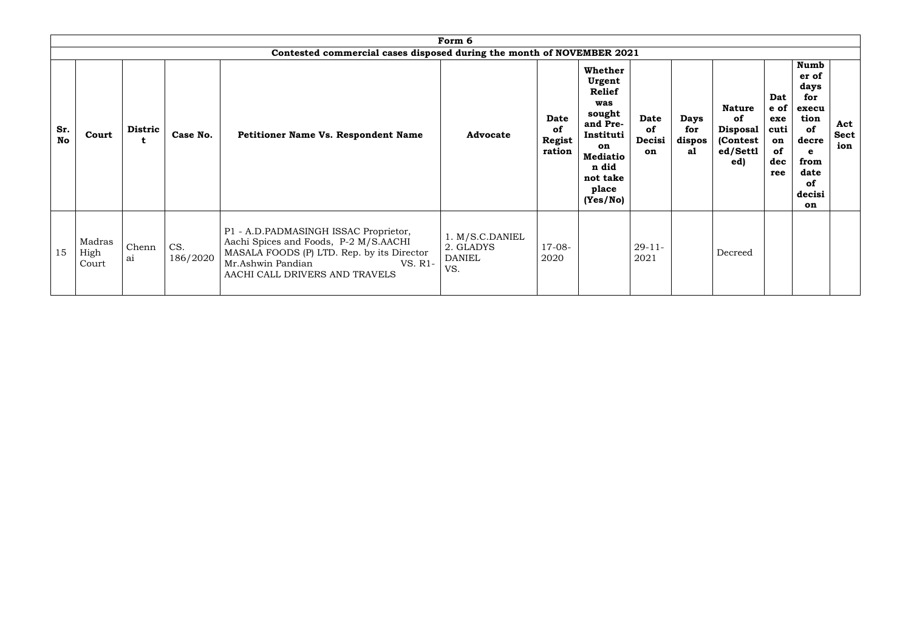|                  | Form 6                  |                     |                 |                                                                                                                                                                                                |                                                      |                                              |                                                                                                                                                        |                            |                                    |                                                                        |                                                      |                                                                                                                |                           |
|------------------|-------------------------|---------------------|-----------------|------------------------------------------------------------------------------------------------------------------------------------------------------------------------------------------------|------------------------------------------------------|----------------------------------------------|--------------------------------------------------------------------------------------------------------------------------------------------------------|----------------------------|------------------------------------|------------------------------------------------------------------------|------------------------------------------------------|----------------------------------------------------------------------------------------------------------------|---------------------------|
|                  |                         |                     |                 | Contested commercial cases disposed during the month of NOVEMBER 2021                                                                                                                          |                                                      |                                              |                                                                                                                                                        |                            |                                    |                                                                        |                                                      |                                                                                                                |                           |
| Sr.<br><b>No</b> | Court                   | <b>Distric</b><br>t | Case No.        | Petitioner Name Vs. Respondent Name                                                                                                                                                            | <b>Advocate</b>                                      | <b>Date</b><br>of<br><b>Regist</b><br>ration | <b>Whether</b><br>Urgent<br><b>Relief</b><br>was<br>sought<br>and Pre-<br>Instituti<br>on<br><b>Mediatio</b><br>n did<br>not take<br>place<br>(Yes/No) | Date<br>of<br>Decisi<br>on | <b>Days</b><br>for<br>dispos<br>a1 | <b>Nature</b><br>of<br><b>Disposal</b><br>(Contest)<br>ed/Settl<br>ed) | Dat<br>e of<br>exe<br>cuti<br>on<br>of<br>dec<br>ree | <b>Numb</b><br>er of<br>days<br>for<br>execu<br>tion<br>of<br>decre<br>e<br>from<br>date<br>of<br>decisi<br>on | Act<br><b>Sect</b><br>ion |
| 15               | Madras<br>High<br>Court | Chenn<br>ai         | CS.<br>186/2020 | P1 - A.D.PADMASINGH ISSAC Proprietor,<br>Aachi Spices and Foods, P-2 M/S.AACHI<br>MASALA FOODS (P) LTD. Rep. by its Director<br>Mr.Ashwin Pandian<br>VS. R1-<br>AACHI CALL DRIVERS AND TRAVELS | 1. M/S.C.DANIEL<br>2. GLADYS<br><b>DANIEL</b><br>VS. | $17-08-$<br>2020                             |                                                                                                                                                        | $29 - 11 -$<br>2021        |                                    | Decreed                                                                |                                                      |                                                                                                                |                           |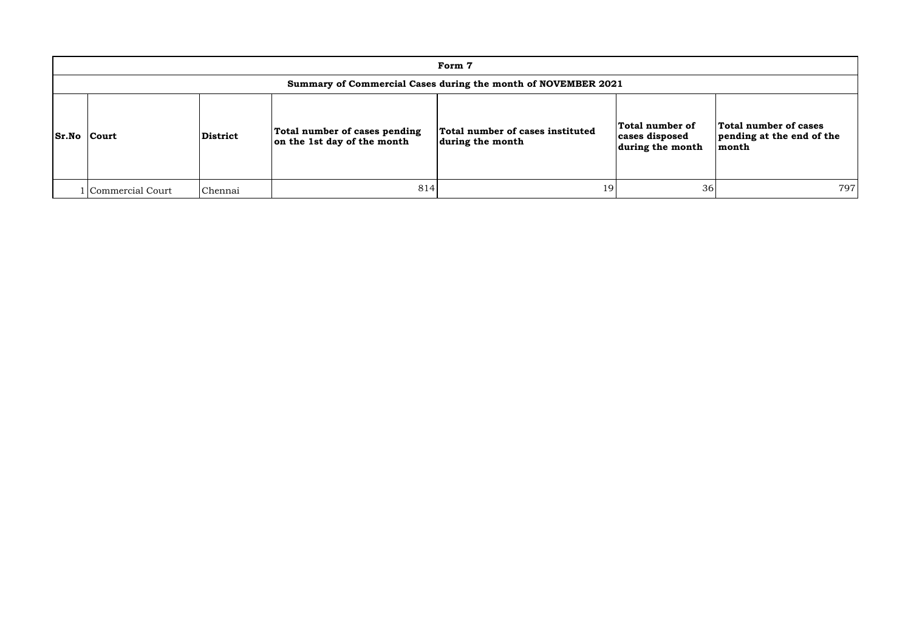| Form 7                                                        |                 |                                                              |                                                      |                                                       |                                                             |  |  |  |  |  |  |  |
|---------------------------------------------------------------|-----------------|--------------------------------------------------------------|------------------------------------------------------|-------------------------------------------------------|-------------------------------------------------------------|--|--|--|--|--|--|--|
| Summary of Commercial Cases during the month of NOVEMBER 2021 |                 |                                                              |                                                      |                                                       |                                                             |  |  |  |  |  |  |  |
| <b>Sr.No Court</b>                                            | <b>District</b> | Total number of cases pending<br>on the 1st day of the month | Total number of cases instituted<br>during the month | Total number of<br>cases disposed<br>during the month | Total number of cases<br>pending at the end of the<br>month |  |  |  |  |  |  |  |
| Commercial Court                                              | Chennai         | 814                                                          | 19                                                   | 36                                                    | 797                                                         |  |  |  |  |  |  |  |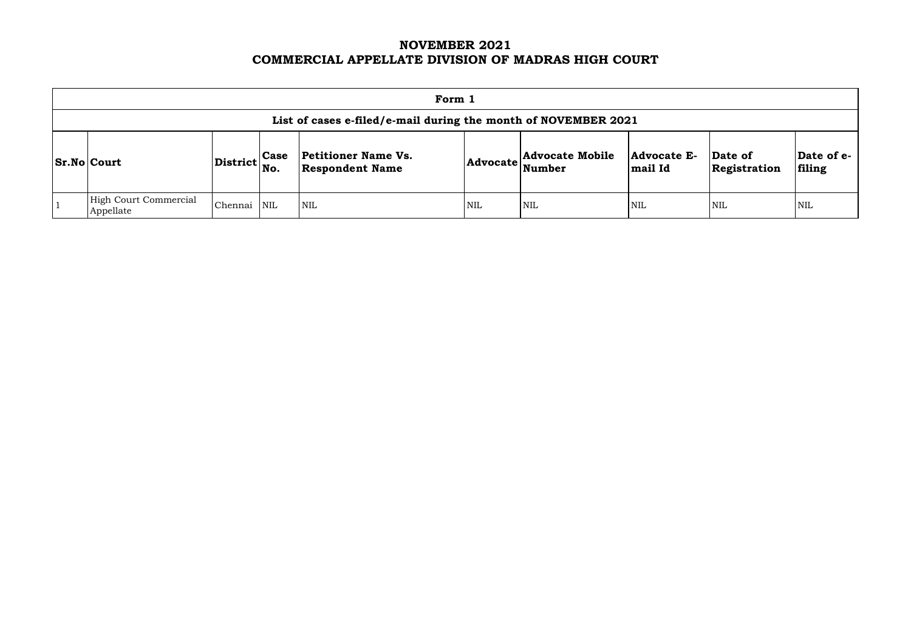# **NOVEMBER 2021 COMMERCIAL APPELLATE DIVISION OF MADRAS HIGH COURT**

|                                                                                                                                                                                                                                                                    | Form 1                                                         |         |            |                           |            |            |            |            |            |  |  |  |  |
|--------------------------------------------------------------------------------------------------------------------------------------------------------------------------------------------------------------------------------------------------------------------|----------------------------------------------------------------|---------|------------|---------------------------|------------|------------|------------|------------|------------|--|--|--|--|
|                                                                                                                                                                                                                                                                    | List of cases e-filed/e-mail during the month of NOVEMBER 2021 |         |            |                           |            |            |            |            |            |  |  |  |  |
| <b>Advocate Mobile</b><br><b>Petitioner Name Vs.</b><br>Date of e-<br>Advocate E-<br>Date of<br><b>Case</b><br>$ {\rm District} \Big  {\rm No}.$<br><b>Sr.No Court</b><br><b>Advocate</b><br><b>Respondent Name</b><br>Number<br>Registration<br>filing<br>mail Id |                                                                |         |            |                           |            |            |            |            |            |  |  |  |  |
|                                                                                                                                                                                                                                                                    | <b>High Court Commercial</b><br>Appellate                      | Chennai | <b>NIL</b> | $\mathsf{I}_{\text{NIL}}$ | <b>NIL</b> | <b>NIL</b> | <b>NIL</b> | <b>NIL</b> | <b>NIL</b> |  |  |  |  |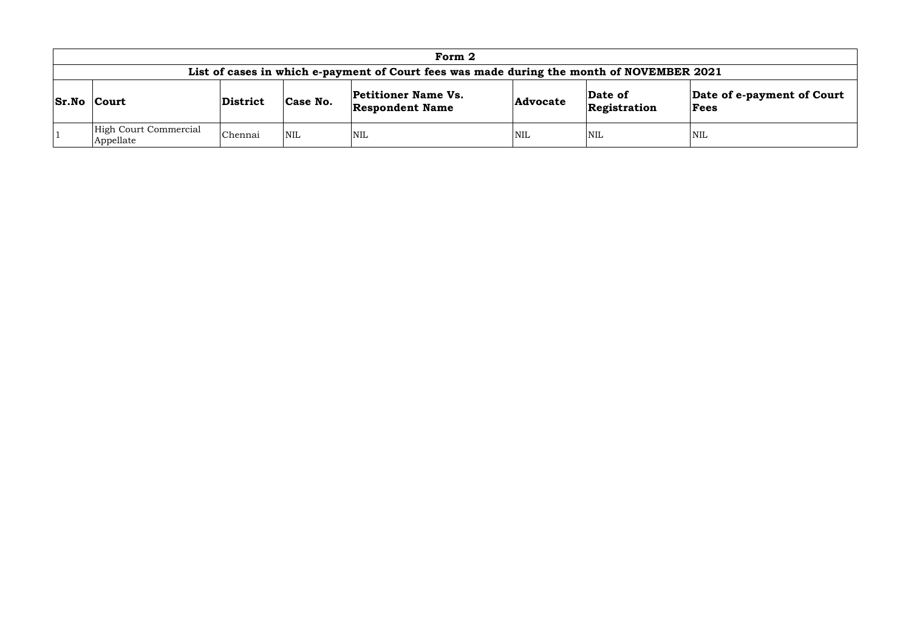| Form 2                                                                                    |          |            |                                                      |                 |                         |                                    |  |  |  |  |  |
|-------------------------------------------------------------------------------------------|----------|------------|------------------------------------------------------|-----------------|-------------------------|------------------------------------|--|--|--|--|--|
| List of cases in which e-payment of Court fees was made during the month of NOVEMBER 2021 |          |            |                                                      |                 |                         |                                    |  |  |  |  |  |
| <b>Sr.No Court</b>                                                                        | District | Case No.   | <b>Petitioner Name Vs.</b><br><b>Respondent Name</b> | <b>Advocate</b> | Date of<br>Registration | Date of e-payment of Court<br>Fees |  |  |  |  |  |
| High Court Commercial<br>Appellate                                                        | Chennai  | <b>NIL</b> | NIL                                                  | <b>NIL</b>      | NIL                     | NIL                                |  |  |  |  |  |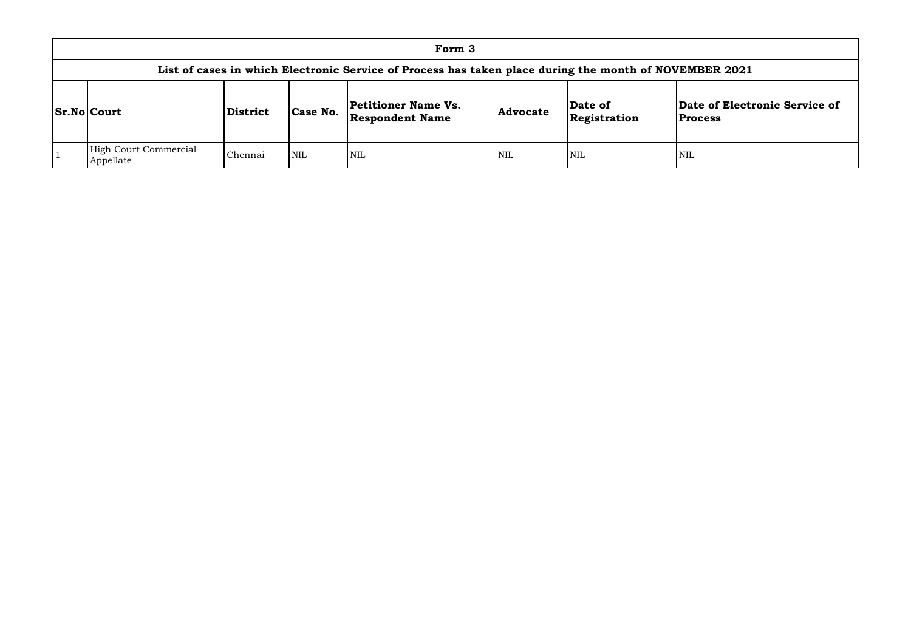| Form 3                                                                                                 |                 |            |                                                      |                 |                         |                                 |  |  |  |  |  |  |  |
|--------------------------------------------------------------------------------------------------------|-----------------|------------|------------------------------------------------------|-----------------|-------------------------|---------------------------------|--|--|--|--|--|--|--|
| List of cases in which Electronic Service of Process has taken place during the month of NOVEMBER 2021 |                 |            |                                                      |                 |                         |                                 |  |  |  |  |  |  |  |
| <b>Sr.No Court</b>                                                                                     | <b>District</b> | Case No.   | <b>Petitioner Name Vs.</b><br><b>Respondent Name</b> | <b>Advocate</b> | Date of<br>Registration | Date of Elect<br><b>Process</b> |  |  |  |  |  |  |  |
| High Court Commercial<br>Appellate                                                                     | Chennai         | <b>NIL</b> | <b>NIL</b>                                           | <b>NIL</b>      | <b>NIL</b>              | NIL                             |  |  |  |  |  |  |  |

## **Date of Electronic Service of Process**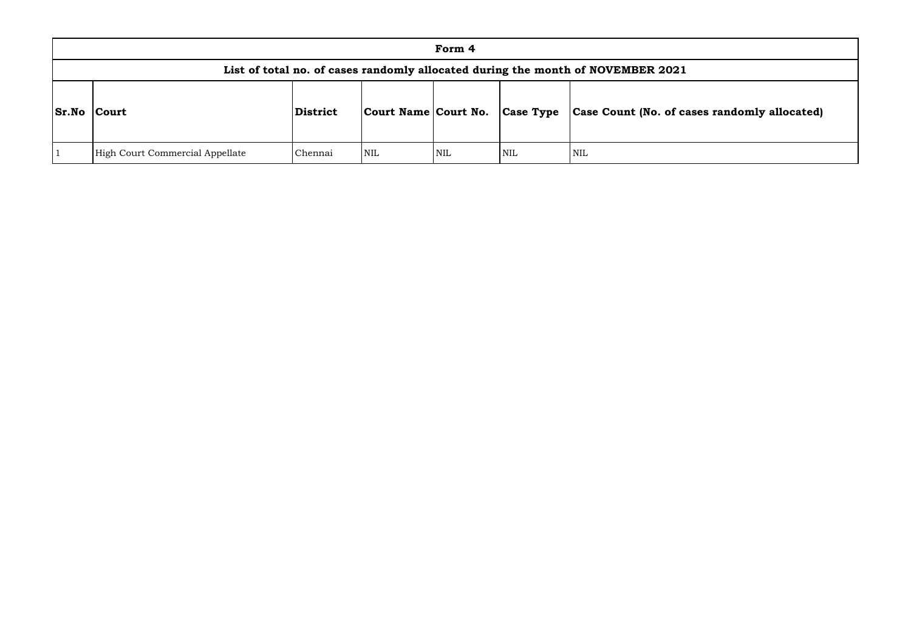|              |                                 |          |                        | Form 4     |                  |                                                                                 |
|--------------|---------------------------------|----------|------------------------|------------|------------------|---------------------------------------------------------------------------------|
|              |                                 |          |                        |            |                  | List of total no. of cases randomly allocated during the month of NOVEMBER 2021 |
| <b>Sr.No</b> | Court                           | District | Court Name   Court No. |            | <b>Case Type</b> | Case Count (No. of ca                                                           |
|              | High Court Commercial Appellate | Chennai  | NIL                    | <b>NIL</b> | NIL              | <b>NIL</b>                                                                      |

# **Sr.No Court District Court Name Court No. Case Type Case Count (No. of cases randomly allocated)**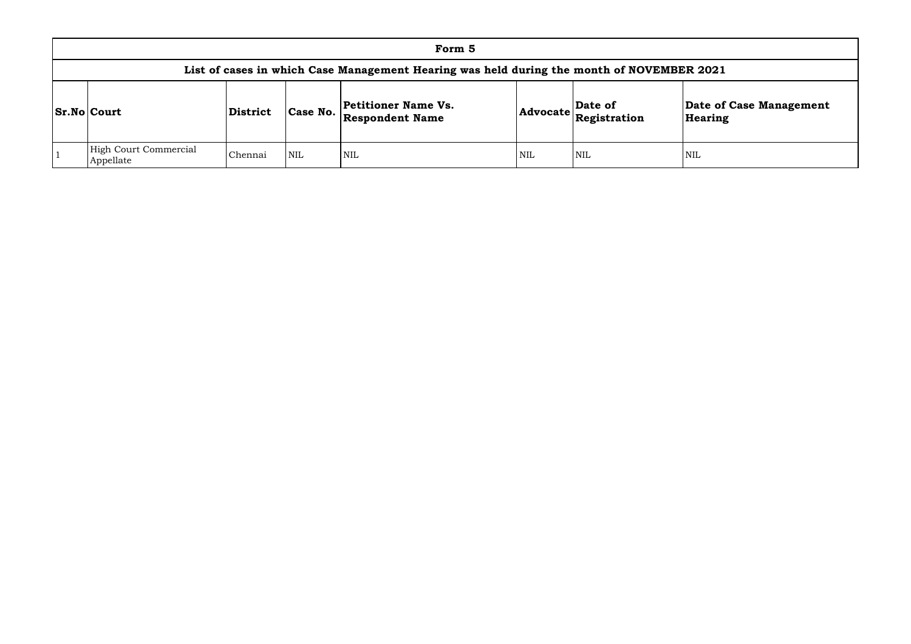| Form 5                                                                                    |                 |            |                                               |            |                                                                            |                    |  |  |  |  |  |  |  |
|-------------------------------------------------------------------------------------------|-----------------|------------|-----------------------------------------------|------------|----------------------------------------------------------------------------|--------------------|--|--|--|--|--|--|--|
| List of cases in which Case Management Hearing was held during the month of NOVEMBER 2021 |                 |            |                                               |            |                                                                            |                    |  |  |  |  |  |  |  |
| <b>Sr.No Court</b>                                                                        | <b>District</b> | Case No.   | Petitioner Name Vs.<br><b>Respondent Name</b> |            | Date of<br>$ {\bf Advocate}\left \stackrel{\text{def}}{\text{Res}}\right $ | Date of<br>Hearing |  |  |  |  |  |  |  |
| High Court Commercial<br>Appellate                                                        | Chennai         | <b>NIL</b> | <b>NIL</b>                                    | <b>NIL</b> | <b>NIL</b>                                                                 | <b>NIL</b>         |  |  |  |  |  |  |  |

# **Date of Case Management Hearing**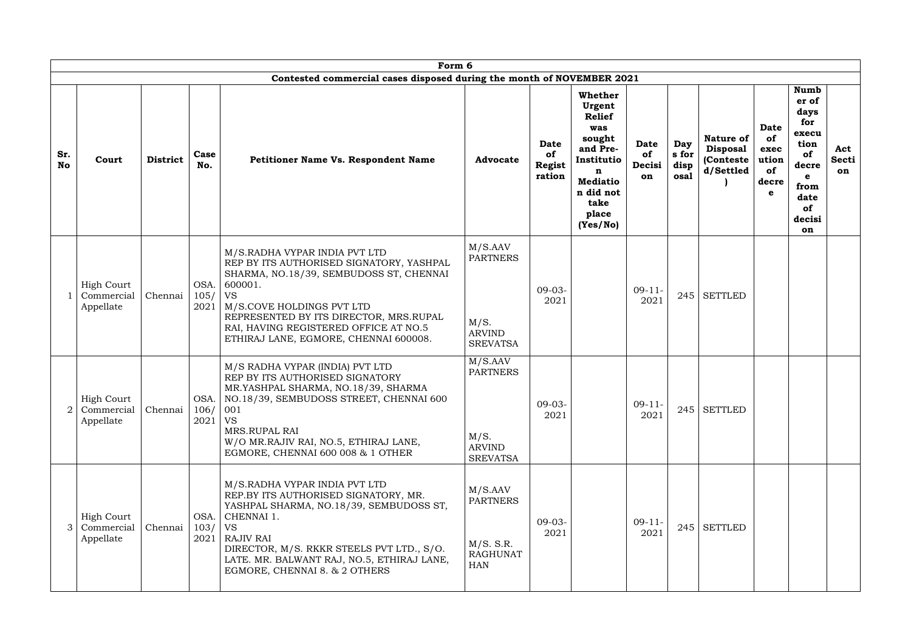|                  | Form 6                                       |                 |                      |                                                                                                                                                                                                                                                                                                       |                                                                          |                                              |                                                                                                                                                 |                                   |                              |                                                         |                                                        |                                                                                                                |                    |
|------------------|----------------------------------------------|-----------------|----------------------|-------------------------------------------------------------------------------------------------------------------------------------------------------------------------------------------------------------------------------------------------------------------------------------------------------|--------------------------------------------------------------------------|----------------------------------------------|-------------------------------------------------------------------------------------------------------------------------------------------------|-----------------------------------|------------------------------|---------------------------------------------------------|--------------------------------------------------------|----------------------------------------------------------------------------------------------------------------|--------------------|
|                  |                                              |                 |                      | Contested commercial cases disposed during the month of NOVEMBER 2021                                                                                                                                                                                                                                 |                                                                          |                                              |                                                                                                                                                 |                                   |                              |                                                         |                                                        |                                                                                                                |                    |
| Sr.<br><b>No</b> | Court                                        | <b>District</b> | Case<br>No.          | Petitioner Name Vs. Respondent Name                                                                                                                                                                                                                                                                   | <b>Advocate</b>                                                          | <b>Date</b><br>of<br><b>Regist</b><br>ration | Whether<br>Urgent<br><b>Relief</b><br>was<br>sought<br>and Pre-<br>Institutio<br>n<br><b>Mediatio</b><br>n did not<br>take<br>place<br>(Yes/No) | <b>Date</b><br>of<br>Decisi<br>on | Day<br>s for<br>disp<br>osal | Nature of<br><b>Disposal</b><br>(Conteste)<br>d/Settled | <b>Date</b><br>of<br>exec<br>ution<br>of<br>decre<br>e | <b>Numb</b><br>er of<br>days<br>for<br>execu<br>tion<br>of<br>decre<br>e<br>from<br>date<br>of<br>decisi<br>on | Act<br>Secti<br>on |
|                  | <b>High Court</b><br>Commercial<br>Appellate | Chennai         | OSA.<br>105/<br>2021 | M/S.RADHA VYPAR INDIA PVT LTD<br>REP BY ITS AUTHORISED SIGNATORY, YASHPAL<br>SHARMA, NO.18/39, SEMBUDOSS ST, CHENNAI<br>600001.<br><b>VS</b><br>M/S.COVE HOLDINGS PVT LTD<br>REPRESENTED BY ITS DIRECTOR, MRS.RUPAL<br>RAI, HAVING REGISTERED OFFICE AT NO.5<br>ETHIRAJ LANE, EGMORE, CHENNAI 600008. | M/S.AAV<br><b>PARTNERS</b><br>M/S.<br><b>ARVIND</b><br><b>SREVATSA</b>   | $09-03-$<br>2021                             |                                                                                                                                                 | $09-11-$<br>2021                  |                              | $245$ SETTLED                                           |                                                        |                                                                                                                |                    |
|                  | <b>High Court</b><br>Commercial<br>Appellate | Chennai         | 106/<br>2021         | M/S RADHA VYPAR (INDIA) PVT LTD<br>REP BY ITS AUTHORISED SIGNATORY<br>MR.YASHPAL SHARMA, NO.18/39, SHARMA<br>OSA.   NO.18/39, SEMBUDOSS STREET, CHENNAI 600<br>001<br><b>VS</b><br>MRS.RUPAL RAI<br>W/O MR.RAJIV RAI, NO.5, ETHIRAJ LANE,<br>EGMORE, CHENNAI 600 008 & 1 OTHER                        | M/S.AAV<br><b>PARTNERS</b><br>M/S.<br><b>ARVIND</b><br><b>SREVATSA</b>   | $09-03-$<br>2021                             |                                                                                                                                                 | $09-11-$<br>2021                  |                              | $245$ SETTLED                                           |                                                        |                                                                                                                |                    |
| 3                | High Court<br>Commercial<br>Appellate        | Chennai         | OSA.<br>103/<br>2021 | M/S.RADHA VYPAR INDIA PVT LTD<br>REP.BY ITS AUTHORISED SIGNATORY, MR.<br>YASHPAL SHARMA, NO.18/39, SEMBUDOSS ST,<br>CHENNAI 1.<br><b>VS</b><br><b>RAJIV RAI</b><br>DIRECTOR, M/S. RKKR STEELS PVT LTD., S/O.<br>LATE. MR. BALWANT RAJ, NO.5, ETHIRAJ LANE,<br>EGMORE, CHENNAI 8. & 2 OTHERS           | M/S.AAV<br><b>PARTNERS</b><br>M/S. S.R.<br><b>RAGHUNAT</b><br><b>HAN</b> | $09-03-$<br>2021                             |                                                                                                                                                 | $09-11-$<br>2021                  |                              | $245$ SETTLED                                           |                                                        |                                                                                                                |                    |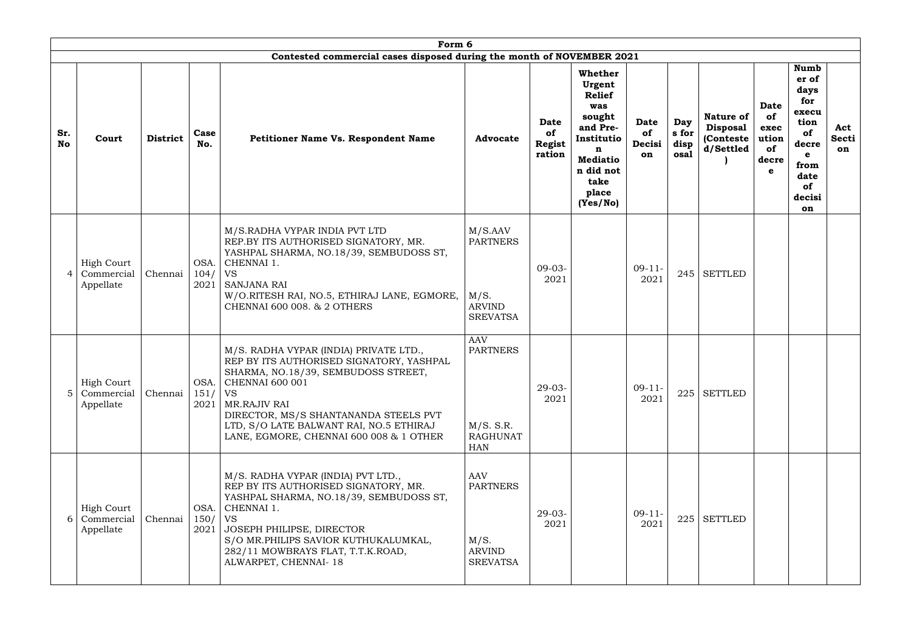|                  |                                              |                 |                      | Form 6                                                                                                                                                                                                                                                                                                   |                                                                             |                                       |                                                                                                                                                        |                            |                              |                                                                |                                                        |                                                                                                                          |                           |
|------------------|----------------------------------------------|-----------------|----------------------|----------------------------------------------------------------------------------------------------------------------------------------------------------------------------------------------------------------------------------------------------------------------------------------------------------|-----------------------------------------------------------------------------|---------------------------------------|--------------------------------------------------------------------------------------------------------------------------------------------------------|----------------------------|------------------------------|----------------------------------------------------------------|--------------------------------------------------------|--------------------------------------------------------------------------------------------------------------------------|---------------------------|
|                  |                                              |                 |                      | Contested commercial cases disposed during the month of NOVEMBER 2021                                                                                                                                                                                                                                    |                                                                             |                                       |                                                                                                                                                        |                            |                              |                                                                |                                                        |                                                                                                                          |                           |
| Sr.<br><b>No</b> | Court                                        | <b>District</b> | Case<br>No.          | Petitioner Name Vs. Respondent Name                                                                                                                                                                                                                                                                      | <b>Advocate</b>                                                             | Date<br>of<br><b>Regist</b><br>ration | <b>Whether</b><br>Urgent<br><b>Relief</b><br>was<br>sought<br>and Pre-<br>Institutio<br>n<br><b>Mediatio</b><br>n did not<br>take<br>place<br>(Yes/No) | Date<br>of<br>Decisi<br>on | Day<br>s for<br>disp<br>osal | <b>Nature of</b><br><b>Disposal</b><br>(Conteste)<br>d/Settled | <b>Date</b><br>of<br>exec<br>ution<br>of<br>decre<br>e | <b>Numb</b><br>er of<br>days<br>for<br>execu<br>tion<br>of<br>decre<br>$\mathbf e$<br>from<br>date<br>of<br>decisi<br>on | Act<br><b>Secti</b><br>on |
| $\overline{A}$   | <b>High Court</b><br>Commercial<br>Appellate | Chennai         | OSA.<br>104/<br>2021 | M/S.RADHA VYPAR INDIA PVT LTD<br>REP.BY ITS AUTHORISED SIGNATORY, MR.<br>YASHPAL SHARMA, NO.18/39, SEMBUDOSS ST,<br>CHENNAI 1.<br><b>VS</b><br><b>SANJANA RAI</b><br>W/O.RITESH RAI, NO.5, ETHIRAJ LANE, EGMORE,<br><b>CHENNAI 600 008. &amp; 2 OTHERS</b>                                               | M/S.AAV<br><b>PARTNERS</b><br>M/S.<br><b>ARVIND</b><br><b>SREVATSA</b>      | $09-03-$<br>2021                      |                                                                                                                                                        | $09-11-$<br>2021           |                              | $245$ SETTLED                                                  |                                                        |                                                                                                                          |                           |
| .5               | <b>High Court</b><br>Commercial<br>Appellate | Chennai         | 151/<br>2021         | M/S. RADHA VYPAR (INDIA) PRIVATE LTD.,<br>REP BY ITS AUTHORISED SIGNATORY, YASHPAL<br>SHARMA, NO.18/39, SEMBUDOSS STREET,<br>OSA.   CHENNAI 600 001<br>VS<br>MR.RAJIV RAI<br>DIRECTOR, MS/S SHANTANANDA STEELS PVT<br>LTD, S/O LATE BALWANT RAI, NO.5 ETHIRAJ<br>LANE, EGMORE, CHENNAI 600 008 & 1 OTHER | <b>AAV</b><br><b>PARTNERS</b><br>M/S. S.R.<br><b>RAGHUNAT</b><br><b>HAN</b> | $29 - 03 -$<br>2021                   |                                                                                                                                                        | $09-11-$<br>2021           | 225                          | <b>SETTLED</b>                                                 |                                                        |                                                                                                                          |                           |
| 6                | <b>High Court</b><br>Commercial<br>Appellate | Chennai         | OSA.<br>150/<br>2021 | M/S. RADHA VYPAR (INDIA) PVT LTD.,<br>REP BY ITS AUTHORISED SIGNATORY, MR.<br>YASHPAL SHARMA, NO.18/39, SEMBUDOSS ST,<br>CHENNAI 1.<br><b>VS</b><br>JOSEPH PHILIPSE, DIRECTOR<br>S/O MR. PHILIPS SAVIOR KUTHUKALUMKAL,<br>282/11 MOWBRAYS FLAT, T.T.K.ROAD,<br>ALWARPET, CHENNAI-18                      | AAV<br><b>PARTNERS</b><br>M/S.<br><b>ARVIND</b><br><b>SREVATSA</b>          | $29-03-$<br>2021                      |                                                                                                                                                        | $09-11-$<br>2021           | 225                          | <b>SETTLED</b>                                                 |                                                        |                                                                                                                          |                           |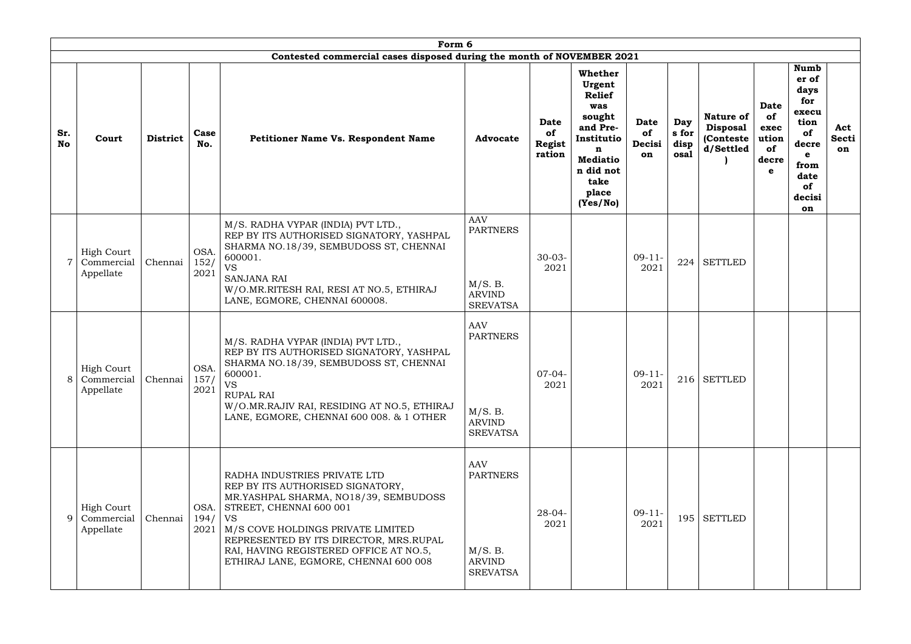|           |                                                | Form 6<br>Contested commercial cases disposed during the month of NOVEMBER 2021 |                      |                                                                                                                                                                                                                                                                                                                     |                                                                                                 |                                       |                                                                                                                            |                            |                              |                                                                |                                                 |                                                                                                |                           |
|-----------|------------------------------------------------|---------------------------------------------------------------------------------|----------------------|---------------------------------------------------------------------------------------------------------------------------------------------------------------------------------------------------------------------------------------------------------------------------------------------------------------------|-------------------------------------------------------------------------------------------------|---------------------------------------|----------------------------------------------------------------------------------------------------------------------------|----------------------------|------------------------------|----------------------------------------------------------------|-------------------------------------------------|------------------------------------------------------------------------------------------------|---------------------------|
| Sr.<br>No | Court                                          | <b>District</b>                                                                 | Case<br>No.          | Petitioner Name Vs. Respondent Name                                                                                                                                                                                                                                                                                 | <b>Advocate</b>                                                                                 | Date<br>of<br><b>Regist</b><br>ration | Whether<br>Urgent<br><b>Relief</b><br>was<br>sought<br>and Pre-<br>Institutio<br>n<br><b>Mediatio</b><br>n did not<br>take | Date<br>of<br>Decisi<br>on | Day<br>s for<br>disp<br>osal | <b>Nature of</b><br><b>Disposal</b><br>(Conteste)<br>d/Settled | Date<br>of<br>exec<br>ution<br>of<br>decre<br>e | <b>Numb</b><br>er of<br>days<br>for<br>execu<br>tion<br>of<br>decre<br>e<br>from<br>date<br>of | Act<br><b>Secti</b><br>on |
|           | <b>High Court</b><br>Commercial<br>Appellate   | Chennai                                                                         | OSA.<br>152/<br>2021 | M/S. RADHA VYPAR (INDIA) PVT LTD.,<br>REP BY ITS AUTHORISED SIGNATORY, YASHPAL<br>SHARMA NO.18/39, SEMBUDOSS ST, CHENNAI<br>600001.<br><b>VS</b><br><b>SANJANA RAI</b><br>W/O.MR.RITESH RAI, RESI AT NO.5, ETHIRAJ<br>LANE, EGMORE, CHENNAI 600008.                                                                 | <b>AAV</b><br><b>PARTNERS</b><br>M/S. B.<br><b>ARVIND</b>                                       | $30 - 03 -$<br>2021                   | place<br>(Yes/No)                                                                                                          | $09-11-$<br>2021           | 224                          | <b>SETTLED</b>                                                 |                                                 | decisi<br>on                                                                                   |                           |
|           | <b>High Court</b><br>8 Commercial<br>Appellate | Chennai                                                                         | OSA.<br>157/<br>2021 | M/S. RADHA VYPAR (INDIA) PVT LTD.,<br>REP BY ITS AUTHORISED SIGNATORY, YASHPAL<br>SHARMA NO.18/39, SEMBUDOSS ST, CHENNAI<br>600001.<br><b>VS</b><br><b>RUPAL RAI</b><br>W/O.MR.RAJIV RAI, RESIDING AT NO.5, ETHIRAJ<br>LANE, EGMORE, CHENNAI 600 008. & 1 OTHER                                                     | <b>SREVATSA</b><br><b>AAV</b><br><b>PARTNERS</b><br>M/S. B.<br><b>ARVIND</b><br><b>SREVATSA</b> | $07-04-$<br>2021                      |                                                                                                                            | $09-11-$<br>2021           |                              | $216$ SETTLED                                                  |                                                 |                                                                                                |                           |
| 9         | <b>High Court</b><br>Commercial<br>Appellate   | Chennai                                                                         | OSA.<br>194/<br>2021 | RADHA INDUSTRIES PRIVATE LTD<br>REP BY ITS AUTHORISED SIGNATORY,<br>MR.YASHPAL SHARMA, NO18/39, SEMBUDOSS<br>STREET, CHENNAI 600 001<br><b>VS</b><br>M/S COVE HOLDINGS PRIVATE LIMITED<br>REPRESENTED BY ITS DIRECTOR, MRS.RUPAL<br>RAI, HAVING REGISTERED OFFICE AT NO.5,<br>ETHIRAJ LANE, EGMORE, CHENNAI 600 008 | <b>AAV</b><br><b>PARTNERS</b><br>M/S. B.<br><b>ARVIND</b><br><b>SREVATSA</b>                    | $28 - 04 -$<br>2021                   |                                                                                                                            | $09-11-$<br>2021           | 195                          | <b>SETTLED</b>                                                 |                                                 |                                                                                                |                           |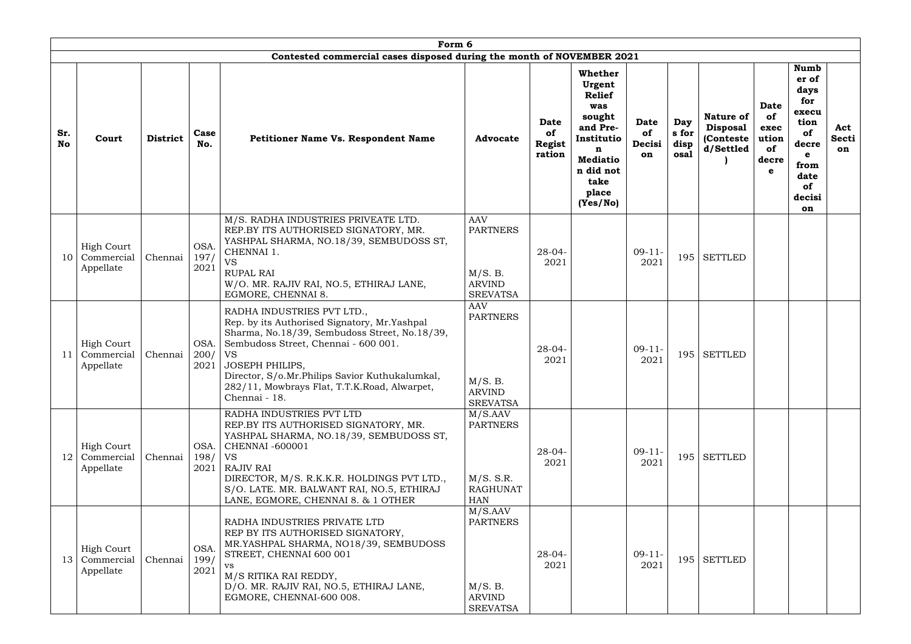|                  |                                              |                 |                            | Form 6                                                                                                                                                                                                                                                                                                                        |                                                                              |                                              |                                                                                                           |                            |                              |                                                         |                                                        |                                                                                   |                           |
|------------------|----------------------------------------------|-----------------|----------------------------|-------------------------------------------------------------------------------------------------------------------------------------------------------------------------------------------------------------------------------------------------------------------------------------------------------------------------------|------------------------------------------------------------------------------|----------------------------------------------|-----------------------------------------------------------------------------------------------------------|----------------------------|------------------------------|---------------------------------------------------------|--------------------------------------------------------|-----------------------------------------------------------------------------------|---------------------------|
|                  |                                              |                 |                            | Contested commercial cases disposed during the month of NOVEMBER 2021                                                                                                                                                                                                                                                         |                                                                              |                                              | <b>Whether</b><br>Urgent<br><b>Relief</b>                                                                 |                            |                              |                                                         |                                                        | Numb<br>er of<br>days<br>for                                                      |                           |
| Sr.<br><b>No</b> | Court                                        | <b>District</b> | Case<br>No.                | <b>Petitioner Name Vs. Respondent Name</b>                                                                                                                                                                                                                                                                                    | <b>Advocate</b>                                                              | <b>Date</b><br>of<br><b>Regist</b><br>ration | was<br>sought<br>and Pre-<br>Institutio<br>n<br><b>Mediatio</b><br>n did not<br>take<br>place<br>(Yes/No) | Date<br>of<br>Decisi<br>on | Day<br>s for<br>disp<br>osal | Nature of<br><b>Disposal</b><br>(Conteste)<br>d/Settled | <b>Date</b><br>of<br>exec<br>ution<br>of<br>decre<br>e | execu<br>tion<br>of<br>decre<br>$\mathbf e$<br>from<br>date<br>of<br>decisi<br>on | Act<br><b>Secti</b><br>on |
| 10               | <b>High Court</b><br>Commercial<br>Appellate | Chennai         | <b>OSA</b><br>197/<br>2021 | M/S. RADHA INDUSTRIES PRIVEATE LTD.<br>REP.BY ITS AUTHORISED SIGNATORY, MR.<br>YASHPAL SHARMA, NO.18/39, SEMBUDOSS ST,<br>CHENNAI 1.<br><b>VS</b><br><b>RUPAL RAI</b><br>W/O. MR. RAJIV RAI, NO.5, ETHIRAJ LANE,<br>EGMORE, CHENNAI 8.                                                                                        | <b>AAV</b><br><b>PARTNERS</b><br>M/S. B.<br><b>ARVIND</b><br><b>SREVATSA</b> | $28 - 04 -$<br>2021                          |                                                                                                           | $09-11-$<br>2021           | 195                          | <b>SETTLED</b>                                          |                                                        |                                                                                   |                           |
| 11               | <b>High Court</b><br>Commercial<br>Appellate | Chennai         | OSA.<br>200/<br>2021       | RADHA INDUSTRIES PVT LTD.,<br>Rep. by its Authorised Signatory, Mr.Yashpal<br>Sharma, No.18/39, Sembudoss Street, No.18/39,<br>Sembudoss Street, Chennai - 600 001.<br><b>VS</b><br><b>JOSEPH PHILIPS,</b><br>Director, S/o.Mr.Philips Savior Kuthukalumkal,<br>282/11, Mowbrays Flat, T.T.K.Road, Alwarpet,<br>Chennai - 18. | <b>AAV</b><br><b>PARTNERS</b><br>M/S. B.<br><b>ARVIND</b><br><b>SREVATSA</b> | $28 - 04 -$<br>2021                          |                                                                                                           | $09-11-$<br>2021           | 195                          | <b>SETTLED</b>                                          |                                                        |                                                                                   |                           |
| 12               | High Court<br>Commercial<br>Appellate        | Chennai         | OSA.<br>198/<br>2021       | RADHA INDUSTRIES PVT LTD<br>REP.BY ITS AUTHORISED SIGNATORY, MR.<br>YASHPAL SHARMA, NO.18/39, SEMBUDOSS ST,<br>$\vert$ CHENNAI -600001<br>VS<br><b>RAJIV RAI</b><br>DIRECTOR, M/S. R.K.K.R. HOLDINGS PVT LTD.,<br>S/O. LATE. MR. BALWANT RAI, NO.5, ETHIRAJ<br>LANE, EGMORE, CHENNAI 8. & 1 OTHER                             | M/S.AAV<br><b>PARTNERS</b><br>M/S. S.R.<br><b>RAGHUNAT</b><br><b>HAN</b>     | $28 - 04 -$<br>2021                          |                                                                                                           | $09-11-$<br>2021           |                              | $195$ SETTLED                                           |                                                        |                                                                                   |                           |
| 13               | <b>High Court</b><br>Commercial<br>Appellate | Chennai         | <b>OSA</b><br>199/<br>2021 | RADHA INDUSTRIES PRIVATE LTD<br>REP BY ITS AUTHORISED SIGNATORY,<br>MR.YASHPAL SHARMA, NO18/39, SEMBUDOSS<br>STREET, CHENNAI 600 001<br>VS<br>M/S RITIKA RAI REDDY,<br>D/O. MR. RAJIV RAI, NO.5, ETHIRAJ LANE,<br>EGMORE, CHENNAI-600 008.                                                                                    | M/S.AAV<br><b>PARTNERS</b><br>M/S. B.<br><b>ARVIND</b><br><b>SREVATSA</b>    | $28 - 04 -$<br>2021                          |                                                                                                           | $09-11-$<br>2021           | 195                          | <b>SETTLED</b>                                          |                                                        |                                                                                   |                           |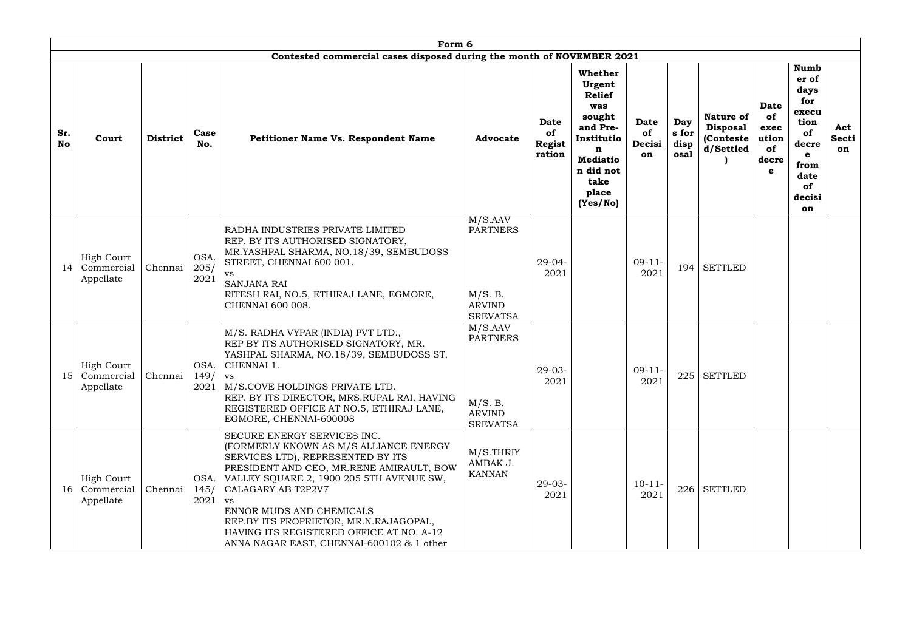|                  |                                                         |                 |                      | Form 6                                                                                                                                                                                                                                                                                                                                                                                               |                                                                                         |                                |                                                                                                                                                                               |                              |                                                                |                                                        |                                                                                                                          |                           |
|------------------|---------------------------------------------------------|-----------------|----------------------|------------------------------------------------------------------------------------------------------------------------------------------------------------------------------------------------------------------------------------------------------------------------------------------------------------------------------------------------------------------------------------------------------|-----------------------------------------------------------------------------------------|--------------------------------|-------------------------------------------------------------------------------------------------------------------------------------------------------------------------------|------------------------------|----------------------------------------------------------------|--------------------------------------------------------|--------------------------------------------------------------------------------------------------------------------------|---------------------------|
|                  |                                                         |                 |                      | Contested commercial cases disposed during the month of NOVEMBER 2021                                                                                                                                                                                                                                                                                                                                |                                                                                         |                                |                                                                                                                                                                               |                              |                                                                |                                                        |                                                                                                                          |                           |
| Sr.<br><b>No</b> | Court                                                   | <b>District</b> | Case<br>No.          | <b>Petitioner Name Vs. Respondent Name</b>                                                                                                                                                                                                                                                                                                                                                           | <b>Advocate</b>                                                                         | Date<br>of<br>Regist<br>ration | Whether<br>Urgent<br><b>Relief</b><br>was<br>sought<br>Date<br>and Pre-<br>of<br>Institutio<br>Decisi<br>n<br>on<br><b>Mediatio</b><br>n did not<br>take<br>place<br>(Yes/No) | Day<br>s for<br>disp<br>osal | <b>Nature of</b><br><b>Disposal</b><br>(Conteste)<br>d/Settled | <b>Date</b><br>of<br>exec<br>ution<br>of<br>decre<br>e | <b>Numb</b><br>er of<br>days<br>for<br>execu<br>tion<br>of<br>decre<br>$\mathbf e$<br>from<br>date<br>of<br>decisi<br>on | Act<br><b>Secti</b><br>on |
| 14               | <b>High Court</b><br>Commercial<br>Appellate            | Chennai         | OSA.<br>205/<br>2021 | RADHA INDUSTRIES PRIVATE LIMITED<br>REP. BY ITS AUTHORISED SIGNATORY,<br>MR.YASHPAL SHARMA, NO.18/39, SEMBUDOSS<br>STREET, CHENNAI 600 001.<br>VS<br><b>SANJANA RAI</b><br>RITESH RAI, NO.5, ETHIRAJ LANE, EGMORE,<br>CHENNAI 600 008.                                                                                                                                                               | $\overline{M}/S$ .AAV<br><b>PARTNERS</b><br>M/S. B.<br><b>ARVIND</b><br><b>SREVATSA</b> | $29-04-$<br>2021               | $09-11-$<br>2021                                                                                                                                                              | 194                          | <b>SETTLED</b>                                                 |                                                        |                                                                                                                          |                           |
|                  | <b>High Court</b><br>15 Commercial Chennai<br>Appellate |                 | OSA.<br>149/         | M/S. RADHA VYPAR (INDIA) PVT LTD.,<br>REP BY ITS AUTHORISED SIGNATORY, MR.<br>YASHPAL SHARMA, NO.18/39, SEMBUDOSS ST,<br>CHENNAI 1.<br><b>VS</b><br>2021   M/S.COVE HOLDINGS PRIVATE LTD.<br>REP. BY ITS DIRECTOR, MRS. RUPAL RAI, HAVING<br>REGISTERED OFFICE AT NO.5, ETHIRAJ LANE,<br>EGMORE, CHENNAI-600008                                                                                      | M/S.AAV<br><b>PARTNERS</b><br>M/S. B.<br><b>ARVIND</b><br><b>SREVATSA</b>               | $29-03-$<br>2021               | $09-11-$<br>2021                                                                                                                                                              |                              | $225$ SETTLED                                                  |                                                        |                                                                                                                          |                           |
| 16               | <b>High Court</b><br>Commercial<br>Appellate            | Chennai         | OSA.<br>145/<br>2021 | SECURE ENERGY SERVICES INC.<br>(FORMERLY KNOWN AS M/S ALLIANCE ENERGY<br>SERVICES LTD), REPRESENTED BY ITS<br>PRESIDENT AND CEO, MR.RENE AMIRAULT, BOW<br>VALLEY SQUARE 2, 1900 205 5TH AVENUE SW,<br>CALAGARY AB T2P2V7<br><b>VS</b><br>ENNOR MUDS AND CHEMICALS<br>REP.BY ITS PROPRIETOR, MR.N.RAJAGOPAL,<br>HAVING ITS REGISTERED OFFICE AT NO. A-12<br>ANNA NAGAR EAST, CHENNAI-600102 & 1 other | M/S.THRIY<br>AMBAK J.<br><b>KANNAN</b>                                                  | $29-03-$<br>2021               | $10-11-$<br>2021                                                                                                                                                              |                              | $226$ SETTLED                                                  |                                                        |                                                                                                                          |                           |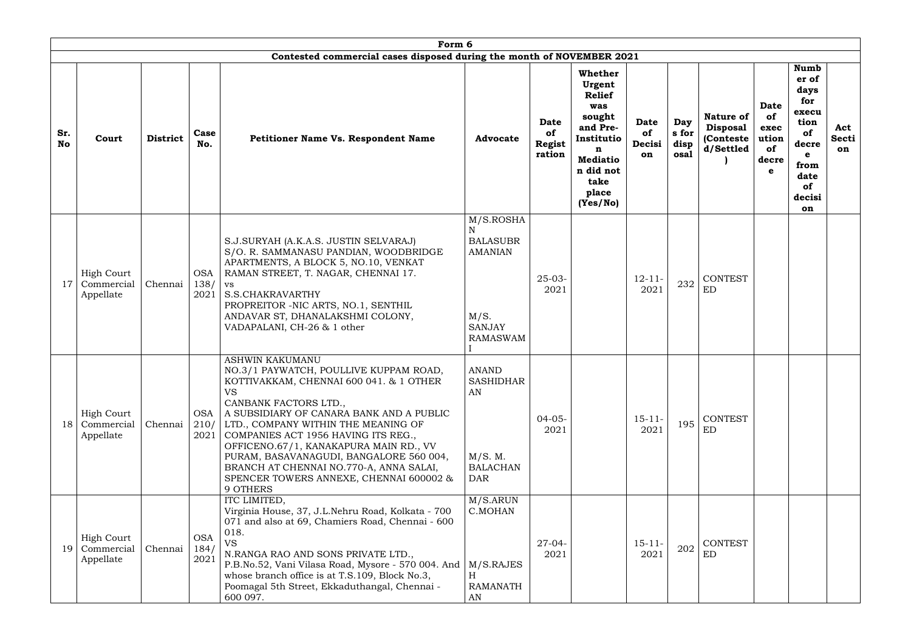|                  |                                              |                 |                            | Form 6                                                                                                                                                                                                                                                                                                                                                                                                                                                             |                                                                                            |                                       |                                                                                                                                                 |                                   |                              |                                                                |                                                        |                                                                                                                          |                           |
|------------------|----------------------------------------------|-----------------|----------------------------|--------------------------------------------------------------------------------------------------------------------------------------------------------------------------------------------------------------------------------------------------------------------------------------------------------------------------------------------------------------------------------------------------------------------------------------------------------------------|--------------------------------------------------------------------------------------------|---------------------------------------|-------------------------------------------------------------------------------------------------------------------------------------------------|-----------------------------------|------------------------------|----------------------------------------------------------------|--------------------------------------------------------|--------------------------------------------------------------------------------------------------------------------------|---------------------------|
|                  |                                              |                 |                            | Contested commercial cases disposed during the month of NOVEMBER 2021                                                                                                                                                                                                                                                                                                                                                                                              |                                                                                            |                                       |                                                                                                                                                 |                                   |                              |                                                                |                                                        |                                                                                                                          |                           |
| Sr.<br><b>No</b> | Court                                        | <b>District</b> | Case<br>No.                | <b>Petitioner Name Vs. Respondent Name</b>                                                                                                                                                                                                                                                                                                                                                                                                                         | <b>Advocate</b>                                                                            | Date<br>of<br><b>Regist</b><br>ration | Whether<br>Urgent<br><b>Relief</b><br>was<br>sought<br>and Pre-<br>Institutio<br>n<br><b>Mediatio</b><br>n did not<br>take<br>place<br>(Yes/No) | Date<br><b>of</b><br>Decisi<br>on | Day<br>s for<br>disp<br>osal | <b>Nature of</b><br><b>Disposal</b><br>(Conteste)<br>d/Settled | <b>Date</b><br>of<br>exec<br>ution<br>of<br>decre<br>e | <b>Numb</b><br>er of<br>days<br>for<br>execu<br>tion<br>of<br>decre<br>$\mathbf e$<br>from<br>date<br>of<br>decisi<br>on | Act<br><b>Secti</b><br>on |
| 17               | <b>High Court</b><br>Commercial<br>Appellate | Chennai         | <b>OSA</b><br>138/<br>2021 | S.J.SURYAH (A.K.A.S. JUSTIN SELVARAJ)<br>S/O. R. SAMMANASU PANDIAN, WOODBRIDGE<br>APARTMENTS, A BLOCK 5, NO.10, VENKAT<br>RAMAN STREET, T. NAGAR, CHENNAI 17.<br><b>VS</b><br>S.S.CHAKRAVARTHY<br>PROPREITOR - NIC ARTS, NO.1, SENTHIL<br>ANDAVAR ST, DHANALAKSHMI COLONY,<br>VADAPALANI, CH-26 & 1 other                                                                                                                                                          | M/S.ROSHA<br><b>BALASUBR</b><br><b>AMANIAN</b><br>M/S.<br><b>SANJAY</b><br><b>RAMASWAM</b> | $25-03-$<br>2021                      |                                                                                                                                                 | $12 - 11 -$<br>2021               | 232                          | <b>CONTEST</b><br>ED                                           |                                                        |                                                                                                                          |                           |
| 18               | <b>High Court</b><br>Commercial<br>Appellate | Chennai         | <b>OSA</b><br>210/<br>2021 | <b>ASHWIN KAKUMANU</b><br>NO.3/1 PAYWATCH, POULLIVE KUPPAM ROAD,<br>KOTTIVAKKAM, CHENNAI 600 041. & 1 OTHER<br><b>VS</b><br>CANBANK FACTORS LTD.,<br>A SUBSIDIARY OF CANARA BANK AND A PUBLIC<br>LTD., COMPANY WITHIN THE MEANING OF<br>COMPANIES ACT 1956 HAVING ITS REG.,<br>OFFICENO.67/1, KANAKAPURA MAIN RD., VV<br>PURAM, BASAVANAGUDI, BANGALORE 560 004,<br>BRANCH AT CHENNAI NO.770-A, ANNA SALAI,<br>SPENCER TOWERS ANNEXE, CHENNAI 600002 &<br>9 OTHERS | <b>ANAND</b><br><b>SASHIDHAR</b><br>AN<br>M/S. M.<br><b>BALACHAN</b><br><b>DAR</b>         | $04 - 05 -$<br>2021                   |                                                                                                                                                 | $15 - 11 -$<br>2021               | 195                          | <b>CONTEST</b><br>ED                                           |                                                        |                                                                                                                          |                           |
| 19               | <b>High Court</b><br>Commercial<br>Appellate | Chennai         | <b>OSA</b><br>184/<br>2021 | ITC LIMITED,<br>Virginia House, 37, J.L.Nehru Road, Kolkata - 700<br>071 and also at 69, Chamiers Road, Chennai - 600<br>018.<br><b>VS</b><br>N.RANGA RAO AND SONS PRIVATE LTD.,<br>P.B.No.52, Vani Vilasa Road, Mysore - 570 004. And<br>whose branch office is at T.S.109, Block No.3,<br>Poomagal 5th Street, Ekkaduthangal, Chennai -<br>600 097.                                                                                                              | M/S.ARUN<br>C.MOHAN<br>M/S.RAJES<br>H<br><b>RAMANATH</b><br>AN                             | $27 - 04 -$<br>2021                   |                                                                                                                                                 | $15 - 11 -$<br>2021               | 202                          | <b>CONTEST</b><br>ED                                           |                                                        |                                                                                                                          |                           |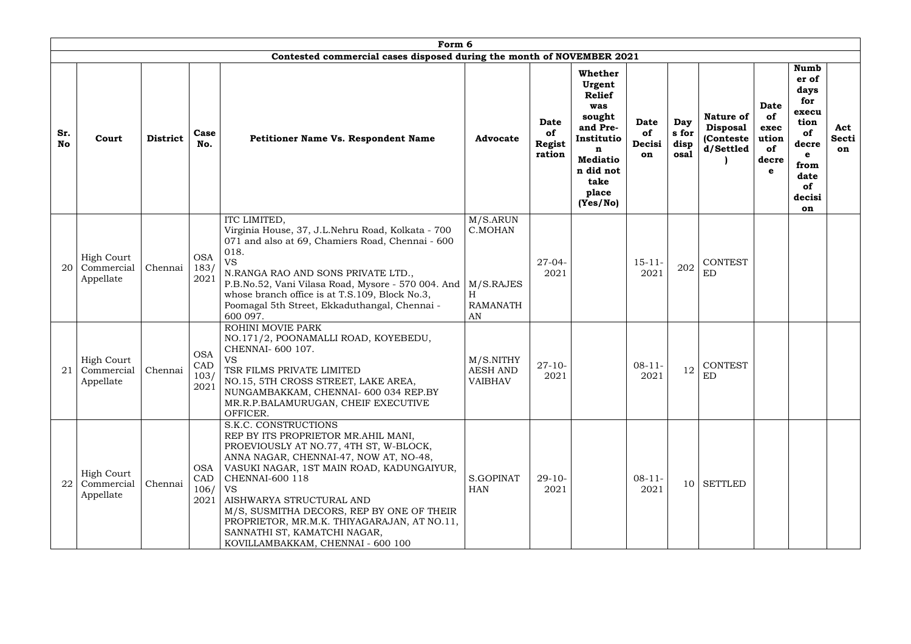|           |                                              |                 |                                   | Form 6                                                                                                                                                                                                                                                                                                                                                                                                                    |                                                                |                                       |                                                                                                                                                 |                                   |                              |                                                                |                                                        |                                                                                                                   |                           |
|-----------|----------------------------------------------|-----------------|-----------------------------------|---------------------------------------------------------------------------------------------------------------------------------------------------------------------------------------------------------------------------------------------------------------------------------------------------------------------------------------------------------------------------------------------------------------------------|----------------------------------------------------------------|---------------------------------------|-------------------------------------------------------------------------------------------------------------------------------------------------|-----------------------------------|------------------------------|----------------------------------------------------------------|--------------------------------------------------------|-------------------------------------------------------------------------------------------------------------------|---------------------------|
|           |                                              |                 |                                   | Contested commercial cases disposed during the month of NOVEMBER 2021                                                                                                                                                                                                                                                                                                                                                     |                                                                |                                       |                                                                                                                                                 |                                   |                              |                                                                |                                                        |                                                                                                                   |                           |
| Sr.<br>No | Court                                        | <b>District</b> | Case<br>No.                       | <b>Petitioner Name Vs. Respondent Name</b>                                                                                                                                                                                                                                                                                                                                                                                | <b>Advocate</b>                                                | Date<br>of<br><b>Regist</b><br>ration | Whether<br>Urgent<br><b>Relief</b><br>was<br>sought<br>and Pre-<br>Institutio<br>n<br><b>Mediatio</b><br>n did not<br>take<br>place<br>(Yes/No) | <b>Date</b><br>of<br>Decisi<br>on | Day<br>s for<br>disp<br>osal | <b>Nature of</b><br><b>Disposal</b><br>(Conteste)<br>d/Settled | <b>Date</b><br>of<br>exec<br>ution<br>of<br>decre<br>e | Numb<br>er of<br>days<br>for<br>execu<br>tion<br>of<br>decre<br>$\mathbf e$<br>from<br>date<br>of<br>decisi<br>on | Act<br>Secti<br><b>on</b> |
| 20        | <b>High Court</b><br>Commercial<br>Appellate | Chennai         | <b>OSA</b><br>183/<br>2021        | ITC LIMITED,<br>Virginia House, 37, J.L.Nehru Road, Kolkata - 700<br>071 and also at 69, Chamiers Road, Chennai - 600<br>018.<br><b>VS</b><br>N.RANGA RAO AND SONS PRIVATE LTD.,<br>P.B.No.52, Vani Vilasa Road, Mysore - 570 004. And<br>whose branch office is at T.S.109, Block No.3,<br>Poomagal 5th Street, Ekkaduthangal, Chennai -<br>600 097.                                                                     | M/S.ARUN<br>C.MOHAN<br>M/S.RAJES<br>H<br><b>RAMANATH</b><br>AN | $27 - 04 -$<br>2021                   |                                                                                                                                                 | $15 - 11 -$<br>2021               | 202                          | <b>CONTEST</b><br>ED                                           |                                                        |                                                                                                                   |                           |
| 21        | <b>High Court</b><br>Commercial<br>Appellate | Chennai         | <b>OSA</b><br>CAD<br>103/<br>2021 | ROHINI MOVIE PARK<br>NO.171/2, POONAMALLI ROAD, KOYEBEDU,<br>CHENNAI- 600 107.<br><b>VS</b><br>TSR FILMS PRIVATE LIMITED<br>NO.15, 5TH CROSS STREET, LAKE AREA,<br>NUNGAMBAKKAM, CHENNAI- 600 034 REP.BY<br>MR.R.P.BALAMURUGAN, CHEIF EXECUTIVE<br>OFFICER.                                                                                                                                                               | M/S.NITHY<br><b>AESH AND</b><br><b>VAIBHAV</b>                 | $27 - 10 -$<br>2021                   |                                                                                                                                                 | $08 - 11 -$<br>2021               | 12                           | <b>CONTEST</b><br>ED                                           |                                                        |                                                                                                                   |                           |
| 22        | <b>High Court</b><br>Commercial<br>Appellate | Chennai         | <b>OSA</b><br>CAD<br>106/<br>2021 | S.K.C. CONSTRUCTIONS<br>REP BY ITS PROPRIETOR MR.AHIL MANI,<br>PROEVIOUSLY AT NO.77, 4TH ST, W-BLOCK,<br>ANNA NAGAR, CHENNAI-47, NOW AT, NO-48,<br>VASUKI NAGAR, 1ST MAIN ROAD, KADUNGAIYUR,<br><b>CHENNAI-600 118</b><br>VS<br>AISHWARYA STRUCTURAL AND<br>M/S, SUSMITHA DECORS, REP BY ONE OF THEIR<br>PROPRIETOR, MR.M.K. THIYAGARAJAN, AT NO.11,<br>SANNATHI ST, KAMATCHI NAGAR,<br>KOVILLAMBAKKAM, CHENNAI - 600 100 | S.GOPINAT<br><b>HAN</b>                                        | $29-10-$<br>2021                      |                                                                                                                                                 | $08-11-$<br>2021                  |                              | 10 SETTLED                                                     |                                                        |                                                                                                                   |                           |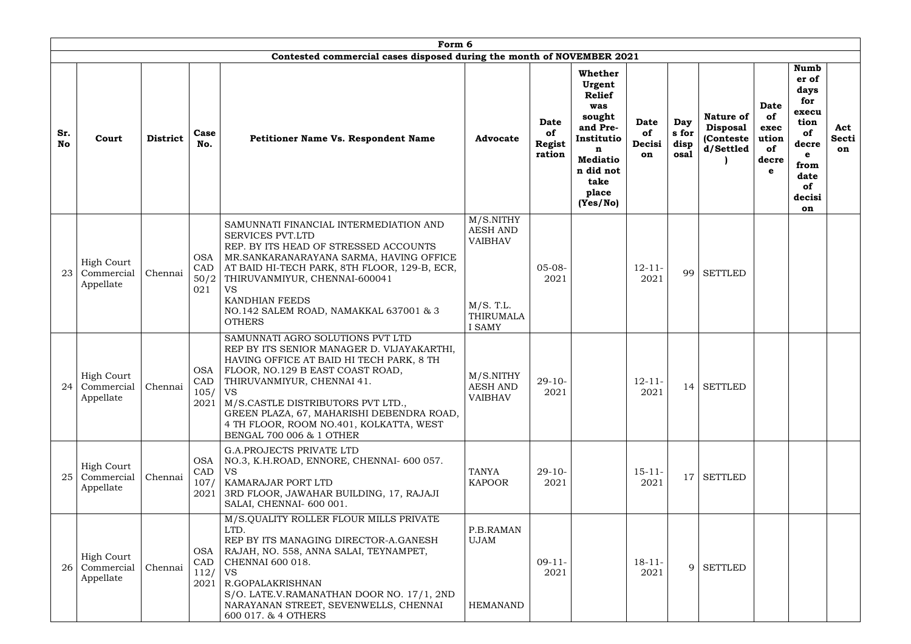|                  | Form 6<br>Contested commercial cases disposed during the month of NOVEMBER 2021 |                 |                                   |                                                                                                                                                                                                                                                                                                                                                                         |                                                                                                    |                                       |                                                                                                                                                        |                            |                              |                                                                |                                                        |                                                                                                                                 |                           |
|------------------|---------------------------------------------------------------------------------|-----------------|-----------------------------------|-------------------------------------------------------------------------------------------------------------------------------------------------------------------------------------------------------------------------------------------------------------------------------------------------------------------------------------------------------------------------|----------------------------------------------------------------------------------------------------|---------------------------------------|--------------------------------------------------------------------------------------------------------------------------------------------------------|----------------------------|------------------------------|----------------------------------------------------------------|--------------------------------------------------------|---------------------------------------------------------------------------------------------------------------------------------|---------------------------|
|                  |                                                                                 |                 |                                   |                                                                                                                                                                                                                                                                                                                                                                         |                                                                                                    |                                       |                                                                                                                                                        |                            |                              |                                                                |                                                        |                                                                                                                                 |                           |
| Sr.<br><b>No</b> | Court                                                                           | <b>District</b> | Case<br>No.                       | <b>Petitioner Name Vs. Respondent Name</b>                                                                                                                                                                                                                                                                                                                              | <b>Advocate</b>                                                                                    | Date<br>of<br><b>Regist</b><br>ration | <b>Whether</b><br>Urgent<br><b>Relief</b><br>was<br>sought<br>and Pre-<br>Institutio<br>n<br><b>Mediatio</b><br>n did not<br>take<br>place<br>(Yes/No) | Date<br>of<br>Decisi<br>on | Day<br>s for<br>disp<br>osal | <b>Nature of</b><br><b>Disposal</b><br>(Conteste)<br>d/Settled | <b>Date</b><br>of<br>exec<br>ution<br>of<br>decre<br>e | <b>Numb</b><br>er of<br>days<br>for<br>execu<br>tion<br>of<br>decre<br>$\mathbf e$<br>from<br>date<br><b>of</b><br>decisi<br>on | Act<br><b>Secti</b><br>on |
| 23               | <b>High Court</b><br>Commercial<br>Appellate                                    | Chennai         | <b>OSA</b><br>CAD<br>50/2<br>021  | SAMUNNATI FINANCIAL INTERMEDIATION AND<br><b>SERVICES PVT.LTD</b><br>REP. BY ITS HEAD OF STRESSED ACCOUNTS<br>MR.SANKARANARAYANA SARMA, HAVING OFFICE<br>AT BAID HI-TECH PARK, 8TH FLOOR, 129-B, ECR,<br>THIRUVANMIYUR, CHENNAI-600041<br><b>VS</b><br>KANDHIAN FEEDS<br>NO.142 SALEM ROAD, NAMAKKAL 637001 & 3<br><b>OTHERS</b>                                        | M/S.NITHY<br><b>AESH AND</b><br><b>VAIBHAV</b><br>$M/S.$ T.L.<br><b>THIRUMALA</b><br><b>I SAMY</b> | $05 - 08 -$<br>2021                   |                                                                                                                                                        | $12 - 11 -$<br>2021        | 99                           | <b>SETTLED</b>                                                 |                                                        |                                                                                                                                 |                           |
| 24               | High Court<br>Commercial<br>Appellate                                           | Chennai         | <b>OSA</b><br>CAD<br>105/<br>2021 | SAMUNNATI AGRO SOLUTIONS PVT LTD<br>REP BY ITS SENIOR MANAGER D. VIJAYAKARTHI,<br>HAVING OFFICE AT BAID HI TECH PARK, 8 TH<br>FLOOR, NO.129 B EAST COAST ROAD,<br>THIRUVANMIYUR, CHENNAI 41.<br>VS.<br>M/S.CASTLE DISTRIBUTORS PVT LTD.,<br>GREEN PLAZA, 67, MAHARISHI DEBENDRA ROAD,<br>4 TH FLOOR, ROOM NO.401, KOLKATTA, WEST<br><b>BENGAL 700 006 &amp; 1 OTHER</b> | M/S.NITHY<br><b>AESH AND</b><br><b>VAIBHAV</b>                                                     | $29-10-$<br>2021                      |                                                                                                                                                        | $12 - 11 -$<br>2021        |                              | $14$ SETTLED                                                   |                                                        |                                                                                                                                 |                           |
| 25               | <b>High Court</b><br>Commercial<br>Appellate                                    | Chennai         | <b>OSA</b><br>CAD<br>107/<br>2021 | <b>G.A.PROJECTS PRIVATE LTD</b><br>NO.3, K.H.ROAD, ENNORE, CHENNAI-600 057.<br>VS<br>KAMARAJAR PORT LTD<br>3RD FLOOR, JAWAHAR BUILDING, 17, RAJAJI<br>SALAI, CHENNAI- 600 001.                                                                                                                                                                                          | <b>TANYA</b><br><b>KAPOOR</b>                                                                      | $29-10-$<br>2021                      |                                                                                                                                                        | $15 - 11 -$<br>2021        |                              | 17 SETTLED                                                     |                                                        |                                                                                                                                 |                           |
| 26               | <b>High Court</b><br>Commercial<br>Appellate                                    | Chennai         | <b>OSA</b><br>CAD<br>112/<br>2021 | M/S.QUALITY ROLLER FLOUR MILLS PRIVATE<br>LTD.<br>REP BY ITS MANAGING DIRECTOR-A.GANESH<br>RAJAH, NO. 558, ANNA SALAI, TEYNAMPET,<br>CHENNAI 600 018.<br><b>VS</b><br>R.GOPALAKRISHNAN<br>S/O. LATE.V. RAMANATHAN DOOR NO. 17/1, 2ND<br>NARAYANAN STREET, SEVENWELLS, CHENNAI<br>600 017. & 4 OTHERS                                                                    | P.B.RAMAN<br>UJAM<br><b>HEMANAND</b>                                                               | $09-11-$<br>2021                      |                                                                                                                                                        | $18 - 11 -$<br>2021        | 9                            | <b>SETTLED</b>                                                 |                                                        |                                                                                                                                 |                           |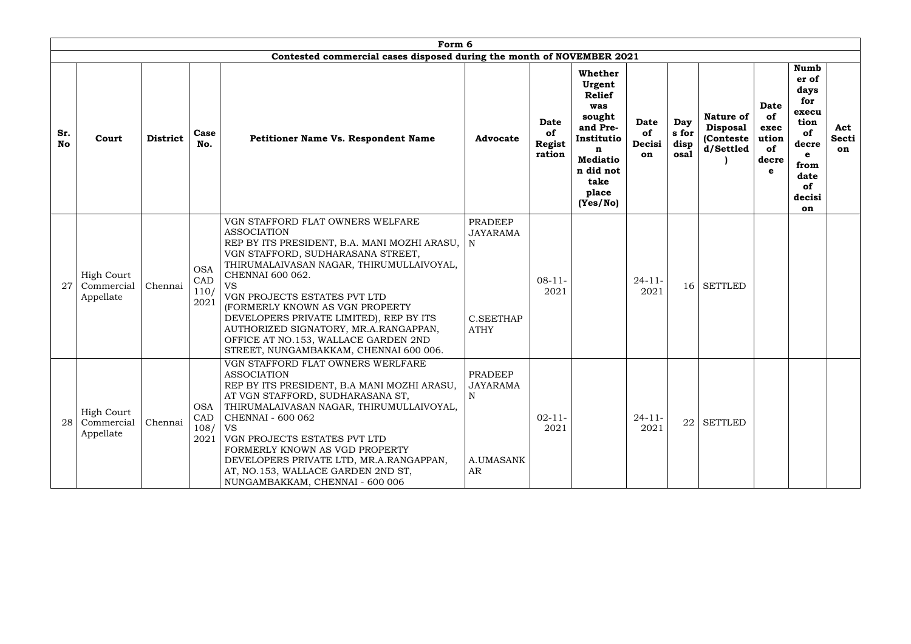|                  |                                              |                 |                                   | Form 6                                                                                                                                                                                                                                                                                                                                                                                                                                                            |                                                                           |                                              |                                                                                                                                                 |                            |                              |                                                                |                                                        |                                                                                                                |                                  |
|------------------|----------------------------------------------|-----------------|-----------------------------------|-------------------------------------------------------------------------------------------------------------------------------------------------------------------------------------------------------------------------------------------------------------------------------------------------------------------------------------------------------------------------------------------------------------------------------------------------------------------|---------------------------------------------------------------------------|----------------------------------------------|-------------------------------------------------------------------------------------------------------------------------------------------------|----------------------------|------------------------------|----------------------------------------------------------------|--------------------------------------------------------|----------------------------------------------------------------------------------------------------------------|----------------------------------|
| Sr.<br><b>No</b> | Court                                        | <b>District</b> | Case<br>No.                       | Contested commercial cases disposed during the month of NOVEMBER 2021<br>Petitioner Name Vs. Respondent Name                                                                                                                                                                                                                                                                                                                                                      | <b>Advocate</b>                                                           | <b>Date</b><br>of<br><b>Regist</b><br>ration | Whether<br>Urgent<br><b>Relief</b><br>was<br>sought<br>and Pre-<br>Institutio<br>n<br><b>Mediatio</b><br>n did not<br>take<br>place<br>(Yes/No) | Date<br>of<br>Decisi<br>on | Day<br>s for<br>disp<br>osal | <b>Nature of</b><br><b>Disposal</b><br>(Conteste)<br>d/Settled | <b>Date</b><br>of<br>exec<br>ution<br>of<br>decre<br>e | <b>Numb</b><br>er of<br>days<br>for<br>execu<br>tion<br>of<br>decre<br>e<br>from<br>date<br>of<br>decisi<br>on | Act<br><b>Secti</b><br><b>on</b> |
| 27               | <b>High Court</b><br>Commercial<br>Appellate | Chennai         | <b>OSA</b><br>CAD<br>110/<br>2021 | VGN STAFFORD FLAT OWNERS WELFARE<br><b>ASSOCIATION</b><br>REP BY ITS PRESIDENT, B.A. MANI MOZHI ARASU,<br>VGN STAFFORD, SUDHARASANA STREET,<br>THIRUMALAIVASAN NAGAR, THIRUMULLAIVOYAL,<br>CHENNAI 600 062.<br><b>VS</b><br>VGN PROJECTS ESTATES PVT LTD<br>(FORMERLY KNOWN AS VGN PROPERTY<br>DEVELOPERS PRIVATE LIMITED), REP BY ITS<br>AUTHORIZED SIGNATORY, MR.A.RANGAPPAN,<br>OFFICE AT NO.153, WALLACE GARDEN 2ND<br>STREET, NUNGAMBAKKAM, CHENNAI 600 006. | <b>PRADEEP</b><br><b>JAYARAMA</b><br>N<br><b>C.SEETHAP</b><br><b>ATHY</b> | $08-11-$<br>2021                             |                                                                                                                                                 | $24 - 11$<br>2021          | 16 <sup>1</sup>              | <b>SETTLED</b>                                                 |                                                        |                                                                                                                |                                  |
| 28               | High Court<br>Commercial<br>Appellate        | Chennai         | <b>OSA</b><br>CAD<br>108/<br>2021 | VGN STAFFORD FLAT OWNERS WERLFARE<br><b>ASSOCIATION</b><br>REP BY ITS PRESIDENT, B.A MANI MOZHI ARASU,<br>AT VGN STAFFORD, SUDHARASANA ST,<br>THIRUMALAIVASAN NAGAR, THIRUMULLAIVOYAL,<br>CHENNAI - 600 062<br><b>VS</b><br>VGN PROJECTS ESTATES PVT LTD<br>FORMERLY KNOWN AS VGD PROPERTY<br>DEVELOPERS PRIVATE LTD, MR.A.RANGAPPAN,<br>AT, NO.153, WALLACE GARDEN 2ND ST,<br>NUNGAMBAKKAM, CHENNAI - 600 006                                                    | <b>PRADEEP</b><br><b>JAYARAMA</b><br>$\mathbf N$<br>A.UMASANK<br>AR       | $02 - 11 -$<br>2021                          |                                                                                                                                                 | $24 - 11$<br>2021          |                              | $22$ SETTLED                                                   |                                                        |                                                                                                                |                                  |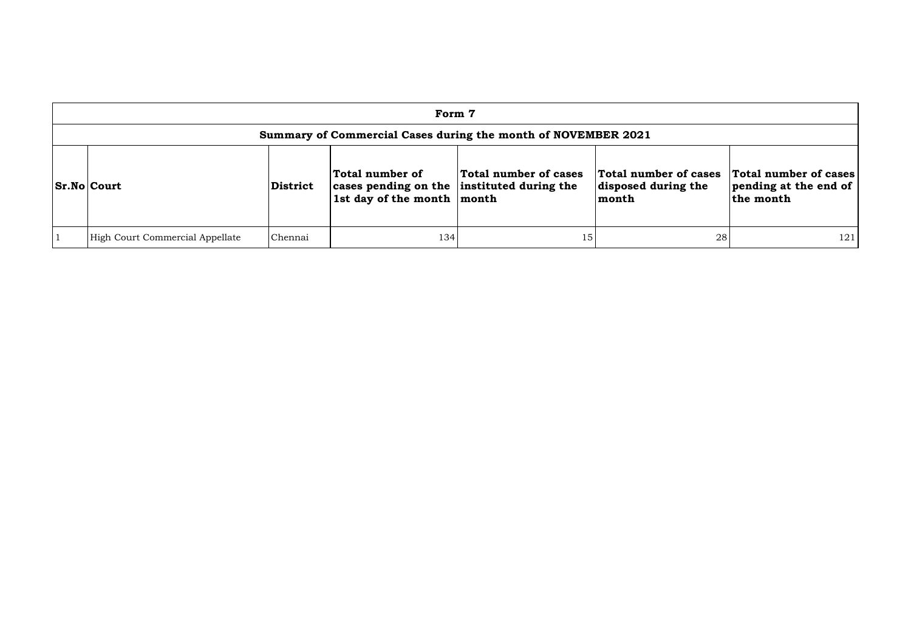| Form 7                                                        |                 |                                                                                                 |                       |                                                       |                                                             |  |  |  |  |  |  |
|---------------------------------------------------------------|-----------------|-------------------------------------------------------------------------------------------------|-----------------------|-------------------------------------------------------|-------------------------------------------------------------|--|--|--|--|--|--|
| Summary of Commercial Cases during the month of NOVEMBER 2021 |                 |                                                                                                 |                       |                                                       |                                                             |  |  |  |  |  |  |
| <b>Sr.No Court</b>                                            | <b>District</b> | Total number of<br>cases pending on the instituted during the<br>1st day of the month $ $ month | Total number of cases | Total number of cases<br>disposed during the<br>month | Total number of cases<br>pending at the end of<br>the month |  |  |  |  |  |  |
| High Court Commercial Appellate                               | Chennai         | 134                                                                                             | 15                    | 28                                                    | 121                                                         |  |  |  |  |  |  |

| cases<br>the | <b>Total number of cases</b><br>pending at the end of<br>the month |
|--------------|--------------------------------------------------------------------|
|              | 121                                                                |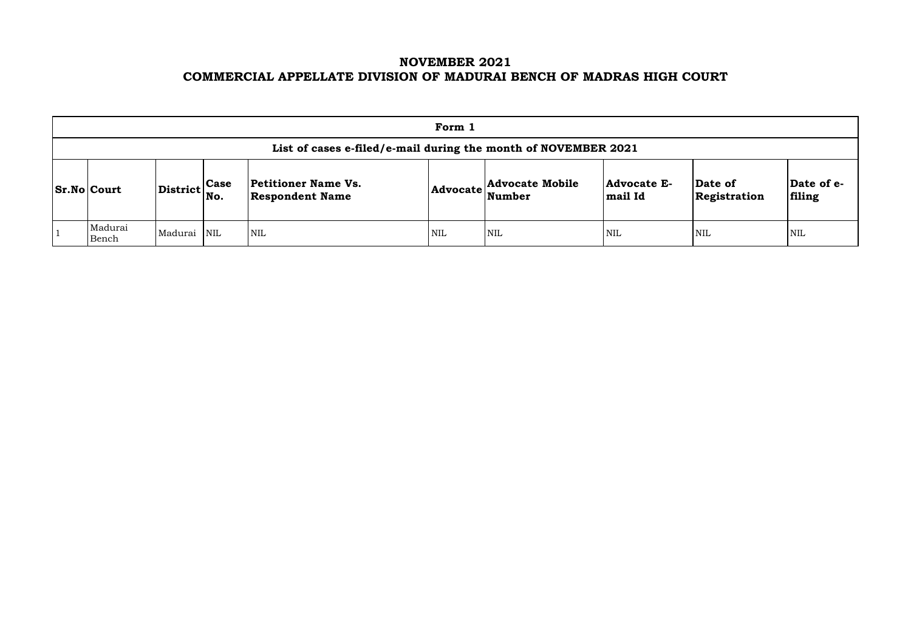# **NOVEMBER 2021 COMMERCIAL APPELLATE DIVISION OF MADURAI BENCH OF MADRAS HIGH COURT**

|                                                                                                                                                                                                                                                   | Form 1                                                         |             |  |            |            |     |              |                       |     |  |  |  |  |  |
|---------------------------------------------------------------------------------------------------------------------------------------------------------------------------------------------------------------------------------------------------|----------------------------------------------------------------|-------------|--|------------|------------|-----|--------------|-----------------------|-----|--|--|--|--|--|
|                                                                                                                                                                                                                                                   | List of cases e-filed/e-mail during the month of NOVEMBER 2021 |             |  |            |            |     |              |                       |     |  |  |  |  |  |
| <b>Petitioner Name Vs.</b><br><b>Advocate Mobile</b><br><b>Advocate E-</b><br>Date of<br>$\left \text{District}\right _{\text{No.}}^{\text{Case}}$<br><b>Sr.No Court</b><br>$ {\bf Advocate} \text{Number} $<br><b>Respondent Name</b><br>mail Id |                                                                |             |  |            |            |     | Registration | $\mathbf{Da}$<br>fili |     |  |  |  |  |  |
|                                                                                                                                                                                                                                                   | Madurai<br>Bench                                               | Madurai NIL |  | <b>NIL</b> | <b>NIL</b> | NIL | <b>NIL</b>   | <b>NIL</b>            | NIL |  |  |  |  |  |

| Date of<br>Registration | Date of e-<br>filing |
|-------------------------|----------------------|
| NIL                     | NH.                  |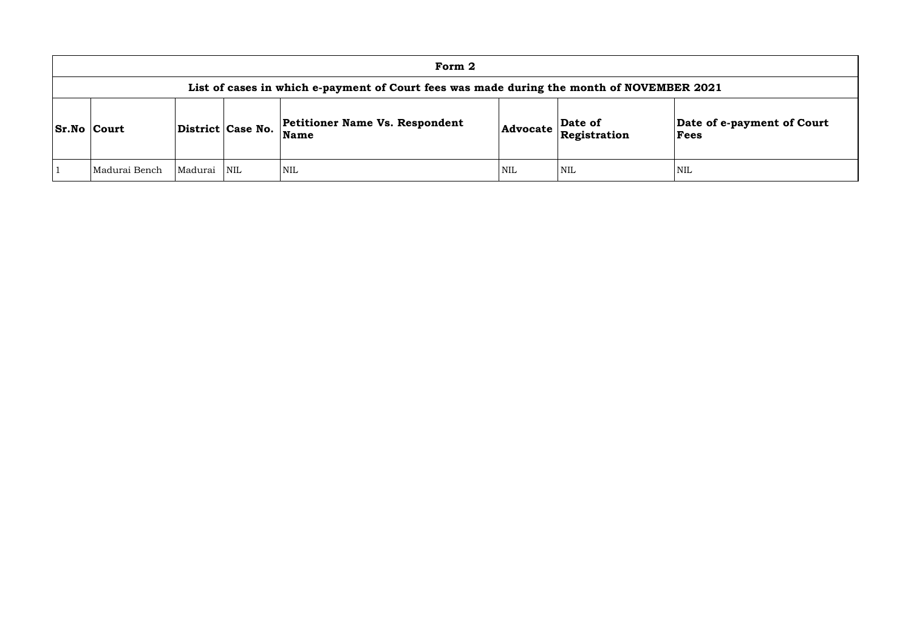| Form 2                                                                                    |         |                   |                                                      |            |                         |                 |  |  |  |  |  |  |
|-------------------------------------------------------------------------------------------|---------|-------------------|------------------------------------------------------|------------|-------------------------|-----------------|--|--|--|--|--|--|
| List of cases in which e-payment of Court fees was made during the month of NOVEMBER 2021 |         |                   |                                                      |            |                         |                 |  |  |  |  |  |  |
| <b>Sr.No Court</b>                                                                        |         | District Case No. | <b>Petitioner Name Vs. Respondent</b><br><b>Name</b> | Advocate   | Date of<br>Registration | Date of<br>Fees |  |  |  |  |  |  |
| Madurai Bench                                                                             | Madurai | NIL               | <b>NIL</b>                                           | <b>NIL</b> | <b>NIL</b>              | <b>NIL</b>      |  |  |  |  |  |  |

# **Date of e-payment of Court Fees**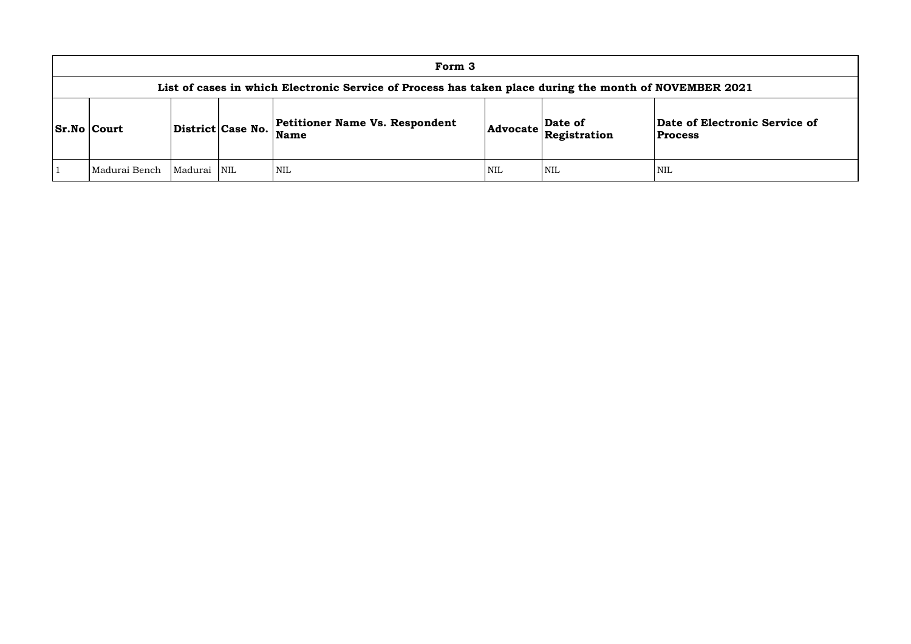## **of Electronic Service of Process**

| Form 3                                                                                                 |         |                         |                                                      |     |                                                                            |                                            |  |  |  |  |  |
|--------------------------------------------------------------------------------------------------------|---------|-------------------------|------------------------------------------------------|-----|----------------------------------------------------------------------------|--------------------------------------------|--|--|--|--|--|
| List of cases in which Electronic Service of Process has taken place during the month of NOVEMBER 2021 |         |                         |                                                      |     |                                                                            |                                            |  |  |  |  |  |
| <b>Sr.No Court</b>                                                                                     |         | District Case No.       | <b>Petitioner Name Vs. Respondent</b><br><b>Name</b> |     | Date of<br>$ {\sf Advocate}\left \stackrel{\text{def}}{\text{Res}}\right $ | <b>Date of Electroni</b><br><b>Process</b> |  |  |  |  |  |
| Madurai Bench                                                                                          | Madurai | $\overline{\text{NIL}}$ | <b>NIL</b>                                           | NIL | <b>NIL</b>                                                                 | NIL                                        |  |  |  |  |  |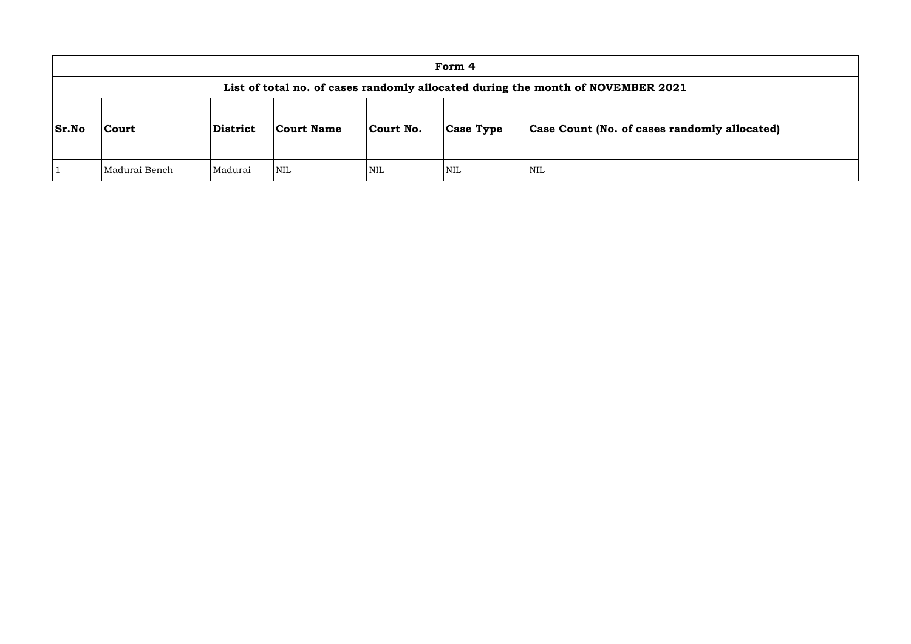|              | Form 4                                                                          |                 |            |            |                  |                                      |  |  |  |  |  |  |
|--------------|---------------------------------------------------------------------------------|-----------------|------------|------------|------------------|--------------------------------------|--|--|--|--|--|--|
|              | List of total no. of cases randomly allocated during the month of NOVEMBER 2021 |                 |            |            |                  |                                      |  |  |  |  |  |  |
| <b>Sr.No</b> | <b>Court</b>                                                                    | <b>District</b> | Court Name | Court No.  | <b>Case Type</b> | <b>Case Count (No. of cases rand</b> |  |  |  |  |  |  |
|              | Madurai Bench                                                                   | Madurai         | <b>NIL</b> | <b>NIL</b> | <b>NIL</b>       | <b>NIL</b>                           |  |  |  |  |  |  |

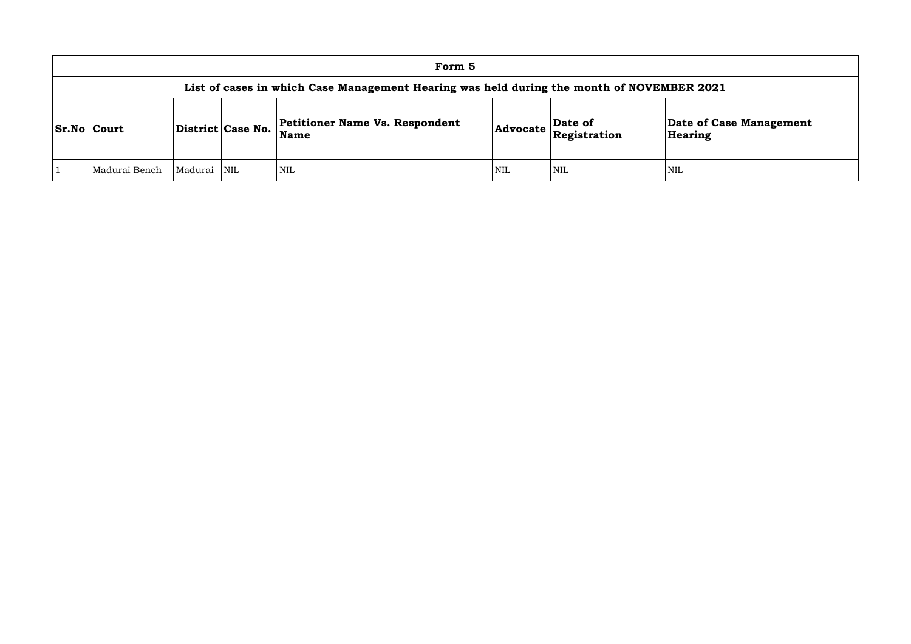| Form 5                                                                                    |         |                   |                                                      |            |                                                                                                             |                       |  |  |  |  |  |  |
|-------------------------------------------------------------------------------------------|---------|-------------------|------------------------------------------------------|------------|-------------------------------------------------------------------------------------------------------------|-----------------------|--|--|--|--|--|--|
| List of cases in which Case Management Hearing was held during the month of NOVEMBER 2021 |         |                   |                                                      |            |                                                                                                             |                       |  |  |  |  |  |  |
| <b>Sr.No Court</b>                                                                        |         | District Case No. | <b>Petitioner Name Vs. Respondent</b><br><b>Name</b> |            | $\left $ Advocate $\left  \begin{array}{l} \textbf{Date of} \\ \textbf{Registribution} \end{array} \right $ | Date of Ca<br>Hearing |  |  |  |  |  |  |
| Madurai Bench                                                                             | Madurai | <b>NIL</b>        | <b>NIL</b>                                           | <b>NIL</b> | <b>NIL</b>                                                                                                  | NIL                   |  |  |  |  |  |  |

**e of Case Management** ring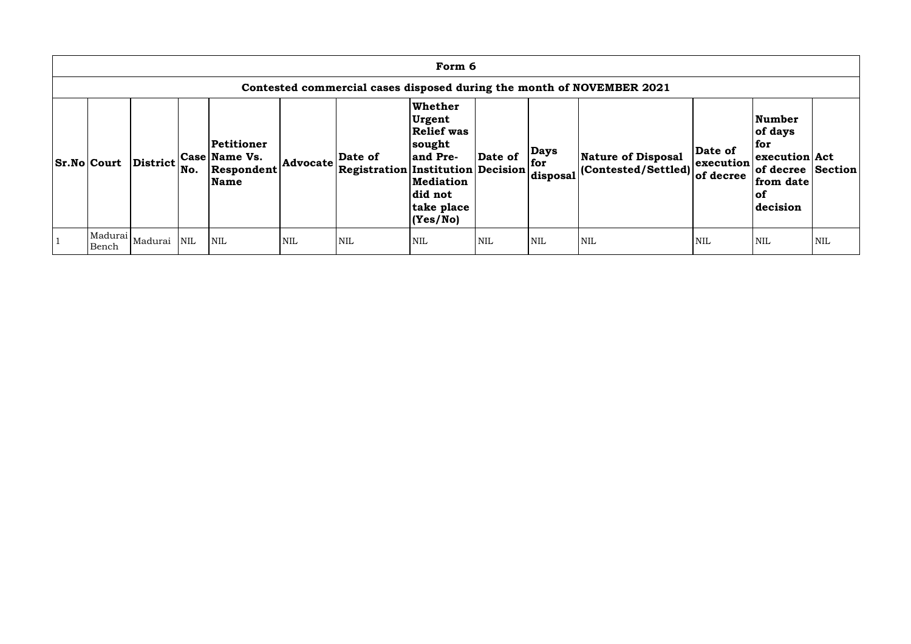| Form 6                                                                |          |     |                                                                 |            |                                                    |                                                                                                                              |            |                                |                                                          |                                   |                                                                                                            |     |  |  |
|-----------------------------------------------------------------------|----------|-----|-----------------------------------------------------------------|------------|----------------------------------------------------|------------------------------------------------------------------------------------------------------------------------------|------------|--------------------------------|----------------------------------------------------------|-----------------------------------|------------------------------------------------------------------------------------------------------------|-----|--|--|
| Contested commercial cases disposed during the month of NOVEMBER 2021 |          |     |                                                                 |            |                                                    |                                                                                                                              |            |                                |                                                          |                                   |                                                                                                            |     |  |  |
| <b>Sr.No Court</b>                                                    | District | No. | Petitioner<br><b>Case Name Vs.</b><br>Respondent<br><b>Name</b> | Advocate   | Date of<br>$ {}$ Registration Institution Decision | <b>Whether</b><br>Urgent<br><b>Relief was</b><br>sought<br>and Pre-<br><b>Mediation</b><br>did not<br>take place<br>(Yes/No) | Date of    | <b>Days</b><br>for<br>disposal | <b>Nature of Disposal</b><br>$ $ (Contested/Settled) $ $ | Date of<br>execution<br>of decree | <b>Number</b><br>of days<br>  for<br>execution Act<br>of decree Section<br>from date<br>$ $ of<br>decision |     |  |  |
| Madurai<br>Bench                                                      | Madurai  | NIL | <b>NIL</b>                                                      | <b>NIL</b> | <b>NIL</b>                                         | <b>NIL</b>                                                                                                                   | <b>NIL</b> | <b>NIL</b>                     | <b>NIL</b>                                               | <b>NIL</b>                        | <b>NIL</b>                                                                                                 | NIL |  |  |